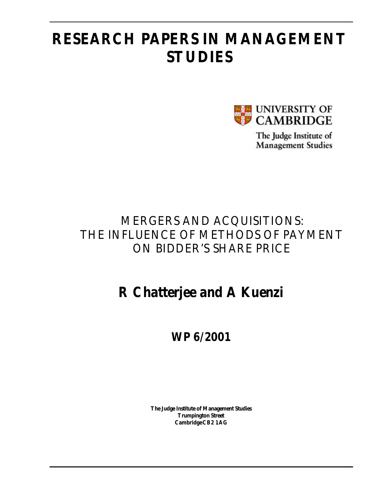# **RESEARCH PAPERS IN MANAGEMENT STUDIES**



The Judge Institute of **Management Studies** 

## MERGERS AND ACQUISITIONS: THE INFLUENCE OF METHODS OF PAYMENT ON BIDDER'S SHARE PRICE

# **R Chatterjee and A Kuenzi**

## **WP 6/2001**

**The Judge Institute of Management Studies Trumpington Street Cambridge CB2 1AG**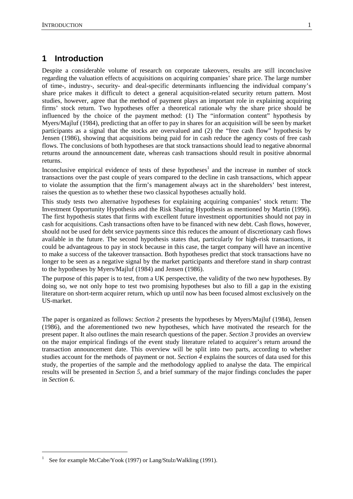## **1 Introduction**

Despite a considerable volume of research on corporate takeovers, results are still inconclusive regarding the valuation effects of acquisitions on acquiring companies' share price. The large number of time-, industry-, security- and deal-specific determinants influencing the individual company's share price makes it difficult to detect a general acquisition-related security return pattern. Most studies, however, agree that the method of payment plays an important role in explaining acquiring firms' stock return. Two hypotheses offer a theoretical rationale why the share price should be influenced by the choice of the payment method: (1) The "information content" hypothesis by Myers/Majluf (1984), predicting that an offer to pay in shares for an acquisition will be seen by market participants as a signal that the stocks are overvalued and (2) the "free cash flow" hypothesis by Jensen (1986), showing that acquisitions being paid for in cash reduce the agency costs of free cash flows. The conclusions of both hypotheses are that stock transactions should lead to negative abnormal returns around the announcement date, whereas cash transactions should result in positive abnormal returns.

Inconclusive empirical evidence of tests of these hypotheses<sup>1</sup> and the increase in number of stock transactions over the past couple of years compared to the decline in cash transactions, which appear to violate the assumption that the firm's management always act in the shareholders' best interest, raises the question as to whether these two classical hypotheses actually hold.

This study tests two alternative hypotheses for explaining acquiring companies' stock return: The Investment Opportunity Hypothesis and the Risk Sharing Hypothesis as mentioned by Martin (1996). The first hypothesis states that firms with excellent future investment opportunities should not pay in cash for acquisitions. Cash transactions often have to be financed with new debt. Cash flows, however, should not be used for debt service payments since this reduces the amount of discretionary cash flows available in the future. The second hypothesis states that, particularly for high-risk transactions, it could be advantageous to pay in stock because in this case, the target company will have an incentive to make a success of the takeover transaction. Both hypotheses predict that stock transactions have no longer to be seen as a negative signal by the market participants and therefore stand in sharp contrast to the hypotheses by Myers/Majluf (1984) and Jensen (1986).

The purpose of this paper is to test, from a UK perspective, the validity of the two new hypotheses. By doing so, we not only hope to test two promising hypotheses but also to fill a gap in the existing literature on short-term acquirer return, which up until now has been focused almost exclusively on the US-market.

The paper is organized as follows: *Section 2* presents the hypotheses by Myers/Majluf (1984), Jensen (1986), and the aforementioned two new hypotheses, which have motivated the research for the present paper. It also outlines the main research questions of the paper. *Section 3* provides an overview on the major empirical findings of the event study literature related to acquirer's return around the transaction announcement date. This overview will be split into two parts, according to whether studies account for the methods of payment or not. *Section 4* explains the sources of data used for this study, the properties of the sample and the methodology applied to analyse the data. The empirical results will be presented in *Section 5,* and a brief summary of the major findings concludes the paper in *Section 6*.

 $\overline{a}$ 

<sup>1</sup> See for example McCabe/Yook (1997) or Lang/Stulz/Walkling (1991).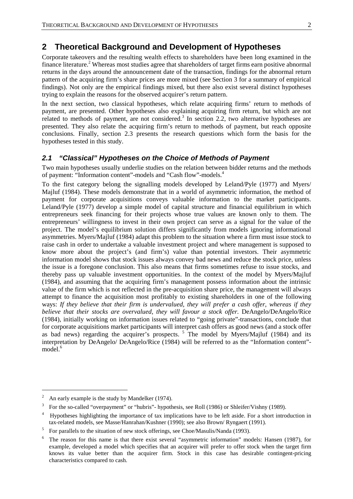## **2 Theoretical Background and Development of Hypotheses**

Corporate takeovers and the resulting wealth effects to shareholders have been long examined in the finance literature.<sup>2</sup> Whereas most studies agree that shareholders of target firms earn positive abnormal returns in the days around the announcement date of the transaction, findings for the abnormal return pattern of the acquiring firm's share prices are more mixed (see Section 3 for a summary of empirical findings). Not only are the empirical findings mixed, but there also exist several distinct hypotheses trying to explain the reasons for the observed acquirer's return pattern.

In the next section, two classical hypotheses, which relate acquiring firms' return to methods of payment, are presented. Other hypotheses also explaining acquiring firm return, but which are not related to methods of payment, are not considered.<sup>3</sup> In section 2.2, two alternative hypotheses are presented. They also relate the acquiring firm's return to methods of payment, but reach opposite conclusions. Finally, section 2.3 presents the research questions which form the basis for the hypotheses tested in this study.

## *2.1 "Classical" Hypotheses on the Choice of Methods of Payment*

Two main hypotheses usually underlie studies on the relation between bidder returns and the methods of payment: "Information content"-models and "Cash flow"-models.<sup>4</sup>

To the first category belong the signalling models developed by Leland/Pyle (1977) and Myers/ Majluf (1984). These models demonstrate that in a world of asymmetric information, the method of payment for corporate acquisitions conveys valuable information to the market participants. Leland/Pyle (1977) develop a simple model of capital structure and financial equilibrium in which entrepreneurs seek financing for their projects whose true values are known only to them. The entrepreneurs' willingness to invest in their own project can serve as a signal for the value of the project. The model's equilibrium solution differs significantly from models ignoring informational asymmetries. Myers/Majluf (1984) adapt this problem to the situation where a firm must issue stock to raise cash in order to undertake a valuable investment project and where management is supposed to know more about the project's (and firm's) value than potential investors. Their asymmetric information model shows that stock issues always convey bad news and reduce the stock price, unless the issue is a foregone conclusion. This also means that firms sometimes refuse to issue stocks, and thereby pass up valuable investment opportunities. In the context of the model by Myers/Majluf (1984), and assuming that the acquiring firm's management possess information about the intrinsic value of the firm which is not reflected in the pre-acquisition share price, the management will always attempt to finance the acquisition most profitably to existing shareholders in one of the following ways: *If they believe that their firm is undervalued, they will prefer a cash offer, whereas if they believe that their stocks are overvalued, they will favour a stock offer.* DeAngelo/DeAngelo/Rice (1984), initially working on information issues related to "going private"-transactions, conclude that for corporate acquisitions market participants will interpret cash offers as good news (and a stock offer as bad news) regarding the acquirer's prospects.  $5$  The model by Myers/Majluf (1984) and its interpretation by DeAngelo/ DeAngelo/Rice (1984) will be referred to as the "Information content" model.<sup>6</sup>

<sup>2</sup> An early example is the study by Mandelker (1974).

<sup>3</sup> For the so-called "overpayment" or "hubris"- hypothesis, see Roll (1986) or Shleifer/Vishny (1989).

<sup>4</sup> Hypotheses highlighting the importance of tax implications have to be left aside. For a short introduction in tax-related models, see Masse/Hanrahan/Kushner (1990); see also Brown/ Ryngaert (1991).

For parallels to the situation of new stock offerings, see Choe/Masulis/Nanda (1993).

<sup>6</sup> The reason for this name is that there exist several "asymmetric information" models: Hansen (1987), for example, developed a model which specifies that an acquirer will prefer to offer stock when the target firm knows its value better than the acquirer firm. Stock in this case has desirable contingent-pricing characteristics compared to cash.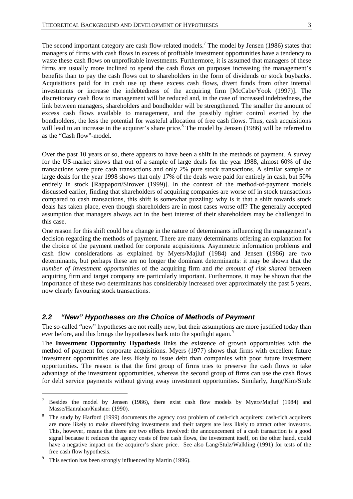The second important category are cash flow-related models.<sup>7</sup> The model by Jensen (1986) states that managers of firms with cash flows in excess of profitable investment opportunities have a tendency to waste these cash flows on unprofitable investments. Furthermore, it is assumed that managers of these firms are usually more inclined to spend the cash flows on purposes increasing the management's benefits than to pay the cash flows out to shareholders in the form of dividends or stock buybacks. Acquisitions paid for in cash use up these excess cash flows, divert funds from other internal investments or increase the indebtedness of the acquiring firm [McCabe/Yook (1997)]. The discretionary cash flow to management will be reduced and, in the case of increased indebtedness, the link between managers, shareholders and bondholder will be strengthened. The smaller the amount of excess cash flows available to management, and the possibly tighter control exerted by the bondholders, the less the potential for wasteful allocation of free cash flows. Thus, cash acquisitions will lead to an increase in the acquirer's share price.<sup>8</sup> The model by Jensen (1986) will be referred to as the "Cash flow"-model.

Over the past 10 years or so, there appears to have been a shift in the methods of payment. A survey for the US-market shows that out of a sample of large deals for the year 1988, almost 60% of the transactions were pure cash transactions and only 2% pure stock transactions. A similar sample of large deals for the year 1998 shows that only 17% of the deals were paid for entirely in cash, but 50% entirely in stock [Rappaport/Sirower (1999)]. In the context of the method-of-payment models discussed earlier, finding that shareholders of acquiring companies are worse off in stock transactions compared to cash transactions, this shift is somewhat puzzling: why is it that a shift towards stock deals has taken place, even though shareholders are in most cases worse off? The generally accepted assumption that managers always act in the best interest of their shareholders may be challenged in this case.

One reason for this shift could be a change in the nature of determinants influencing the management's decision regarding the methods of payment. There are many determinants offering an explanation for the choice of the payment method for corporate acquisitions. Asymmetric information problems and cash flow considerations as explained by Myers/Majluf (1984) and Jensen (1986) are two determinants, but perhaps these are no longer the dominant determinants: it may be shown that the *number of investment opportunities* of the acquiring firm and *the amount of risk shared* between acquiring firm and target company are particularly important. Furthermore, it may be shown that the importance of these two determinants has considerably increased over approximately the past 5 years, now clearly favouring stock transactions.

## *2.2 "New" Hypotheses on the Choice of Methods of Payment*

The so-called "new" hypotheses are not really new, but their assumptions are more justified today than ever before, and this brings the hypotheses back into the spotlight again.<sup>9</sup>

The **Investment Opportunity Hypothesis** links the existence of growth opportunities with the method of payment for corporate acquisitions. Myers (1977) shows that firms with excellent future investment opportunities are less likely to issue debt than companies with poor future investment opportunities. The reason is that the first group of firms tries to preserve the cash flows to take advantage of the investment opportunities, whereas the second group of firms can use the cash flows for debt service payments without giving away investment opportunities. Similarly, Jung/Kim/Stulz

<sup>7</sup> Besides the model by Jensen (1986), there exist cash flow models by Myers/Majluf (1984) and Masse/Hanrahan/Kushner (1990).

<sup>8</sup> The study by Harford (1999) documents the agency cost problem of cash-rich acquirers: cash-rich acquirers are more likely to make diversifying investments and their targets are less likely to attract other investors. This, however, means that there are two effects involved: the announcement of a cash transaction is a good signal because it reduces the agency costs of free cash flows, the investment itself, on the other hand, could have a negative impact on the acquirer's share price. See also Lang/Stulz/Walkling (1991) for tests of the free cash flow hypothesis.

<sup>9</sup> This section has been strongly influenced by Martin (1996).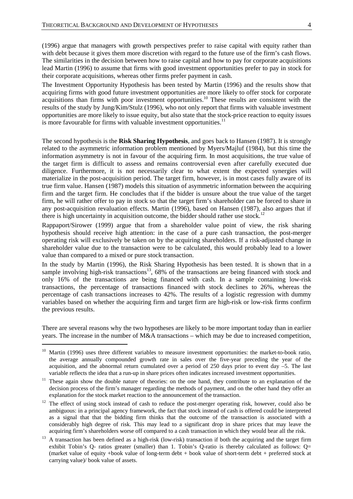(1996) argue that managers with growth perspectives prefer to raise capital with equity rather than with debt because it gives them more discretion with regard to the future use of the firm's cash flows. The similarities in the decision between how to raise capital and how to pay for corporate acquisitions lead Martin (1996) to assume that firms with good investment opportunities prefer to pay in stock for their corporate acquisitions, whereas other firms prefer payment in cash.

The Investment Opportunity Hypothesis has been tested by Martin (1996) and the results show that acquiring firms with good future investment opportunities are more likely to offer stock for corporate acquisitions than firms with poor investment opportunities.<sup>10</sup> These results are consistent with the results of the study by Jung/Kim/Stulz (1996), who not only report that firms with valuable investment opportunities are more likely to issue equity, but also state that the stock-price reaction to equity issues is more favourable for firms with valuable investment opportunities. $<sup>11</sup>$ </sup>

The second hypothesis is the **Risk Sharing Hypothesis**, and goes back to Hansen (1987). It is strongly related to the asymmetric information problem mentioned by Myers/Majluf (1984), but this time the information asymmetry is not in favour of the acquiring firm. In most acquisitions, the true value of the target firm is difficult to assess and remains controversial even after carefully executed due diligence. Furthermore, it is not necessarily clear to what extent the expected synergies will materialize in the post-acquisition period. The target firm, however, is in most cases fully aware of its true firm value. Hansen (1987) models this situation of asymmetric information between the acquiring firm and the target firm. He concludes that if the bidder is unsure about the true value of the target firm, he will rather offer to pay in stock so that the target firm's shareholder can be forced to share in any post-acquisition revaluation effects. Martin (1996), based on Hansen (1987), also argues that if there is high uncertainty in acquisition outcome, the bidder should rather use stock.<sup>12</sup>

Rappaport/Sirower (1999) argue that from a shareholder value point of view, the risk sharing hypothesis should receive high attention: in the case of a pure cash transaction, the post-merger operating risk will exclusively be taken on by the acquiring shareholders. If a risk-adjusted change in shareholder value due to the transaction were to be calculated, this would probably lead to a lower value than compared to a mixed or pure stock transaction.

In the study by Martin (1996), the Risk Sharing Hypothesis has been tested. It is shown that in a sample involving high-risk transactions<sup>13</sup>, 68% of the transactions are being financed with stock and only 16% of the transactions are being financed with cash. In a sample containing low-risk transactions, the percentage of transactions financed with stock declines to 26%, whereas the percentage of cash transactions increases to 42%. The results of a logistic regression with dummy variables based on whether the acquiring firm and target firm are high-risk or low-risk firms confirm the previous results.

There are several reasons why the two hypotheses are likely to be more important today than in earlier years. The increase in the number of M&A transactions – which may be due to increased competition,

 $\overline{a}$ 

<sup>&</sup>lt;sup>10</sup> Martin (1996) uses three different variables to measure investment opportunities: the market-to-book ratio, the average annually compounded growth rate in sales over the five-year preceding the year of the acquisition, and the abnormal return cumulated over a period of 250 days prior to event day –5. The last

variable reflects the idea that a run-up in share prices often indicates increased investment opportunities.<br><sup>11</sup> These again show the double nature of theories: on the one hand, they contribute to an explanation of the decision process of the firm's manager regarding the methods of payment, and on the other hand they offer an explanation for the stock market reaction to the announcement of the transaction.

<sup>&</sup>lt;sup>12</sup> The effect of using stock instead of cash to reduce the post-merger operating risk, however, could also be ambiguous: in a principal agency framework, the fact that stock instead of cash is offered could be interpreted as a signal that that the bidding firm thinks that the outcome of the transaction is associated with a considerably high degree of risk. This may lead to a significant drop in share prices that may leave the acquiring firm's shareholders worse off compared to a cash transaction in which they would bear all the risk.

<sup>&</sup>lt;sup>13</sup> A transaction has been defined as a high-risk (low-risk) transaction if both the acquiring and the target firm exhibit Tobin's Q- ratios greater (smaller) than 1. Tobin's Q-ratio is thereby calculated as follows: Q= (market value of equity +book value of long-term debt + book value of short-term debt + preferred stock at carrying value)/ book value of assets.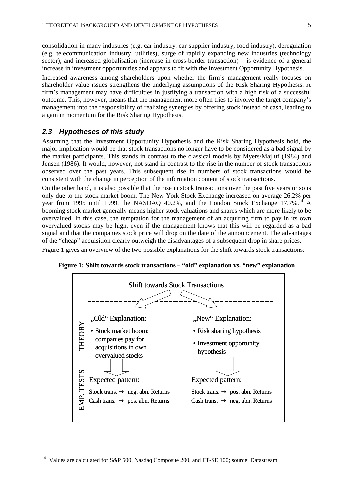consolidation in many industries (e.g. car industry, car supplier industry, food industry), deregulation (e.g. telecommunication industry, utilities), surge of rapidly expanding new industries (technology sector), and increased globalisation (increase in cross-border transaction) – is evidence of a general increase in investment opportunities and appears to fit with the Investment Opportunity Hypothesis.

Increased awareness among shareholders upon whether the firm's management really focuses on shareholder value issues strengthens the underlying assumptions of the Risk Sharing Hypothesis. A firm's management may have difficulties in justifying a transaction with a high risk of a successful outcome. This, however, means that the management more often tries to involve the target company's management into the responsibility of realizing synergies by offering stock instead of cash, leading to a gain in momentum for the Risk Sharing Hypothesis.

## *2.3 Hypotheses of this study*

 $\overline{a}$ 

Assuming that the Investment Opportunity Hypothesis and the Risk Sharing Hypothesis hold, the major implication would be that stock transactions no longer have to be considered as a bad signal by the market participants. This stands in contrast to the classical models by Myers/Majluf (1984) and Jensen (1986). It would, however, not stand in contrast to the rise in the number of stock transactions observed over the past years. This subsequent rise in numbers of stock transactions would be consistent with the change in perception of the information content of stock transactions.

On the other hand, it is also possible that the rise in stock transactions over the past five years or so is only due to the stock market boom. The New York Stock Exchange increased on average 26.2% per year from 1995 until 1999, the NASDAQ 40.2%, and the London Stock Exchange 17.7%.<sup>14</sup> A booming stock market generally means higher stock valuations and shares which are more likely to be overvalued. In this case, the temptation for the management of an acquiring firm to pay in its own overvalued stocks may be high, even if the management knows that this will be regarded as a bad signal and that the companies stock price will drop on the date of the announcement. The advantages of the "cheap" acquisition clearly outweigh the disadvantages of a subsequent drop in share prices.

Figure 1 gives an overview of the two possible explanations for the shift towards stock transactions:



**Figure 1: Shift towards stock transactions – "old" explanation vs. "new" explanation** 

<sup>&</sup>lt;sup>14</sup> Values are calculated for S&P 500, Nasdaq Composite 200, and FT-SE 100; source: Datastream.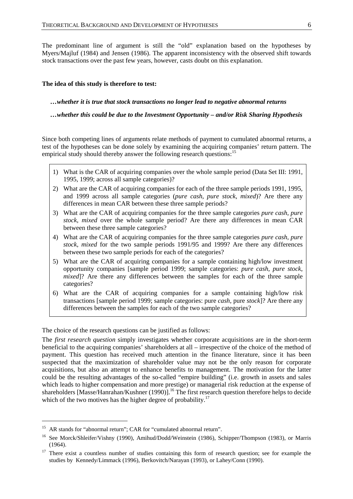The predominant line of argument is still the "old" explanation based on the hypotheses by Myers/Majluf (1984) and Jensen (1986). The apparent inconsistency with the observed shift towards stock transactions over the past few years, however, casts doubt on this explanation.

### **The idea of this study is therefore to test:**

*…whether it is true that stock transactions no longer lead to negative abnormal returns* 

*…whether this could be due to the Investment Opportunity – and/or Risk Sharing Hypothesis* 

Since both competing lines of arguments relate methods of payment to cumulated abnormal returns, a test of the hypotheses can be done solely by examining the acquiring companies' return pattern. The empirical study should thereby answer the following research questions:<sup>15</sup>

- 1) What is the CAR of acquiring companies over the whole sample period (Data Set III: 1991, 1995, 1999; across all sample categories)?
- 2) What are the CAR of acquiring companies for each of the three sample periods 1991, 1995, and 1999 across all sample categories (*pure cash*, *pure stock*, *mixed*)? Are there any differences in mean CAR between these three sample periods?
- 3) What are the CAR of acquiring companies for the three sample categories *pure cash*, *pure stock*, *mixed* over the whole sample period? Are there any differences in mean CAR between these three sample categories?
- 4) What are the CAR of acquiring companies for the three sample categories *pure cash*, *pure stock*, *mixed* for the two sample periods 1991/95 and 1999? Are there any differences between these two sample periods for each of the categories?
- 5) What are the CAR of acquiring companies for a sample containing high/low investment opportunity companies [sample period 1999; sample categories: *pure cash*, *pure stock*, *mixed*]? Are there any differences between the samples for each of the three sample categories?
- 6) What are the CAR of acquiring companies for a sample containing high/low risk transactions [sample period 1999; sample categories: pure *cash*, pure *stock*]? Are there any differences between the samples for each of the two sample categories?

The choice of the research questions can be justified as follows:

The *first research question* simply investigates whether corporate acquisitions are in the short-term beneficial to the acquiring companies' shareholders at all – irrespective of the choice of the method of payment. This question has received much attention in the finance literature, since it has been suspected that the maximization of shareholder value may not be the only reason for corporate acquisitions, but also an attempt to enhance benefits to management. The motivation for the latter could be the resulting advantages of the so-called "empire building" (i.e. growth in assets and sales which leads to higher compensation and more prestige) or managerial risk reduction at the expense of shareholders [Masse/Hanrahan/Kushner (1990)].<sup>16</sup> The first research question therefore helps to decide which of the two motives has the higher degree of probability.<sup>17</sup>

<sup>&</sup>lt;sup>15</sup> AR stands for "abnormal return"; CAR for "cumulated abnormal return".

<sup>&</sup>lt;sup>16</sup> See Morck/Shleifer/Vishny (1990), Amihud/Dodd/Weinstein (1986), Schipper/Thompson (1983), or Marris (1964).

<sup>&</sup>lt;sup>17</sup> There exist a countless number of studies containing this form of research question; see for example the studies by Kennedy/Limmack (1996), Berkovitch/Narayan (1993), or Lahey/Conn (1990).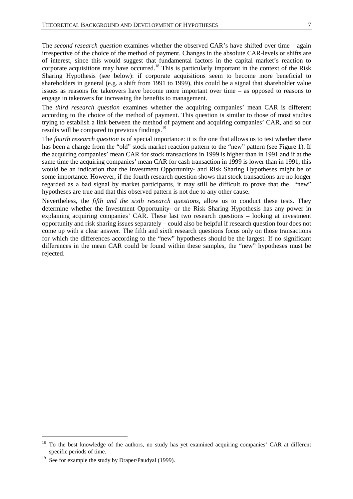The *second research question* examines whether the observed CAR's have shifted over time – again irrespective of the choice of the method of payment. Changes in the absolute CAR-levels or shifts are of interest, since this would suggest that fundamental factors in the capital market's reaction to corporate acquisitions may have occurred.18 This is particularly important in the context of the Risk Sharing Hypothesis (see below): if corporate acquisitions seem to become more beneficial to shareholders in general (e.g. a shift from 1991 to 1999), this could be a signal that shareholder value issues as reasons for takeovers have become more important over time – as opposed to reasons to engage in takeovers for increasing the benefits to management.

The *third research question* examines whether the acquiring companies' mean CAR is different according to the choice of the method of payment. This question is similar to those of most studies trying to establish a link between the method of payment and acquiring companies' CAR, and so our results will be compared to previous findings.<sup>19</sup>

The *fourth research question* is of special importance: it is the one that allows us to test whether there has been a change from the "old" stock market reaction pattern to the "new" pattern (see Figure 1). If the acquiring companies' mean CAR for stock transactions in 1999 is higher than in 1991 and if at the same time the acquiring companies' mean CAR for cash transaction in 1999 is lower than in 1991, this would be an indication that the Investment Opportunity- and Risk Sharing Hypotheses might be of some importance. However, if the fourth research question shows that stock transactions are no longer regarded as a bad signal by market participants, it may still be difficult to prove that the "new" hypotheses are true and that this observed pattern is not due to any other cause.

Nevertheless, the *fifth and the sixth research questions,* allow us to conduct these tests. They determine whether the Investment Opportunity- or the Risk Sharing Hypothesis has any power in explaining acquiring companies' CAR. These last two research questions – looking at investment opportunity and risk sharing issues separately – could also be helpful if research question four does not come up with a clear answer. The fifth and sixth research questions focus only on those transactions for which the differences according to the "new" hypotheses should be the largest. If no significant differences in the mean CAR could be found within these samples, the "new" hypotheses must be rejected.

<sup>18</sup> To the best knowledge of the authors, no study has yet examined acquiring companies' CAR at different specific periods of time.

<sup>&</sup>lt;sup>19</sup> See for example the study by Draper/Paudyal (1999).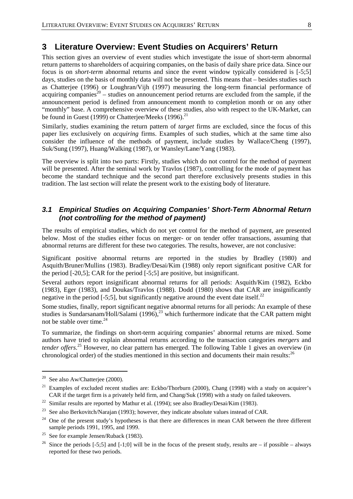## **3 Literature Overview: Event Studies on Acquirers' Return**

This section gives an overview of event studies which investigate the issue of short-term abnormal return patterns to shareholders of acquiring companies, on the basis of daily share price data. Since our focus is on *short-term* abnormal returns and since the event window typically considered is [-5;5] days, studies on the basis of monthly data will not be presented. This means that – besides studies such as Chatterjee (1996) or Loughran/Vijh (1997) measuring the long-term financial performance of acquiring companies<sup>20</sup> – studies on announcement period returns are excluded from the sample, if the announcement period is defined from announcement month to completion month or on any other "monthly" base. A comprehensive overview of these studies, also with respect to the UK-Market, can be found in Guest (1999) or Chatterjee/Meeks (1996).<sup>21</sup>

Similarly, studies examining the return pattern of *target* firms are excluded, since the focus of this paper lies exclusively on *acquiring* firms. Examples of such studies, which at the same time also consider the influence of the methods of payment, include studies by Wallace/Cheng (1997), Suk/Sung (1997), Huang/Walking (1987), or Wansley/Lane/Yang (1983).

The overview is split into two parts: Firstly, studies which do not control for the method of payment will be presented. After the seminal work by Travlos (1987), controlling for the mode of payment has become the standard technique and the second part therefore exclusively presents studies in this tradition. The last section will relate the present work to the existing body of literature.

## *3.1 Empirical Studies on Acquiring Companies' Short-Term Abnormal Return (not controlling for the method of payment)*

The results of empirical studies, which do not yet control for the method of payment, are presented below. Most of the studies either focus on merger- or on tender offer transactions, assuming that abnormal returns are different for these two categories. The results, however, are not conclusive:

Significant positive abnormal returns are reported in the studies by Bradley (1980) and Asquith/Bruner/Mullins (1983). Bradley/Desai/Kim (1988) only report significant positive CAR for the period [-20,5]; CAR for the period [-5;5] are positive, but insignificant.

Several authors report insignificant abnormal returns for all periods: Asquith/Kim (1982), Eckbo (1983), Eger (1983), and Doukas/Travlos (1988). Dodd (1980) shows that CAR are insignificantly negative in the period  $[-5,5]$ , but significantly negative around the event date itself.<sup>22</sup>

Some studies, finally, report significant negative abnormal returns for all periods: An example of these studies is Sundarsanam/Holl/Salami (1996),<sup>23</sup> which furthermore indicate that the CAR pattern might not be stable over time. $^{24}$ 

To summarize, the findings on short-term acquiring companies' abnormal returns are mixed. Some authors have tried to explain abnormal returns according to the transaction categories *mergers* and *tender offers*. 25 However, no clear pattern has emerged. The following Table 1 gives an overview (in chronological order) of the studies mentioned in this section and documents their main results:<sup>26</sup>

<sup>&</sup>lt;sup>20</sup> See also Aw/Chatterjee (2000).

<sup>&</sup>lt;sup>21</sup> Examples of excluded recent studies are: Eckbo/Thorburn (2000), Chang (1998) with a study on acquirer's CAR if the target firm is a privately held firm, and Chang/Suk (1998) with a study on failed takeovers.

<sup>&</sup>lt;sup>22</sup> Similar results are reported by Mathur et al. (1994); see also Bradley/Desai/Kim (1983).

<sup>&</sup>lt;sup>23</sup> See also Berkovitch/Narajan (1993); however, they indicate absolute values instead of CAR.

 $24$  One of the present study's hypotheses is that there are differences in mean CAR between the three different sample periods 1991, 1995, and 1999.

<sup>&</sup>lt;sup>25</sup> See for example Jensen/Ruback (1983).

<sup>&</sup>lt;sup>26</sup> Since the periods [-5;5] and [-1;0] will be in the focus of the present study, results are – if possible – always reported for these two periods.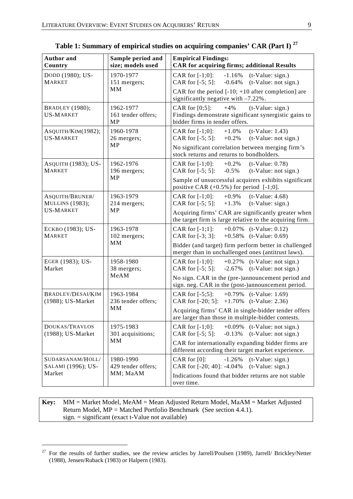| <b>Author</b> and<br>Country               | Sample period and<br>size; models used       | <b>Empirical Findings:</b><br><b>CAR for acquiring firms; additional Results</b>                                                            |  |  |  |  |  |
|--------------------------------------------|----------------------------------------------|---------------------------------------------------------------------------------------------------------------------------------------------|--|--|--|--|--|
| DODD (1980); US-<br><b>MARKET</b>          | 1970-1977<br>151 mergers;<br>MM              | CAR for $[-1;0]$ :<br>$-1.16\%$ (t-Value: sign.)<br>CAR for $[-5; 5]$ :<br>$(t-Value: not sign.)$<br>$-0.64%$                               |  |  |  |  |  |
|                                            |                                              | CAR for the period $[-10; +10$ after completion] are<br>significantly negative with -7.22%.                                                 |  |  |  |  |  |
| <b>BRADLEY</b> (1980);<br><b>US-MARKET</b> | 1962-1977<br>161 tender offers;<br><b>MP</b> | CAR for $[0;5]$ :<br>$+4%$<br>$(t-Value: sign.)$<br>Findings demonstrate significant synergistic gains to<br>bidder firms in tender offers. |  |  |  |  |  |
| ASQUITH/KIM(1982);<br><b>US-MARKET</b>     | 1960-1978<br>26 mergers;                     | CAR for $[-1;0]$ :<br>$+1.0%$<br>$(t-Value: 1.43)$<br>(t-Value: not sign.)<br>CAR for $[-5; 5]$ :<br>$+0.2%$                                |  |  |  |  |  |
|                                            | <b>MP</b>                                    | No significant correlation between merging firm's<br>stock returns and returns to bondholders.                                              |  |  |  |  |  |
| ASQUITH (1983); US-<br><b>MARKET</b>       | 1962-1976<br>196 mergers;                    | CAR for $[-1;0]$ :<br>$+0.2\%$<br>$(t-Value: 0.78)$<br>CAR for $[-5; 5]$ :<br>$(t-Value: not sign.)$<br>$-0.5\%$                            |  |  |  |  |  |
|                                            | MP                                           | Sample of unsuccessful acquirers exhibits significant<br>positive CAR $(+0.5\%)$ for period $[-1;0]$ .                                      |  |  |  |  |  |
| ASQUITH/BRUNER/<br><b>MULLINS</b> (1983);  | 1963-1979<br>214 mergers;                    | CAR for $[-1;0]$ :<br>$+0.9\%$<br>$(t-Value: 4.68)$<br>CAR for $[-5; 5]$ :<br>$(t-Value: sign.)$<br>$+1.3%$                                 |  |  |  |  |  |
| <b>US-MARKET</b>                           | MP                                           | Acquiring firms' CAR are significantly greater when<br>the target firm is large relative to the acquiring firm.                             |  |  |  |  |  |
| ECKBO (1983); US-<br><b>MARKET</b>         | 1963-1978<br>102 mergers;<br>MM              | CAR for $[-1;1]$ :<br>$+0.07\%$ (t-Value: 0.12)<br>CAR for $[-3; 3]$ :<br>$+0.58\%$ (t-Value: 0.69)                                         |  |  |  |  |  |
|                                            |                                              | Bidder (and target) firm perform better in challenged<br>merger than in unchallenged ones (antitrust laws).                                 |  |  |  |  |  |
| EGER (1983); US-<br>Market                 | 1958-1980<br>38 mergers;                     | CAR for $[-1;0]$ :<br>$+0.27\%$ (t-Value: not sign.)<br>CAR for $[-5; 5]$ :<br>$-2.67\%$ (t-Value: not sign.)                               |  |  |  |  |  |
|                                            | MeAM                                         | No sign. CAR in the (pre-)announcement period and<br>sign. neg. CAR in the (post-)announcement period.                                      |  |  |  |  |  |
| BRADLEY/DESAI/KIM<br>(1988); US-Market     | 1963-1984<br>236 tender offers;              | CAR for $[-5;5]$ : $+0.79\%$ (t-Value: 1.69)<br>CAR for $[-20; 5]$ : $+1.70\%$ (t-Value: 2.36)                                              |  |  |  |  |  |
|                                            | MМ                                           | Acquiring firms' CAR in single-bidder tender offers<br>are larger than those in multiple-bidder contests.                                   |  |  |  |  |  |
| DOUKAS/TRAVLOS<br>(1988); US-Market        | 1975-1983<br>301 acquisitions;               | CAR for $[-1;0]$ :<br>$(t-Value: not sign.)$<br>$+0.09\%$<br>CAR for [-5; 5]:<br>(t-Value: not sign.)<br>$-0.13%$                           |  |  |  |  |  |
|                                            | MМ                                           | CAR for internationally expanding bidder firms are<br>different according their target market experience.                                   |  |  |  |  |  |
| SUDARSANAM/HOLL/<br>SALAMI (1996); US-     | 1980-1990<br>429 tender offers;              | CAR for $[0]$ :<br>$-1.26%$<br>$(t-Value: sign.)$<br>CAR for [-20; 40]: -4.04%<br>$(t-Value: sign.)$                                        |  |  |  |  |  |
| Market                                     | MM; MaAM                                     | Indications found that bidder returns are not stable<br>over time.                                                                          |  |  |  |  |  |

**Table 1: Summary of empirical studies on acquiring companies' CAR (Part I) 27**

**Key:** MM = Market Model, MeAM = Mean Adjusted Return Model, MaAM = Market Adjusted Return Model, MP = Matched Portfolio Benchmark (See section 4.4.1). sign. = significant (exact t-Value not available)

<sup>&</sup>lt;sup>27</sup> For the results of further studies, see the review articles by Jarrell/Poulsen (1989), Jarrell/ Brickley/Netter (1988), Jensen/Ruback (1983) or Halpern (1983).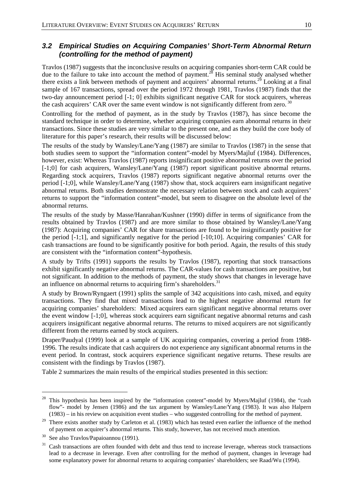## *3.2 Empirical Studies on Acquiring Companies' Short-Term Abnormal Return (controlling for the method of payment)*

Travlos (1987) suggests that the inconclusive results on acquiring companies short-term CAR could be due to the failure to take into account the method of payment.<sup>28</sup> His seminal study analysed whether there exists a link between methods of payment and acquirers' abnormal returns.<sup>29</sup> Looking at a final sample of 167 transactions, spread over the period 1972 through 1981, Travlos (1987) finds that the two-day announcement period [-1; 0] exhibits significant negative CAR for stock acquirers, whereas the cash acquirers' CAR over the same event window is not significantly different from zero.

Controlling for the method of payment, as in the study by Travlos (1987), has since become the standard technique in order to determine, whether acquiring companies earn abnormal returns in their transactions. Since these studies are very similar to the present one, and as they build the core body of literature for this paper's research, their results will be discussed below:

The results of the study by Wansley/Lane/Yang (1987) are similar to Travlos (1987) in the sense that both studies seem to support the "information content"-model by Myers/Majluf (1984). Differences, however, exist: Whereas Travlos (1987) reports insignificant positive abnormal returns over the period [-1;0] for cash acquirers, Wansley/Lane/Yang (1987) report significant positive abnormal returns. Regarding stock acquirers, Travlos (1987) reports significant negative abnormal returns over the period [-1;0], while Wansley/Lane/Yang (1987) show that, stock acquirers earn insignificant negative abnormal returns. Both studies demonstrate the necessary relation between stock and cash acquirers' returns to support the "information content"-model, but seem to disagree on the absolute level of the abnormal returns.

The results of the study by Masse/Hanrahan/Kushner (1990) differ in terms of significance from the results obtained by Travlos (1987) and are more similar to those obtained by Wansley/Lane/Yang (1987): Acquiring companies' CAR for share transactions are found to be insignificantly positive for the period [-1;1], and significantly negative for the period [-10;10]. Acquiring companies' CAR for cash transactions are found to be significantly positive for both period. Again, the results of this study are consistent with the "information content"-hypothesis.

A study by Trifts (1991) supports the results by Travlos (1987), reporting that stock transactions exhibit significantly negative abnormal returns. The CAR-values for cash transactions are positive, but not significant. In addition to the methods of payment, the study shows that changes in leverage have an influence on abnormal returns to acquiring firm's shareholders.<sup>31</sup>

A study by Brown/Ryngaert (1991) splits the sample of 342 acquisitions into cash, mixed, and equity transactions. They find that mixed transactions lead to the highest negative abnormal return for acquiring companies' shareholders: Mixed acquirers earn significant negative abnormal returns over the event window [-1;0], whereas stock acquirers earn significant negative abnormal returns and cash acquirers insignificant negative abnormal returns. The returns to mixed acquirers are not significantly different from the returns earned by stock acquirers.

Draper/Paudyal (1999) look at a sample of UK acquiring companies, covering a period from 1988- 1996. The results indicate that cash acquirers do not experience any significant abnormal returns in the event period. In contrast, stock acquirers experience significant negative returns. These results are consistent with the findings by Travlos (1987).

Table 2 summarizes the main results of the empirical studies presented in this section:

<sup>&</sup>lt;sup>28</sup> This hypothesis has been inspired by the "information content"-model by Myers/Majluf (1984), the "cash flow"- model by Jensen (1986) and the tax argument by Wansley/Lane/Yang (1983). It was also Halpern (1983) – in his review on acquisition event studies – who suggested controlling for the method of payment.

<sup>&</sup>lt;sup>29</sup> There exists another study by Carleton et al. (1983) which has tested even earlier the influence of the method of payment on acquirer's abnormal returns. This study, however, has not received much attention.

<sup>30</sup> See also Travlos/Papaioannou (1991).

 $31$  Cash transactions are often founded with debt and thus tend to increase leverage, whereas stock transactions lead to a decrease in leverage. Even after controlling for the method of payment, changes in leverage had some explanatory power for abnormal returns to acquiring companies' shareholders; see Raad/Wu (1994).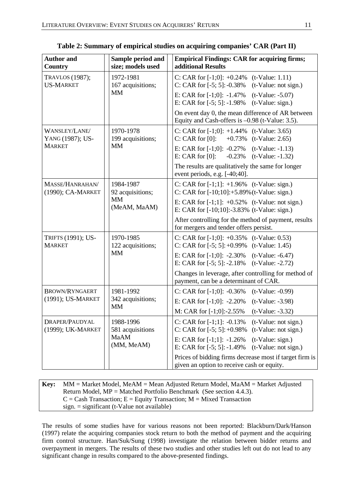| <b>Author and</b><br>Country         | Sample period and<br>size; models used | <b>Empirical Findings: CAR for acquiring firms;</b><br>additional Results                                   |  |  |  |  |
|--------------------------------------|----------------------------------------|-------------------------------------------------------------------------------------------------------------|--|--|--|--|
| TRAVLOS (1987);<br><b>US-MARKET</b>  | 1972-1981<br>167 acquisitions;         | C: CAR for $[-1;0]$ : $+0.24\%$ (t-Value: 1.11)<br>C: CAR for $[-5; 5]$ : $-0.38\%$ (t-Value: not sign.)    |  |  |  |  |
|                                      | <b>MM</b>                              | E: CAR for $[-1;0]$ : $-1.47\%$ (t-Value: $-5.07$ )<br>E: CAR for $[-5; 5]$ : $-1.98\%$ (t-Value: sign.)    |  |  |  |  |
|                                      |                                        | On event day 0, the mean difference of AR between<br>Equity and Cash-offers is -0.98 (t-Value: 3.5).        |  |  |  |  |
| WANSLEY/LANE/<br>YANG (1987); US-    | 1970-1978<br>199 acquisitions;         | C: CAR for $[-1;0]$ : $+1.44\%$ (t-Value: 3.65)<br>C: CAR for [0]:<br>$+0.73\%$ (t-Value: 2.65)             |  |  |  |  |
| <b>MARKET</b>                        | <b>MM</b>                              | E: CAR for $[-1;0]$ : $-0.27\%$ (t-Value: $-1.13$ )<br>E: CAR for [0]:<br>$-0.23\%$ (t-Value: $-1.32$ )     |  |  |  |  |
|                                      |                                        | The results are qualitatively the same for longer<br>event periods, e.g. [-40;40].                          |  |  |  |  |
| MASSE/HANRAHAN/<br>(1990); CA-MARKET | 1984-1987<br>92 acquisitions;          | C: CAR for $[-1;1]$ : $+1.96\%$ (t-Value: sign.)<br>C: CAR for $[-10;10]$ : $+5.89\%$ (t-Value: sign.)      |  |  |  |  |
|                                      | МM<br>(MeAM, MaAM)                     | E: CAR for $[-1;1]$ : $+0.52\%$ (t-Value: not sign.)<br>E: CAR for $[-10;10]$ : $-3.83\%$ (t-Value: sign.)  |  |  |  |  |
|                                      |                                        | After controlling for the method of payment, results<br>for mergers and tender offers persist.              |  |  |  |  |
| TRIFTS (1991); US-<br><b>MARKET</b>  | 1970-1985<br>122 acquisitions;         | C: CAR for $[-1;0]$ : $+0.35\%$ (t-Value: 0.53)<br>C: CAR for $[-5; 5]$ : +0.99% (t-Value: 1.45)            |  |  |  |  |
|                                      | <b>MM</b>                              | E: CAR for $[-1;0]$ : $-2.30\%$ (t-Value: $-6.47$ )<br>E: CAR for $[-5; 5]$ : $-2.18\%$ (t-Value: $-2.72$ ) |  |  |  |  |
|                                      |                                        | Changes in leverage, after controlling for method of<br>payment, can be a determinant of CAR.               |  |  |  |  |
| BROWN/RYNGAERT                       | 1981-1992                              | $(t-Value: -0.99)$<br>C: CAR for $[-1;0]$ : $-0.36\%$                                                       |  |  |  |  |
| (1991); US-MARKET                    | 342 acquisitions;<br><b>MM</b>         | E: CAR for $[-1;0]$ : $-2.20\%$<br>$(t-Value: -3.98)$                                                       |  |  |  |  |
|                                      |                                        | M: CAR for $[-1;0]$ :-2.55%<br>$(t-Value: -3.32)$                                                           |  |  |  |  |
| DRAPER/PAUDYAL<br>(1999); UK-MARKET  | 1988-1996<br>581 acquisitions          | C: CAR for [-1;1]: -0.13%<br>(t-Value: not sign.)<br>C: CAR for $[-5; 5]$ : +0.98%<br>(t-Value: not sign.)  |  |  |  |  |
|                                      | MaAM<br>(MM, MeAM)                     | E: CAR for $[-1;1]$ : $-1.26\%$<br>(t-Value: sign.)<br>E: CAR for [-5; 5]: -1.49%<br>(t-Value: not sign.)   |  |  |  |  |
|                                      |                                        | Prices of bidding firms decrease most if target firm is<br>given an option to receive cash or equity.       |  |  |  |  |

**Table 2: Summary of empirical studies on acquiring companies' CAR (Part II)** 

**Key:** MM = Market Model, MeAM = Mean Adjusted Return Model, MaAM = Market Adjusted Return Model, MP = Matched Portfolio Benchmark (See section 4.4.3).  $C = Cash Transaction; E = Equity Transaction; M = Mixed Transaction$  $sign = significant (t-Value not available)$ 

The results of some studies have for various reasons not been reported: Blackburn/Dark/Hanson (1997) relate the acquiring companies stock return to both the method of payment and the acquiring firm control structure. Han/Suk/Sung (1998) investigate the relation between bidder returns and overpayment in mergers. The results of these two studies and other studies left out do not lead to any significant change in results compared to the above-presented findings.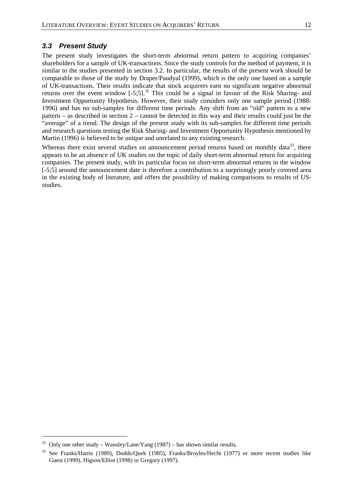### *3.3 Present Study*

The present study investigates the short-term abnormal return pattern to acquiring companies' shareholders for a sample of UK-transactions. Since the study controls for the method of payment, it is similar to the studies presented in section 3.2. In particular, the results of the present work should be comparable to those of the study by Draper/Paudyal (1999), which is the only one based on a sample of UK-transactions. Their results indicate that stock acquirers earn no significant negative abnormal returns over the event window  $[-5,5]$ .<sup>32</sup> This could be a signal in favour of the Risk Sharing- and Investment Opportunity Hypothesis. However, their study considers only one sample period (1988- 1996) and has no sub-samples for different time periods. Any shift from an "old" pattern to a new pattern – as described in section 2 – cannot be detected in this way and their results could just be the "average" of a trend. The design of the present study with its sub-samples for different time periods and research questions testing the Risk Sharing- and Investment Opportunity Hypothesis mentioned by Martin (1996) is believed to be unique and unrelated to any existing research.

Whereas there exist several studies on announcement period returns based on monthly data<sup>33</sup>, there appears to be an absence of UK studies on the topic of daily short-term abnormal return for acquiring companies. The present study, with its particular focus on short-term abnormal returns in the window [-5;5] around the announcement date is therefore a contribution to a surprisingly poorly covered area in the existing body of literature, and offers the possibility of making comparisons to results of USstudies.

 $32$  Only one other study – Wansley/Lane/Yang (1987) – has shown similar results.

<sup>33</sup> See Franks/Harris (1989), Dodds/Quek (1985), Franks/Broyles/Hecht (1977) or more recent studies like Guest (1999), Higson/Elliot (1998) or Gregory (1997).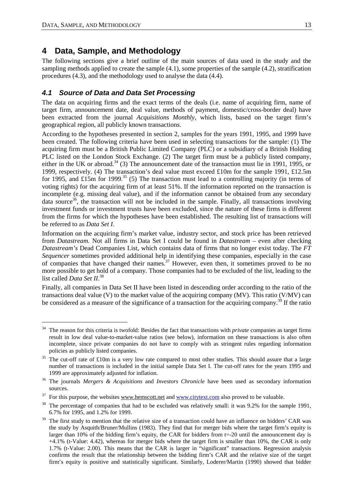$\overline{a}$ 

## **4 Data, Sample, and Methodology**

The following sections give a brief outline of the main sources of data used in the study and the sampling methods applied to create the sample (4.1), some properties of the sample (4.2), stratification procedures (4.3), and the methodology used to analyse the data (4.4).

## *4.1 Source of Data and Data Set Processing*

The data on acquiring firms and the exact terms of the deals (i.e. name of acquiring firm, name of target firm, announcement date, deal value, methods of payment, domestic/cross-border deal) have been extracted from the journal *Acquisitions Monthly*, which lists, based on the target firm's geographical region, all publicly known transactions.

According to the hypotheses presented in section 2, samples for the years 1991, 1995, and 1999 have been created. The following criteria have been used in selecting transactions for the sample: (1) The acquiring firm must be a British Public Limited Company (PLC) or a subsidiary of a British Holding PLC listed on the London Stock Exchange. (2) The target firm must be a publicly listed company, either in the UK or abroad.<sup>34</sup> (3) The announcement date of the transaction must lie in 1991, 1995, or 1999, respectively. (4) The transaction's deal value must exceed £10m for the sample 1991, £12.5m for 1995, and £15m for 1999.<sup>35</sup> (5) The transaction must lead to a controlling majority (in terms of voting rights) for the acquiring firm of at least 51%. If the information reported on the transaction is incomplete (e.g. missing deal value), and if the information cannot be obtained from any secondary data source<sup>36</sup>, the transaction will not be included in the sample. Finally, all transactions involving investment funds or investment trusts have been excluded, since the nature of these firms is different from the firms for which the hypotheses have been established. The resulting list of transactions will be referred to as *Data Set I*.

Information on the acquiring firm's market value, industry sector, and stock price has been retrieved from *Datastream*. Not all firms in Data Set I could be found in *Datastream* – even after checking *Datastream's* Dead Companies List, which contains data of firms that no longer exist today. The *FT Sequencer* sometimes provided additional help in identifying these companies, especially in the case of companies that have changed their names.<sup>37</sup> However, even then, it sometimes proved to be no more possible to get hold of a company. Those companies had to be excluded of the list, leading to the list called *Data Set II*. 38

Finally, all companies in Data Set II have been listed in descending order according to the ratio of the transactions deal value (V) to the market value of the acquiring company (MV). This ratio (V/MV) can be considered as a measure of the significance of a transaction for the acquiring company.<sup>39</sup> If the ratio

<sup>&</sup>lt;sup>34</sup> The reason for this criteria is twofold: Besides the fact that transactions with *private* companies as target firms result in low deal value-to-market-value ratios (see below), information on these transactions is also often incomplete, since private companies do not have to comply with as stringent rules regarding information policies as publicly listed companies.

<sup>&</sup>lt;sup>35</sup> The cut-off rate of £10m is a very low rate compared to most other studies. This should assure that a large number of transactions is included in the initial sample Data Set I. The cut-off rates for the years 1995 and 1999 are approximately adjusted for inflation. 36 The journals *Mergers & Acquisitions* and *Investors Chronicle* have been used as secondary information

sources.

 $37$  For this purpose, the websites www.hemscott.net and www.citytext.com also proved to be valuable.

<sup>&</sup>lt;sup>38</sup> The percentage of companies that had to be excluded was relatively small: it was 9.2% for the sample 1991, 6.7% for 1995, and 1.2% for 1999.

The first study to mention that the relative size of a transaction could have an influence on bidders' CAR was the study by Asquith/Bruner/Mullins (1983). They find that for merger bids where the target firm's equity is larger than 10% of the bidding firm's equity, the CAR for bidders from t=-20 until the announcement day is +4.1% (t-Value: 4.42), whereas for merger bids where the target firm is smaller than 10%, the CAR is only 1.7% (t-Value: 2.00). This means that the CAR is larger in "significant" transactions. Regression analysis confirms the result that the relationship between the bidding firm's CAR and the relative size of the target firm's equity is positive and statistically significant. Similarly, Loderer/Martin (1990) showed that bidder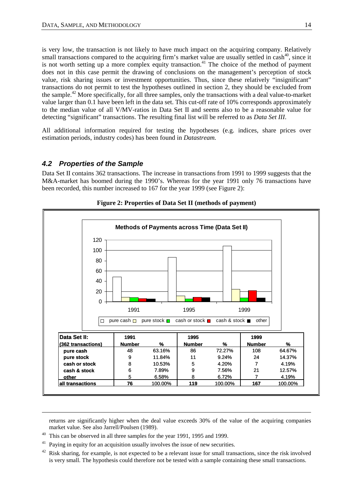is very low, the transaction is not likely to have much impact on the acquiring company. Relatively small transactions compared to the acquiring firm's market value are usually settled in cash<sup>40</sup>, since it is not worth setting up a more complex equity transaction.<sup>41</sup> The choice of the method of payment does not in this case permit the drawing of conclusions on the management's perception of stock value, risk sharing issues or investment opportunities. Thus, since these relatively "insignificant" transactions do not permit to test the hypotheses outlined in section 2, they should be excluded from the sample.42 More specifically, for all three samples, only the transactions with a deal value-to-market value larger than 0.1 have been left in the data set. This cut-off rate of 10% corresponds approximately to the median value of all V/MV-ratios in Data Set II and seems also to be a reasonable value for detecting "significant" transactions. The resulting final list will be referred to as *Data Set III*.

All additional information required for testing the hypotheses (e.g. indices, share prices over estimation periods, industry codes) has been found in *Datastream.*

## *4.2 Properties of the Sample*

Data Set II contains 362 transactions. The increase in transactions from 1991 to 1999 suggests that the M&A-market has boomed during the 1990's. Whereas for the year 1991 only 76 transactions have been recorded, this number increased to 167 for the year 1999 (see Figure 2):



**Figure 2: Properties of Data Set II (methods of payment)** 

returns are significantly higher when the deal value exceeds 30% of the value of the acquiring companies market value. See also Jarrell/Poulsen (1989).

<sup>40</sup> This can be observed in all three samples for the year 1991, 1995 and 1999.

-

 $41$  Paving in equity for an acquisition usually involves the issue of new securities.

 $42$  Risk sharing, for example, is not expected to be a relevant issue for small transactions, since the risk involved is very small. The hypothesis could therefore not be tested with a sample containing these small transactions.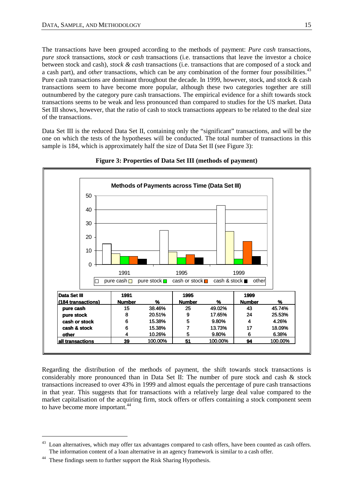The transactions have been grouped according to the methods of payment: *Pure cash* transactions, *pure stock* transactions, *stock or cash* transactions (i.e. transactions that leave the investor a choice between stock and cash), *stock & cash* transactions (i.e. transactions that are composed of a stock and a cash part), and *other* transactions, which can be any combination of the former four possibilities.<sup>43</sup> Pure cash transactions are dominant throughout the decade. In 1999, however, stock, and stock & cash transactions seem to have become more popular, although these two categories together are still outnumbered by the category pure cash transactions. The empirical evidence for a shift towards stock transactions seems to be weak and less pronounced than compared to studies for the US market. Data Set III shows, however, that the ratio of cash to stock transactions appears to be related to the deal size of the transactions.

Data Set III is the reduced Data Set II, containing only the "significant" transactions, and will be the one on which the tests of the hypotheses will be conducted. The total number of transactions in this sample is 184, which is approximately half the size of Data Set II (see Figure 3):



**Figure 3: Properties of Data Set III (methods of payment)** 

Regarding the distribution of the methods of payment, the shift towards stock transactions is considerably more pronounced than in Data Set II: The number of pure stock and cash & stock transactions increased to over 43% in 1999 and almost equals the percentage of pure cash transactions in that year. This suggests that for transactions with a relatively large deal value compared to the market capitalisation of the acquiring firm, stock offers or offers containing a stock component seem to have become more important.<sup>44</sup>

Loan alternatives, which may offer tax advantages compared to cash offers, have been counted as cash offers. The information content of a loan alternative in an agency framework is similar to a cash offer.

<sup>&</sup>lt;sup>44</sup> These findings seem to further support the Risk Sharing Hypothesis.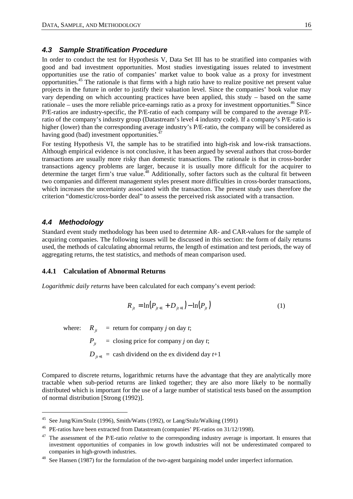## *4.3 Sample Stratification Procedure*

In order to conduct the test for Hypothesis V, Data Set III has to be stratified into companies with good and bad investment opportunities. Most studies investigating issues related to investment opportunities use the ratio of companies' market value to book value as a proxy for investment opportunities.45 The rationale is that firms with a high ratio have to realize positive net present value projects in the future in order to justify their valuation level. Since the companies' book value may vary depending on which accounting practices have been applied, this study – based on the same rationale – uses the more reliable price-earnings ratio as a proxy for investment opportunities.<sup>46</sup> Since P/E-ratios are industry-specific, the P/E-ratio of each company will be compared to the average P/Eratio of the company's industry group (Datastream's level 4 industry code). If a company's P/E-ratio is higher (lower) than the corresponding average industry's P/E-ratio, the company will be considered as having good (bad) investment opportunities.<sup>4</sup>

For testing Hypothesis VI, the sample has to be stratified into high-risk and low-risk transactions. Although empirical evidence is not conclusive, it has been argued by several authors that cross-border transactions are usually more risky than domestic transactions. The rationale is that in cross-border transactions agency problems are larger, because it is usually more difficult for the acquirer to determine the target firm's true value.<sup>48</sup> Additionally, softer factors such as the cultural fit between two companies and different management styles present more difficulties in cross-border transactions, which increases the uncertainty associated with the transaction. The present study uses therefore the criterion "domestic/cross-border deal" to assess the perceived risk associated with a transaction.

### *4.4 Methodology*

 $\overline{a}$ 

Standard event study methodology has been used to determine AR- and CAR-values for the sample of acquiring companies. The following issues will be discussed in this section: the form of daily returns used, the methods of calculating abnormal returns, the length of estimation and test periods, the way of aggregating returns, the test statistics, and methods of mean comparison used.

### **4.4.1 Calculation of Abnormal Returns**

*Logarithmic daily returns* have been calculated for each company's event period:

$$
R_{jt} = \ln(P_{jt+1} + D_{jt+1}) - \ln(P_{jt})
$$
\n(1)

where:  $R_{it}$  = return for company *j* on day *t*;

 $P_{it}$  = closing price for company *j* on day *t*;

 $D_{i+1}$  = cash dividend on the ex dividend day *t*+1

Compared to discrete returns, logarithmic returns have the advantage that they are analytically more tractable when sub-period returns are linked together; they are also more likely to be normally distributed which is important for the use of a large number of statistical tests based on the assumption of normal distribution [Strong (1992)].

<sup>&</sup>lt;sup>45</sup> See Jung/Kim/Stulz (1996), Smith/Watts (1992), or Lang/Stulz/Walking (1991)<br><sup>46</sup> PE-ratios have been extracted from Datastream (companies' PE-ratios on 31/12/1998).

<sup>&</sup>lt;sup>47</sup> The assessment of the P/E-ratio *relative* to the corresponding industry average is important. It ensures that investment opportunities of companies in low growth industries will not be underestimated compared to companies in high-growth industries.

<sup>&</sup>lt;sup>48</sup> See Hansen (1987) for the formulation of the two-agent bargaining model under imperfect information.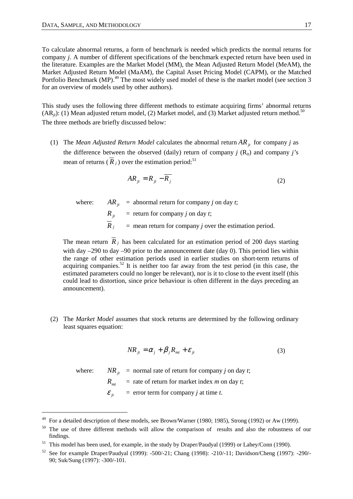To calculate abnormal returns, a form of benchmark is needed which predicts the normal returns for company *j*. A number of different specifications of the benchmark expected return have been used in the literature. Examples are the Market Model (MM), the Mean Adjusted Return Model (MeAM), the Market Adjusted Return Model (MaAM), the Capital Asset Pricing Model (CAPM), or the Matched Portfolio Benchmark (MP).<sup>49</sup> The most widely used model of these is the market model (see section 3 for an overview of models used by other authors).

This study uses the following three different methods to estimate acquiring firms' abnormal returns  $(AR_{it})$ : (1) Mean adjusted return model, (2) Market model, and (3) Market adjusted return method.<sup>50</sup> The three methods are briefly discussed below:

(1) The *Mean Adjusted Return Model* calculates the abnormal return  $AR_i$  for company *j* as the difference between the observed (daily) return of company *j*  $(R_{it})$  and company *j's* mean of returns  $(R_i)$  over the estimation period:<sup>51</sup>

$$
AR_{jt} = R_{jt} - \overline{R_j} \tag{2}
$$

where: *AR<sub>it</sub>* = abnormal return for company *j* on day *t*;

 $R_{it}$  = return for company *j* on day *t*;

 $\overline{R}_{i}$  = mean return for company *j* over the estimation period.

The mean return  $\overline{R}_j$  has been calculated for an estimation period of 200 days starting with day –290 to day –90 prior to the announcement date (day 0). This period lies within the range of other estimation periods used in earlier studies on short-term returns of acquiring companies.<sup>52</sup> It is neither too far away from the test period (in this case, the estimated parameters could no longer be relevant), nor is it to close to the event itself (this could lead to distortion, since price behaviour is often different in the days preceding an announcement).

(2) The *Market Model* assumes that stock returns are determined by the following ordinary least squares equation:

$$
NR_{jt} = \alpha_j + \beta_j R_{mt} + \varepsilon_{jt}
$$
\n(3)

 $\overline{a}$ 

where: *NR<sub>it</sub>* = normal rate of return for company *j* on day *t*;

 $R_{mt}$  = rate of return for market index *m* on day *t*;

 $\mathcal{E}_{it}$  = error term for company *j* at time *t*.

<sup>&</sup>lt;sup>49</sup> For a detailed description of these models, see Brown/Warner (1980; 1985), Strong (1992) or Aw (1999).

<sup>&</sup>lt;sup>50</sup> The use of three different methods will allow the comparison of results and also the robustness of our findings.

<sup>&</sup>lt;sup>51</sup> This model has been used, for example, in the study by Draper/Paudyal (1999) or Lahey/Conn (1990).

<sup>52</sup> See for example Draper/Paudyal (1999): -500/-21; Chang (1998): -210/-11; Davidson/Cheng (1997): -290/- 90; Suk/Sung (1997): -300/-101.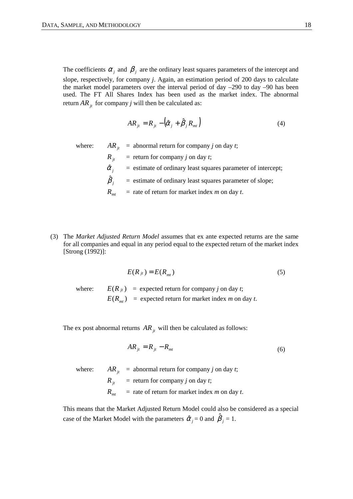The coefficients  $\alpha_i$  and  $\beta_j$  are the ordinary least squares parameters of the intercept and slope, respectively, for company *j*. Again, an estimation period of 200 days to calculate the market model parameters over the interval period of day –290 to day –90 has been used. The FT All Shares Index has been used as the market index. The abnormal return  $AR_{it}$  for company *j* will then be calculated as:

$$
AR_{jt} = R_{jt} - (\hat{\alpha}_j + \hat{\beta}_j R_{mt})
$$
\n(4)

where:  $AR_{it}$  = abnormal return for company *j* on day *t*;

 $R_{it}$  = return for company *j* on day *t*;

 $\hat{\alpha}_i$  = estimate of ordinary least squares parameter of intercept;

 $\hat{\beta}_i$  $=$  estimate of ordinary least squares parameter of slope;

 $R_{mt}$  = rate of return for market index *m* on day *t*.

(3) The *Market Adjusted Return Model* assumes that ex ante expected returns are the same for all companies and equal in any period equal to the expected return of the market index [Strong (1992)]:

$$
E(R_{jt}) = E(R_{mt})
$$
\n<sup>(5)</sup>

where:  $E(R_{it})$  = expected return for company *j* on day *t*;  $E(R_{mt})$  = expected return for market index *m* on day *t*.

The ex post abnormal returns  $AR_{it}$  will then be calculated as follows:

$$
AR_{jt} = R_{jt} - R_{mt} \tag{6}
$$

where:  $AR_{it}$  = abnormal return for company *j* on day *t*;

 $R_{it}$  = return for company *j* on day *t*;  $R_{mt}$  = rate of return for market index *m* on day *t*.

This means that the Market Adjusted Return Model could also be considered as a special case of the Market Model with the parameters  $\hat{\alpha}_j = 0$  and  $\hat{\beta}_j = 1$ .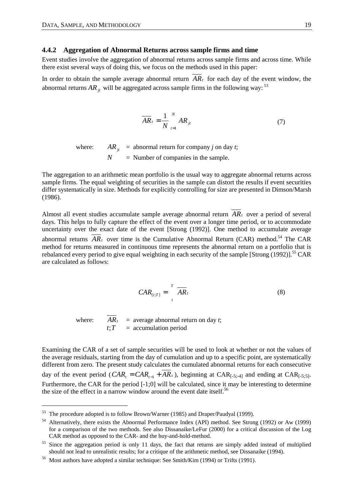### **4.4.2 Aggregation of Abnormal Returns across sample firms and time**

Event studies involve the aggregation of abnormal returns across sample firms and across time. While there exist several ways of doing this, we focus on the methods used in this paper:

In order to obtain the sample average abnormal return  $AR<sub>t</sub>$  for each day of the event window, the abnormal returns  $AR_i$ , will be aggregated across sample firms in the following way:<sup>53</sup>

$$
\overline{AR}_t = \frac{1}{N} \sum_{t=1}^{N} AR_{jt} \tag{7}
$$

where:  $AR_{it}$  = abnormal return for company *j* on day *t*;  $N =$  Number of companies in the sample.

The aggregation to an arithmetic mean portfolio is the usual way to aggregate abnormal returns across sample firms. The equal weighting of securities in the sample can distort the results if event securities differ systematically in size. Methods for explicitly controlling for size are presented in Dimson/Marsh (1986).

Almost all event studies accumulate sample average abnormal return *ARt* over a period of several days. This helps to fully capture the effect of the event over a longer time period, or to accommodate uncertainty over the exact date of the event [Strong (1992)]. One method to accumulate average abnormal returns  $\overline{AR}_t$  over time is the Cumulative Abnormal Return (CAR) method.<sup>54</sup> The CAR method for returns measured in continuous time represents the abnormal return on a portfolio that is rebalanced every period to give equal weighting in each security of the sample  $[Strong (1992)]$ .<sup>55</sup> CAR are calculated as follows:

$$
CAR_{[t;T]} = \prod_{t}^{T} \overline{AR}_{t}
$$
 (8)

 $\overline{a}$ 

where:  $AR_t$  = average abnormal return on day *t*;  $t$ <sup>*t*</sup> = accumulation period

Examining the CAR of a set of sample securities will be used to look at whether or not the values of the average residuals, starting from the day of cumulation and up to a specific point, are systematically different from zero. The present study calculates the cumulated abnormal returns for each consecutive day of the event period ( $CAR_{t} = CAR_{t-1} + AR_{t}$ ), beginning at  $CAR_{[-5,5,4]}$  and ending at  $CAR_{[-5,5]}$ . Furthermore, the CAR for the period  $[-1;0]$  will be calculated, since it may be interesting to determine the size of the effect in a narrow window around the event date itself.<sup>56</sup>

<sup>53</sup> The procedure adopted is to follow Brown/Warner (1985) and Draper/Paudyal (1999).

<sup>54</sup> Alternatively, there exists the Abnormal Performance Index (API) method. See Strong (1992) or Aw (1999) for a comparison of the two methods. See also Dissanaike/LeFur (2000) for a critical discussion of the Log CAR method as opposed to the CAR- and the buy-and-hold-method.

<sup>&</sup>lt;sup>55</sup> Since the aggregation period is only 11 days, the fact that returns are simply added instead of multiplied should not lead to unrealistic results; for a critique of the arithmetic method, see Dissanaike (1994).

<sup>56</sup> Most authors have adopted a similar technique: See Smith/Kim (1994) or Trifts (1991).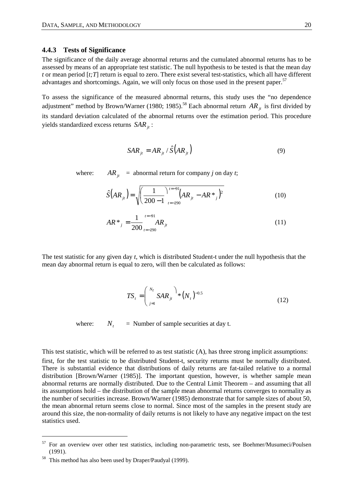### **4.4.3 Tests of Significance**

The significance of the daily average abnormal returns and the cumulated abnormal returns has to be assessed by means of an appropriate test statistic. The null hypothesis to be tested is that the mean day *t* or mean period [*t;T*] return is equal to zero. There exist several test-statistics, which all have different advantages and shortcomings. Again, we will only focus on those used in the present paper.<sup>57</sup>

To assess the significance of the measured abnormal returns, this study uses the "no dependence adjustment" method by Brown/Warner (1980; 1985).<sup>58</sup> Each abnormal return  $AR_{i}$  is first divided by its standard deviation calculated of the abnormal returns over the estimation period. This procedure yields standardized excess returns  $SAR_{it}$ :

$$
SAR_{ji} = AR_{ji} / \hat{S}(AR_{ji})
$$
\n(9)

where:  $AR_{it}$  = abnormal return for company *j* on day *t*;

$$
\hat{S}(AR_{jt}) = \sqrt{\left(\frac{1}{200 - 1}\right)^{t = -91}_{t = -290}} (AR_{jt} - AR \cdot \frac{1}{t})^2
$$
\n(10)

$$
AR^*_{j} = \frac{1}{200} \bigg|_{t=-290}^{t=-91} AR_{jt}
$$
\n(11)

The test statistic for any given day *t*, which is distributed Student-t under the null hypothesis that the mean day abnormal return is equal to zero, will then be calculated as follows:

$$
TS_{t} = \left(\sum_{j=1}^{N_{t}} SAR_{jt}\right)^{1} * (N_{t})^{-0.5}
$$
\n(12)

where:  $N_t =$  Number of sample securities at day t.

This test statistic, which will be referred to as test statistic (A), has three strong implicit assumptions:

first, for the test statistic to be distributed Student-t, security returns must be normally distributed. There is substantial evidence that distributions of daily returns are fat-tailed relative to a normal distribution [Brown/Warner (1985)]. The important question, however, is whether sample mean abnormal returns are normally distributed. Due to the Central Limit Theorem – and assuming that all its assumptions hold – the distribution of the sample mean abnormal returns converges to normality as the number of securities increase. Brown/Warner (1985) demonstrate that for sample sizes of about 50, the mean abnormal return seems close to normal. Since most of the samples in the present study are around this size, the non-normality of daily returns is not likely to have any negative impact on the test statistics used.

<sup>&</sup>lt;sup>57</sup> For an overview over other test statistics, including non-parametric tests, see Boehmer/Musumeci/Poulsen (1991).

<sup>58</sup> This method has also been used by Draper/Paudyal (1999).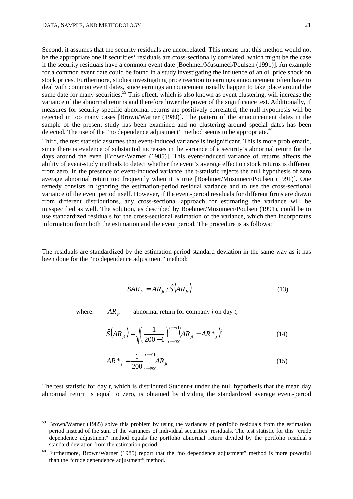$\overline{a}$ 

Second, it assumes that the security residuals are uncorrelated. This means that this method would not be the appropriate one if securities' residuals are cross-sectionally correlated, which might be the case if the security residuals have a common event date [Boehmer/Musumeci/Poulsen (1991)]. An example for a common event date could be found in a study investigating the influence of an oil price shock on stock prices. Furthermore, studies investigating price reaction to earnings announcement often have to deal with common event dates, since earnings announcement usually happen to take place around the same date for many securities.<sup>59</sup> This effect, which is also known as event clustering, will increase the variance of the abnormal returns and therefore lower the power of the significance test. Additionally, if measures for security specific abnormal returns are positively correlated, the null hypothesis will be rejected in too many cases [Brown/Warner (1980)]. The pattern of the announcement dates in the sample of the present study has been examined and no clustering around special dates has been detected. The use of the "no dependence adjustment" method seems to be appropriate. $60$ 

Third, the test statistic assumes that event-induced variance is insignificant. This is more problematic, since there is evidence of substantial increases in the variance of a security's abnormal return for the days around the even [Brown/Warner (1985)]. This event-induced variance of returns affects the ability of event-study methods to detect whether the event's average effect on stock returns is different from zero. In the presence of event-induced variance, the t-statistic rejects the null hypothesis of zero average abnormal return too frequently when it is true [Boehmer/Musumeci/Poulsen (1991)]. One remedy consists in ignoring the estimation-period residual variance and to use the cross-sectional variance of the event period itself. However, if the event-period residuals for different firms are drawn from different distributions, any cross-sectional approach for estimating the variance will be misspecified as well. The solution, as described by Boehmer/Musumeci/Poulsen (1991), could be to use standardized residuals for the cross-sectional estimation of the variance, which then incorporates information from both the estimation and the event period. The procedure is as follows:

The residuals are standardized by the estimation-period standard deviation in the same way as it has been done for the "no dependence adjustment" method:

$$
SAR_{ji} = AR_{ji} / \hat{S}(AR_{ji})
$$
\n(13)

where:  $AR_{it}$  = abnormal return for company *j* on day *t*;

$$
\hat{S}(AR_{jt}) = \sqrt{\left(\frac{1}{200 - 1}\right)^{t = -91}_{t = -290}} (AR_{jt} - AR \cdot \frac{1}{t})^2
$$
\n(14)

$$
AR^*_{j} = \frac{1}{200} \bigg|_{t=-290}^{t=-91} AR_{jt}
$$
\n(15)

The test statistic for day *t,* which is distributed Student-t under the null hypothesis that the mean day abnormal return is equal to zero, is obtained by dividing the standardized average event-period

<sup>59</sup> Brown/Warner (1985) solve this problem by using the variances of portfolio residuals from the estimation period instead of the sum of the variances of individual securities' residuals. The test statistic for this "crude dependence adjustment" method equals the portfolio abnormal return divided by the portfolio residual's standard deviation from the estimation period.

Furthermore, Brown/Warner (1985) report that the "no dependence adjustment" method is more powerful than the "crude dependence adjustment" method.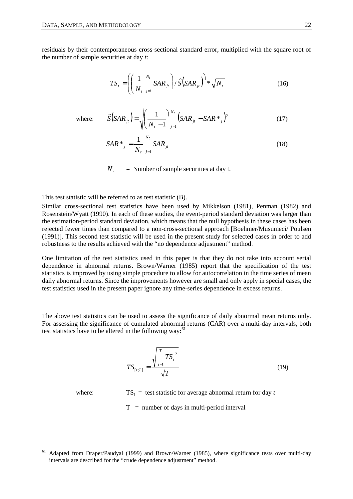residuals by their contemporaneous cross-sectional standard error, multiplied with the square root of the number of sample securities at day *t*:

$$
TS_{t} = \left( \left( \frac{1}{N_{t}} \sum_{j=1}^{N_{t}} SAR_{jt} \right) / \hat{S}(SAR_{jt}) \right) * \sqrt{N_{t}}
$$
(16)

where: 
$$
\hat{S}(SAR_{jt}) = \sqrt{\left(\frac{1}{N_t - 1}\right)^{N_t} \left(SAR_{jt} - SAR *_{j}\right)^2}
$$
 (17)

$$
SAR^*_{j} = \frac{1}{N_t} \sum_{j=1}^{N_t} SAR_{jt}
$$
 (18)

 $N_t$  = Number of sample securities at day t.

This test statistic will be referred to as test statistic (B).

Similar cross-sectional test statistics have been used by Mikkelson (1981), Penman (1982) and Rosenstein/Wyatt (1990). In each of these studies, the event-period standard deviation was larger than the estimation-period standard deviation, which means that the null hypothesis in these cases has been rejected fewer times than compared to a non-cross-sectional approach [Boehmer/Musumeci/ Poulsen (1991)]. This second test statistic will be used in the present study for selected cases in order to add robustness to the results achieved with the "no dependence adjustment" method.

One limitation of the test statistics used in this paper is that they do not take into account serial dependence in abnormal returns. Brown/Warner (1985) report that the specification of the test statistics is improved by using simple procedure to allow for autocorrelation in the time series of mean daily abnormal returns. Since the improvements however are small and only apply in special cases, the test statistics used in the present paper ignore any time-series dependence in excess returns.

The above test statistics can be used to assess the significance of daily abnormal mean returns only. For assessing the significance of cumulated abnormal returns (CAR) over a multi-day intervals, both test statistics have to be altered in the following way: $61$ 

$$
TS_{[t:T]} = \frac{\sqrt{\frac{T}{t-1}TS_t^2}}{\sqrt{T}}
$$
(19)

where:  $TS_t = \text{test statistic for average abnormal return for day } t$ 

 $T =$  number of days in multi-period interval

Adapted from Draper/Paudyal (1999) and Brown/Warner (1985), where significance tests over multi-day intervals are described for the "crude dependence adjustment" method.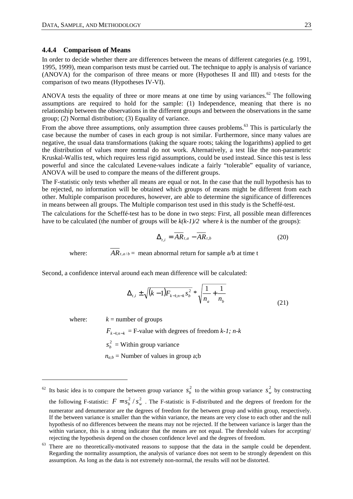### **4.4.4 Comparison of Means**

In order to decide whether there are differences between the means of different categories (e.g. 1991, 1995, 1999), mean comparison tests must be carried out. The technique to apply is analysis of variance (ANOVA) for the comparison of three means or more (Hypotheses II and III) and t-tests for the comparison of two means (Hypotheses IV-VI).

ANOVA tests the equality of three or more means at one time by using variances.<sup>62</sup> The following assumptions are required to hold for the sample: (1) Independence, meaning that there is no relationship between the observations in the different groups and between the observations in the same group; (2) Normal distribution; (3) Equality of variance.

From the above three assumptions, only assumption three causes problems.<sup>63</sup> This is particularly the case because the number of cases in each group is not similar. Furthermore, since many values are negative, the usual data transformations (taking the square roots; taking the logarithms) applied to get the distribution of values more normal do not work. Alternatively, a test like the non-parametric Kruskal-Wallis test, which requires less rigid assumptions, could be used instead. Since this test is less powerful and since the calculated Levene-values indicate a fairly "tolerable" equality of variance, ANOVA will be used to compare the means of the different groups.

The F-statistic only tests whether all means are equal or not. In the case that the null hypothesis has to be rejected, no information will be obtained which groups of means might be different from each other. Multiple comparison procedures, however, are able to determine the significance of differences in means between all groups. The Multiple comparison test used in this study is the Scheffé-test.

The calculations for the Scheffé-test has to be done in two steps: First, all possible mean differences have to be calculated (the number of groups will be  $k(k-1)/2$  where k is the number of the groups):

$$
\Delta_{t,i} = \overline{AR}_{t,a} - \overline{AR}_{t,b} \tag{20}
$$

where:  $AR_{t,a/b}$  = mean abnormal return for sample a/b at time t

Second, a confidence interval around each mean difference will be calculated:

$$
\Delta_{t,i} \pm \sqrt{(k-1)F_{k-1;n-k} s_b^2} * \sqrt{\frac{1}{n_a} + \frac{1}{n_b}}
$$
\n(21)

 $\overline{a}$ 

where:  $k =$  number of groups

 $F_{k-1:n-k}$  = F-value with degrees of freedom *k-1; n-k*  $s_b^2$  = Within group variance

 $n_{a:b}$  = Number of values in group a;b

<sup>&</sup>lt;sup>62</sup> Its basic idea is to compare the between group variance  $s_b^2$  to the within group variance  $s_w^2$  by constructing the following F-statistic:  $F = s_h^2 / s_w^2$ . The F-statistic is F-distributed and the degrees of freedom for the numerator and denumerator are the degrees of freedom for the between group and within group, respectively. If the between variance is smaller than the within variance, the means are very close to each other and the null hypothesis of no differences between the means may not be rejected. If the between variance is larger than the within variance, this is a strong indicator that the means are not equal. The threshold values for accepting/ rejecting the hypothesis depend on the chosen confidence level and the degrees of freedom.

<sup>&</sup>lt;sup>63</sup> There are no theoretically-motivated reasons to suppose that the data in the sample could be dependent. Regarding the normality assumption, the analysis of variance does not seem to be strongly dependent on this assumption. As long as the data is not extremely non-normal, the results will not be distorted.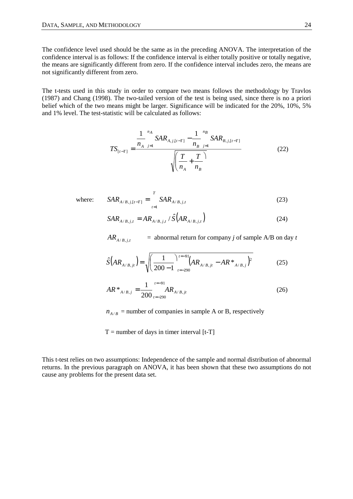The confidence level used should be the same as in the preceding ANOVA. The interpretation of the confidence interval is as follows: If the confidence interval is either totally positive or totally negative, the means are significantly different from zero. If the confidence interval includes zero, the means are not significantly different from zero.

The t-tests used in this study in order to compare two means follows the methodology by Travlos (1987) and Chang (1998). The two-tailed version of the test is being used, since there is no a priori belief which of the two means might be larger. Significance will be indicated for the 20%, 10%, 5% and 1% level. The test-statistic will be calculated as follows:

$$
TS_{[t-T]} = \frac{\frac{1}{n_A} \sum_{j=1}^{n_A} SAR_{A,j,[t-T]} - \frac{1}{n_B} \sum_{j=1}^{n_B} SAR_{B,j,[t-T]}}{\sqrt{\left(\frac{T}{n_A} + \frac{T}{n_B}\right)}}
$$
(22)

where:

$$
SAR_{A/B,j,[t-T]} = \sum_{t=1}^{T} SAR_{A/B,j,t}
$$
 (23)

$$
SAR_{A/B,j,t} = AR_{A/B,j,t} / \hat{S}(AR_{A/B,j,t})
$$
\n(24)

 $AR_{A/B}$ ,  $\rightarrow$  = abnormal return for company *j* of sample A/B on day *t* 

$$
\hat{S}(AR_{A/B,jt}) = \sqrt{\left(\frac{1}{200-1}\right)^{t=-91}_{t=-290}} (AR_{A/B,jt} - AR \cdot \frac{1}{A/B,j})^2
$$
\n(25)

$$
AR^*_{A/B,j} = \frac{1}{200} \int_{t=-290}^{t=-91} AR_{A/B,jt}
$$
 (26)

 $n_{A/B}$  = number of companies in sample A or B, respectively

 $T =$  number of days in timer interval [t-T]

This t-test relies on two assumptions: Independence of the sample and normal distribution of abnormal returns. In the previous paragraph on ANOVA, it has been shown that these two assumptions do not cause any problems for the present data set.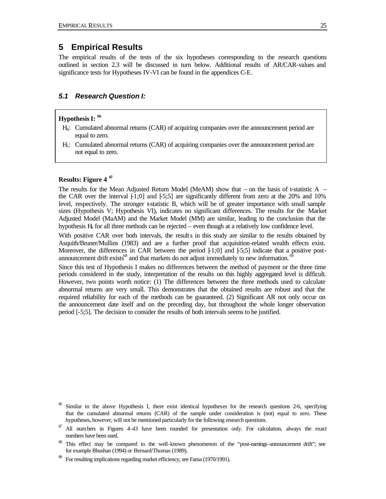## **5 Empirical Results**

The empirical results of the tests of the six hypotheses corresponding to the research questions outlined in section 2.3 will be discussed in turn below. Additional results of AR/CAR-values and significance tests for Hypotheses IV-VI can be found in the appendices C-E.

#### *5.1 Research Question I:*

## **Hypothesis I: <sup>66</sup>**

- H0: Cumulated abnormal returns (CAR) of acquiring companies over the announcement period are equal to zero.
- H1: Cumulated abnormal returns (CAR) of acquiring companies over the announcement period are not equal to zero.

#### **Results: Figure 4 <sup>67</sup>**

The results for the Mean Adjusted Return Model (MeAM) show that – on the basis of t-statistic A – the CAR over the interval  $[1;0]$  and  $[5;5]$  are significantly different from zero at the 20% and 10% level, respectively. The stronger t-statistic B, which will be of greater importance with small sample sizes (Hypothesis V; Hypothesis VI), indicates no significant differences. The results for the Market Adjusted Model (MaAM) and the Market Model (MM) are similar, leading to the conclusion that the hypothesis  $H_0$  for all three methods can be rejected – even though at a relatively low confidence level.

With positive CAR over both intervals, the results in this study are similar to the results obtained by Asquith/Bruner/Mullins (1983) and are a further proof that acquisition-related wealth effects exist. Moreover, the differences in CAR between the period  $[1;0]$  and  $[5;5]$  indicate that a positive postannouncement drift exists<sup>68</sup> and that markets do not adjust immediately to new information.

Since this test of Hypothesis I makes no differences between the method of payment or the three time periods considered in the study, interpretation of the results on this highly aggregated level is difficult. However, two points worth notice: (1) The differences between the three methods used to calculate abnormal returns are very small. This demonstrates that the obtained results are robust and that the required reliability for each of the methods can be guaranteed. (2) Significant AR not only occur on the announcement date itself and on the preceding day, but throughout the whole longer observation period [-5;5]. The decision to consider the results of both intervals seems to be justified.

Similar to the above Hypothesis I, there exist identical hypotheses for the research questions 2-6, specifying that the cumulated abnormal returns (CAR) of the sample under consideration is (not) equal to zero. These hypotheses, however, will not be mentioned particularly for the following research questions.

 $\sigma$  All numbers in Figures 4–43 have been rounded for presentation only. For calculation, always the exact numbers have been used.

<sup>&</sup>lt;sup>68</sup> This effect may be compared to the well-known phenomenon of the "post-earnings-announcement drift"; see for example Bhushan (1994) or Bernard/Thomas (1989).

For resulting implications regarding market efficiency, see Fama (1970/1991).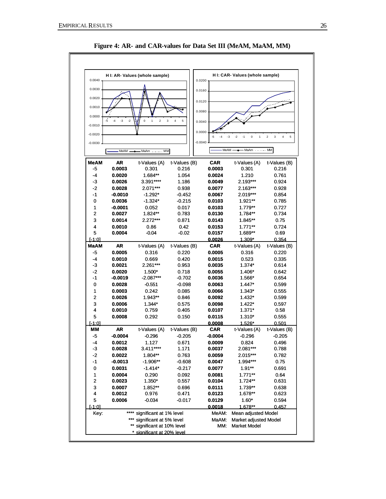

**Figure 4: AR- and CAR-values for Data Set III (MeAM, MaAM, MM)**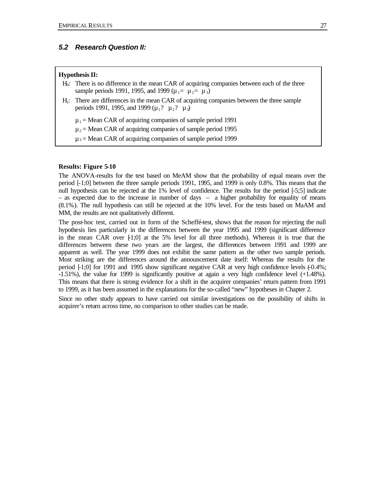#### *5.2 Research Question II:*

#### **Hypothesis II:**

- $H<sub>0</sub>$ : There is no difference in the mean CAR of acquiring companies between each of the three sample periods 1991, 1995, and 1999 ( $\mu_1 = \mu_2 = \mu_3$ )
- H<sub>1</sub>: There are differences in the mean CAR of acquiring companies between the three sample periods 1991, 1995, and 1999 ( $\mu_1$ ?  $\mu_2$ ?  $\mu_3$ )

 $\mu_1$  = Mean CAR of acquiring companies of sample period 1991

 $\mu_2$  = Mean CAR of acquiring companies of sample period 1995

 $\mu_3$  = Mean CAR of acquiring companies of sample period 1999

#### **Results: Figure 5-10**

The ANOVA-results for the test based on MeAM show that the probability of equal means over the period [-1;0] between the three sample periods 1991, 1995, and 1999 is only 0.8%. This means that the null hypothesis can be rejected at the 1% level of confidence. The results for the period [-5;5] indicate – as expected due to the increase in number of days – a higher probability for equality of means (8.1%). The null hypothesis can still be rejected at the 10% level. For the tests based on MaAM and MM, the results are not qualitatively different.

The post-hoc test, carried out in form of the Scheffé-test, shows that the reason for rejecting the null hypothesis lies particularly in the differences between the year 1995 and 1999 (significant difference in the mean CAR over  $[1;0]$  at the 5% level for all three methods). Whereas it is true that the differences between these two years are the largest, the differences between 1991 and 1999 are apparent as well. The year 1999 does not exhibit the same pattern as the other two sample periods. Most striking are the differences around the announcement date itself: Whereas the results for the period [-1;0] for 1991 and 1995 show significant negative CAR at very high confidence levels (-0.4%; -1.51%), the value for 1999 is significantly positive at again a very high confidence level (+1.48%). This means that there is strong evidence for a shift in the acquirer companies' return pattern from 1991 to 1999, as it has been assumed in the explanations for the so-called "new" hypotheses in Chapter 2.

Since no other study appears to have carried out similar investigations on the possibility of shifts in acquirer's return across time, no comparison to other studies can be made.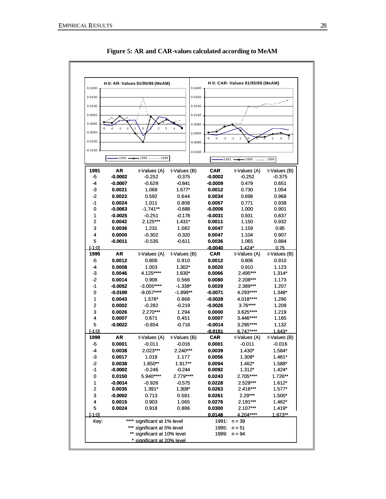

**Figure 5: AR and CAR-values calculated according to MeAM**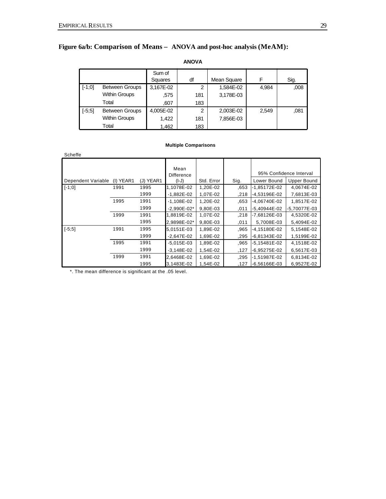## **Figure 6a/b: Comparison of Means – ANOVA and post-hoc analysis (MeAM):**

|          |                       | Sum of    |     |             |       |      |
|----------|-----------------------|-----------|-----|-------------|-------|------|
|          |                       | Squares   | df  | Mean Square |       | Sig. |
| $[-1;0]$ | <b>Between Groups</b> | 3,167E-02 | 2   | 1,584E-02   | 4,984 | ,008 |
|          | <b>Within Groups</b>  | .575      | 181 | 3,178E-03   |       |      |
|          | Total                 | ,607      | 183 |             |       |      |
| $[-5;5]$ | <b>Between Groups</b> | 4,005E-02 | 2   | 2,003E-02   | 2,549 | .081 |
|          | <b>Within Groups</b>  | 1,422     | 181 | 7,856E-03   |       |      |
|          | Total                 | 1,462     | 183 |             |       |      |

## **ANOVA**

#### **Multiple Comparisons**

| Scheffe            |           |           |                           |            |      |                         |                    |
|--------------------|-----------|-----------|---------------------------|------------|------|-------------------------|--------------------|
|                    |           |           | Mean<br><b>Difference</b> |            |      | 95% Confidence Interval |                    |
| Dependent Variable | (I) YEAR1 | (J) YEAR1 | $(I-J)$                   | Std. Error | Sig. | Lower Bound             | <b>Upper Bound</b> |
| $[-1;0]$           | 1991      | 1995      | 1,1078E-02                | 1,20E-02   | .653 | -1,85172E-02            | 4,0674E-02         |
|                    |           | 1999      | $-1,882E-02$              | 1,07E-02   | ,218 | -4,53196E-02            | 7,6813E-03         |
|                    | 1995      | 1991      | $-1,108E-02$              | 1,20E-02   | .653 | -4,06740E-02            | 1,8517E-02         |
|                    |           | 1999      | $-2.990E - 02*$           | 9.80E-03   | ,011 | $-5.40944E-02$          | -5,70077E-03       |
|                    | 1999      | 1991      | 1,8819E-02                | 1,07E-02   | .218 | -7,68126E-03            | 4,5320E-02         |
|                    |           | 1995      | 2,9898E-02*               | 9.80E-03   | .011 | 5,7008E-03              | 5,4094E-02         |
| $[-5;5]$           | 1991      | 1995      | 5,0151E-03                | 1,89E-02   | .965 | -4,15180E-02            | 5,1548E-02         |
|                    |           | 1999      | $-2,647E-02$              | 1,69E-02   | .295 | $-6,81343E-02$          | 1,5199E-02         |
|                    | 1995      | 1991      | $-5,015E-03$              | 1,89E-02   | .965 | -5,15481E-02            | 4,1518E-02         |
|                    |           | 1999      | $-3.148E - 02$            | 1,54E-02   | .127 | -6.95275E-02            | 6,5617E-03         |
|                    | 1999      | 1991      | 2,6468E-02                | 1,69E-02   | .295 | -1,51987E-02            | 6,8134E-02         |
|                    |           | 1995      | 3,1483E-02                | 1.54E-02   | .127 | $-6,56166E-03$          | 6,9527E-02         |

\*. The mean difference is significant at the .05 level.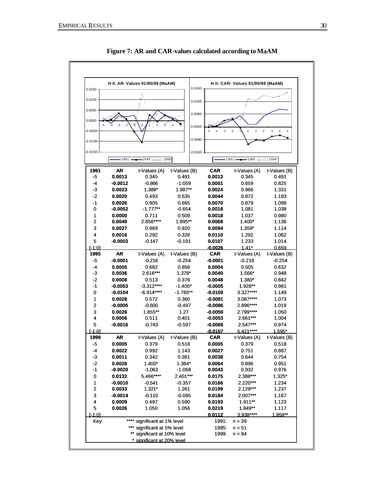

**Figure 7: AR and CAR-values calculated according to MaAM**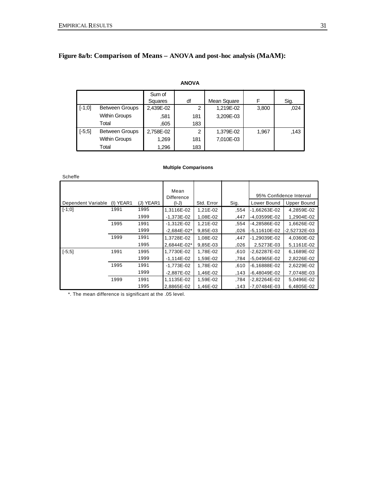## **Figure 8a/b: Comparison of Means – ANOVA and post-hoc analysis (MaAM):**

#### **ANOVA**

|          |                       | Sum of    |                |             |       |      |
|----------|-----------------------|-----------|----------------|-------------|-------|------|
|          |                       | Squares   | df             | Mean Square |       | Sig. |
| $[-1;0]$ | <b>Between Groups</b> | 2,439E-02 | 2              | 1,219E-02   | 3,800 | .024 |
|          | <b>Within Groups</b>  | .581      | 181            | 3.209E-03   |       |      |
|          | Total                 | .605      | 183            |             |       |      |
| $[-5;5]$ | <b>Between Groups</b> | 2,758E-02 | $\overline{2}$ | 1,379E-02   | 1,967 | .143 |
|          | <b>Within Groups</b>  | 1,269     | 181            | 7,010E-03   |       |      |
|          | Total                 | 1,296     | 183            |             |       |      |

#### **Multiple Comparisons**

| Scheffe            |           |           |                                      |            |      |                  |                                               |
|--------------------|-----------|-----------|--------------------------------------|------------|------|------------------|-----------------------------------------------|
| Dependent Variable | (I) YEAR1 | (J) YEAR1 | Mean<br><b>Difference</b><br>$(I-J)$ | Std. Error | Sig. | Lower Bound      | 95% Confidence Interval<br><b>Upper Bound</b> |
| $[-1;0]$           | 1991      | 1995      | 1,3116E-02                           | 1,21E-02   | .554 | $-1,66263E-02$   | 4,2859E-02                                    |
|                    |           | 1999      | $-1,373E-02$                         | 1,08E-02   | ,447 | -4,03599E-02     | 1,2904E-02                                    |
|                    | 1995      | 1991      | $-1,312E-02$                         | 1,21E-02   | .554 | -4,28586E-02     | 1,6626E-02                                    |
|                    |           | 1999      | $-2.684E - 02*$                      | 9,85E-03   | 026  | $-5,11610E-02$   | $-2,52732E-03$                                |
|                    | 1999      | 1991      | 1.3728E-02                           | 1,08E-02   | ,447 | $-1.29039E - 02$ | 4.0360E-02                                    |
|                    |           | 1995      | 2.6844E-02*                          | 9.85E-03   | .026 | 2.5273E-03       | 5,1161E-02                                    |
| $[-5;5]$           | 1991      | 1995      | 1,7730E-02                           | 1,78E-02   | .610 | -2,62287E-02     | 6,1689E-02                                    |
|                    |           | 1999      | $-1.114E-02$                         | 1.59E-02   | .784 | -5.04965E-02     | 2,8226E-02                                    |
|                    | 1995      | 1991      | $-1.773E-02$                         | 1,78E-02   | .610 | $-6.16888E - 02$ | 2,6229E-02                                    |
|                    |           | 1999      | $-2,887E-02$                         | 1.46E-02   | .143 | $-6.48049E-02$   | 7,0748E-03                                    |
|                    | 1999      | 1991      | 1,1135E-02                           | 1,59E-02   | .784 | -2,82264E-02     | 5,0496E-02                                    |
|                    |           | 1995      | 2.8865E-02                           | 1.46E-02   | .143 | -7.07484E-03     | 6,4805E-02                                    |

\*. The mean difference is significant at the .05 level.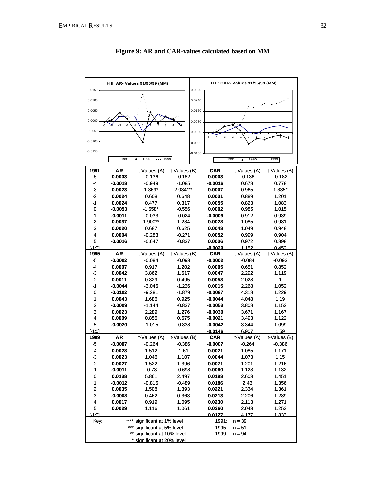

**Figure 9: AR and CAR-values calculated based on MM**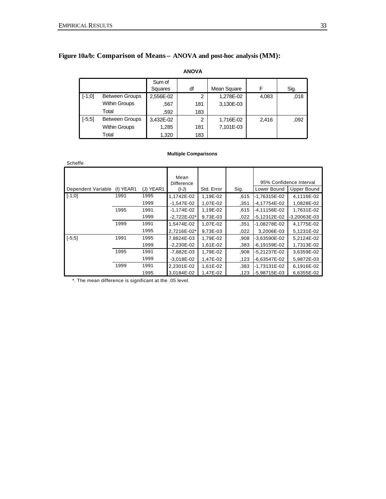## **Figure 10a/b: Comparison of Means – ANOVA and post-hoc analysis (MM):**

#### **ANOVA**

|          |                       | Sum of    |     |             |       |      |
|----------|-----------------------|-----------|-----|-------------|-------|------|
|          |                       | Squares   | df  | Mean Square | F     | Sig. |
| $[-1;0]$ | <b>Between Groups</b> | 2,556E-02 | 2   | 1,278E-02   | 4,083 | .018 |
|          | <b>Within Groups</b>  | .567      | 181 | 3,130E-03   |       |      |
|          | Total                 | .592      | 183 |             |       |      |
| $[-5;5]$ | <b>Between Groups</b> | 3,432E-02 | 2   | 1,716E-02   | 2.416 | ,092 |
|          | <b>Within Groups</b>  | 1,285     | 181 | 7,101E-03   |       |      |
|          | Total                 | 1,320     | 183 |             |       |      |

#### **Multiple Comparisons**

| Scheffe            |           |           |                                      |            |      |                |                                               |
|--------------------|-----------|-----------|--------------------------------------|------------|------|----------------|-----------------------------------------------|
| Dependent Variable | (I) YEAR1 | (J) YEAR1 | Mean<br><b>Difference</b><br>$(I-J)$ | Std. Error | Sig. | Lower Bound    | 95% Confidence Interval<br><b>Upper Bound</b> |
| $[-1;0]$           | 1991      | 1995      | 1,1742E-02                           | 1,19E-02   | .615 | -1,76315E-02   | 4,1116E-02                                    |
|                    |           | 1999      | $-1,547E-02$                         | 1,07E-02   | .351 | -4,17754E-02   | 1,0828E-02                                    |
|                    | 1995      | 1991      | $-1,174E-02$                         | 1,19E-02   | .615 | -4,11156E-02   | 1,7631E-02                                    |
|                    |           | 1999      | $-2,722E-02*$                        | 9,73E-03   | 022  | $-5,12312E-02$ | $-3,20063E-03$                                |
|                    | 1999      | 1991      | 1,5474E-02                           | 1,07E-02   | .351 | -1,08278E-02   | 4,1775E-02                                    |
|                    |           | 1995      | 2.7216E-02*                          | 9,73E-03   | 022. | 3,2006E-03     | 5,1231E-02                                    |
| $[-5;5]$           | 1991      | 1995      | 7,8824E-03                           | 1,79E-02   | .908 | -3,63590E-02   | 5.2124E-02                                    |
|                    |           | 1999      | $-2,230E-02$                         | 1,61E-02   | ,383 | -6,19159E-02   | 1,7313E-02                                    |
|                    | 1995      | 1991      | $-7,882E-03$                         | 1,79E-02   | .908 | -5,21237E-02   | 3,6359E-02                                    |
|                    |           | 1999      | $-3,018E-02$                         | 1,47E-02   | .123 | $-6,63547E-02$ | 5,9872E-03                                    |
|                    | 1999      | 1991      | 2,2301E-02                           | 1,61E-02   | .383 | $-1,73131E-02$ | 6,1916E-02                                    |
|                    |           | 1995      | 3,0184E-02                           | 1,47E-02   | .123 | $-5,98715E-03$ | 6,6355E-02                                    |

\*. The mean difference is significant at the .05 level.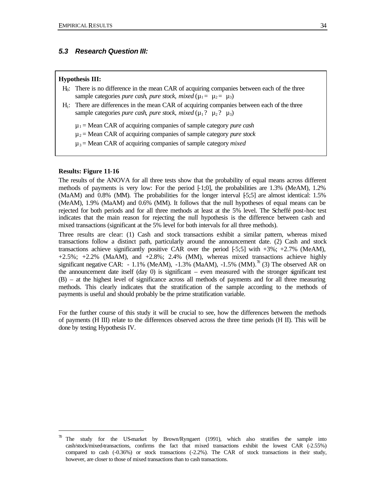#### *5.3 Research Question III:*

#### **Hypothesis III:**

- H0: There is no difference in the mean CAR of acquiring companies between each of the three sample categories *pure cash*, *pure stock*, *mixed* ( $\mu_1 = \mu_2 = \mu_3$ )
- H1: There are differences in the mean CAR of acquiring companies between each of the three sample categories *pure cash*, *pure stock*, *mixed* ( $\mu_1$ ?  $\mu_2$ ?  $\mu_3$ )
	- µ1 = Mean CAR of acquiring companies of sample category *pure cash*
	- µ2 = Mean CAR of acquiring companies of sample category *pure stock*
	- µ3 = Mean CAR of acquiring companies of sample category *mixed*

#### **Results: Figure 11-16**

 $\overline{a}$ 

The results of the ANOVA for all three tests show that the probability of equal means across different methods of payments is very low: For the period  $[-1,0]$ , the probabilities are 1.3% (MeAM), 1.2%  $(MaAM)$  and 0.8% (MM). The probabilities for the longer interval  $[5,5]$  are almost identical: 1.5% (MeAM), 1.9% (MaAM) and 0.6% (MM). It follows that the null hypotheses of equal means can be rejected for both periods and for all three methods at least at the 5% level. The Scheffé post-hoc test indicates that the main reason for rejecting the null hypothesis is the difference between cash and mixed transactions (significant at the 5% level for both intervals for all three methods).

Three results are clear: (1) Cash and stock transactions exhibit a similar pattern, whereas mixed transactions follow a distinct path, particularly around the announcement date. (2) Cash and stock transactions achieve significantly positive CAR over the period  $[-5,5]$  with  $+3\%$ ;  $+2.7\%$  (MeAM),  $+2.5\%$ ;  $+2.2\%$  (MaAM), and  $+2.8\%$ ; 2.4% (MM), whereas mixed transactions achieve highly significant negative CAR: - 1.1% (MeAM), -1.3% (MaAM), -1.5% (MM).<sup>70</sup> (3) The observed AR on the announcement date itself (day 0) is significant – even measured with the stronger significant test (B) – at the highest level of significance across all methods of payments and for all three measuring methods. This clearly indicates that the stratification of the sample according to the methods of payments is useful and should probably be the prime stratification variable.

For the further course of this study it will be crucial to see, how the differences between the methods of payments (H III) relate to the differences observed across the three time periods (H II). This will be done by testing Hypothesis IV.

The study for the US-market by Brown/Ryngaert (1991), which also stratifies the sample into cash/stock/mixed-transactions, confirms the fact that mixed transactions exhibit the lowest CAR (-2.55%) compared to cash (-0.36%) or stock transactions (-2.2%). The CAR of stock transactions in their study, however, are closer to those of mixed transactions than to cash transactions.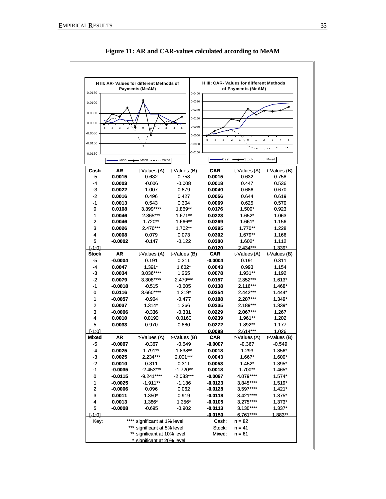

**Figure 11: AR and CAR-values calculated according to MeAM**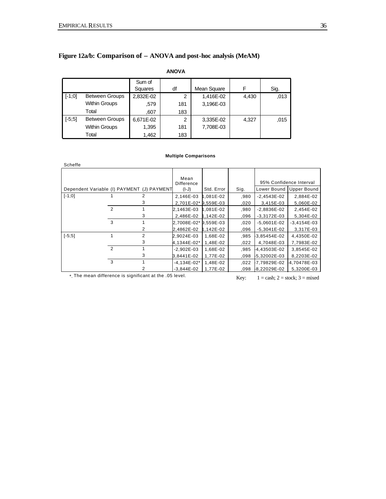## **Figure 12a/b: Comparison of – ANOVA and post-hoc analysis (MeAM)**

**ANOVA**

|          |                       | Sum of    |     |             |       |      |
|----------|-----------------------|-----------|-----|-------------|-------|------|
|          |                       | Squares   | df  | Mean Square | F     | Sig. |
| $[-1;0]$ | <b>Between Groups</b> | 2.832E-02 | 2   | 1,416E-02   | 4,430 | ,013 |
|          | <b>Within Groups</b>  | .579      | 181 | 3,196E-03   |       |      |
|          | Total                 | .607      | 183 |             |       |      |
| $[-5;5]$ | <b>Between Groups</b> | 6,671E-02 | 2   | 3,335E-02   | 4,327 | .015 |
|          | <b>Within Groups</b>  | 1,395     | 181 | 7.708E-03   |       |      |
|          | Total                 | 1,462     | 183 |             |       |      |

#### **Multiple Comparisons**

| Scheffe  |                |                                            |                           |               |      |                         |                    |
|----------|----------------|--------------------------------------------|---------------------------|---------------|------|-------------------------|--------------------|
|          |                |                                            | Mean<br><b>Difference</b> |               |      | 95% Confidence Interval |                    |
|          |                | Dependent Variable (I) PAYMENT (J) PAYMENT | $(I-J)$                   | Std. Error    | Sig. | Lower Bound             | <b>Upper Bound</b> |
| $[-1;0]$ |                | 2                                          | 2,146E-03                 | 1,081E-02     | .980 | $-2,4543E-02$           | 2,884E-02          |
|          |                | 3                                          | 2,701E-02* 9,559E-03      |               | .020 | 3,415E-03               | 5,060E-02          |
|          | $\mathcal{P}$  |                                            | 2,1463E-03                | 1.081E-02     | .980 | $-2,8836E-02$           | 2,454E-02          |
|          |                | 3                                          | 2.486E-02                 | 1.142E-02     | .096 | $-3,3172E-03$           | 5,304E-02          |
|          | 3              |                                            | 2,7008E-02* 9,559E-03     |               | 020, | $-5,0601E-02$           | $-3,4154E-03$      |
|          |                | 2                                          | 2,4862E-02                | $1.142E - 02$ | .096 | $-5,3041E-02$           | 3,317E-03          |
| $[-5;5]$ |                | 2                                          | 2,9024E-03                | 1,68E-02      | .985 | 3,85454E-02             | 4,4350E-02         |
|          |                | 3                                          | 4.1344E-02*               | 1,48E-02      | .022 | 4,7048E-03              | 7,7983E-02         |
|          | $\overline{2}$ |                                            | $-2,902E-03$              | 1,68E-02      | .985 | 4,43503E-02             | 3,8545E-02         |
|          |                | 3                                          | 3,8441E-02                | 1,77E-02      | .098 | -5,32002E-03            | 8,2203E-02         |
|          | 3              |                                            | $-4,134E-02*$             | 1,48E-02      | .022 | -7,79829E-02            | -4,70478E-03       |
|          |                |                                            | $-3.844E-02$              | 1,77E-02      | .098 | -8,22029E-02            | 5,3200E-03         |

\*. The mean difference is significant at the .05 level. Key:  $1 = \cosh 2 = \operatorname{stock}$ ;  $3 = \operatorname{mixed}$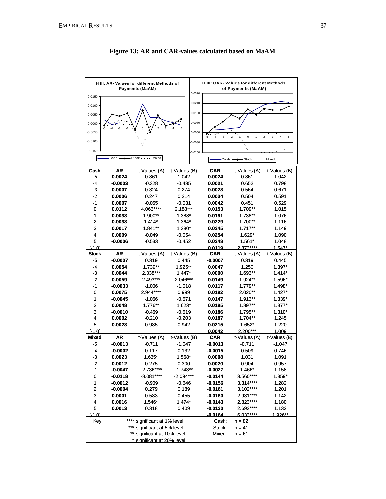

**Figure 13: AR and CAR-values calculated based on MaAM**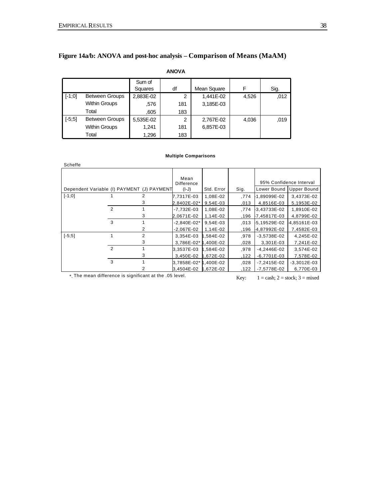## **Figure 14a/b: ANOVA and post-hoc analysis – Comparison of Means (MaAM)**

#### **ANOVA**

|          |                       | Sum of    |     |             |       |      |
|----------|-----------------------|-----------|-----|-------------|-------|------|
|          |                       | Squares   | df  | Mean Square | F     | Sig. |
| $[-1;0]$ | <b>Between Groups</b> | 2,883E-02 | 2   | 1,441E-02   | 4,526 | .012 |
|          | <b>Within Groups</b>  | .576      | 181 | 3,185E-03   |       |      |
|          | Total                 | .605      | 183 |             |       |      |
| $[-5;5]$ | <b>Between Groups</b> | 5,535E-02 | 2   | 2,767E-02   | 4,036 | ,019 |
|          | <b>Within Groups</b>  | 1.241     | 181 | 6.857E-03   |       |      |
|          | Total                 | 1,296     | 183 |             |       |      |

#### **Multiple Comparisons**

| Scheffe  |                |                                            |                           |            |      |               |                         |
|----------|----------------|--------------------------------------------|---------------------------|------------|------|---------------|-------------------------|
|          |                |                                            | Mean<br><b>Difference</b> |            |      |               | 95% Confidence Interval |
|          |                | Dependent Variable (I) PAYMENT (J) PAYMENT | $(I-J)$                   | Std. Error | Sig. | Lower Bound   | <b>Upper Bound</b>      |
| $[-1;0]$ |                | 2                                          | 7,7317E-03                | 1,08E-02   | .774 | 1,89099E-02   | 3,4373E-02              |
|          |                | 3                                          | 2,8402E-02*               | 9,54E-03   | ,013 | 4,8516E-03    | 5,1953E-02              |
|          | $\overline{2}$ |                                            | $-7,732E-03$              | 1,08E-02   | .774 | 3,43733E-02   | 1,8910E-02              |
|          |                | 3                                          | 2,0671E-02                | 1,14E-02   | .196 | -7,45817E-03  | 4,8799E-02              |
|          | 3              |                                            | $-2,840E-02*$             | 9,54E-03   | .013 | -5,19529E-02  | 4,85161E-03             |
|          |                | 2                                          | $-2,067E-02$              | 1,14E-02   | .196 | -4,87992E-02  | 7,4582E-03              |
| $[-5;5]$ |                | 2                                          | 3,354E-03                 | 1,584E-02  | .978 | $-3,5738E-02$ | 4,245E-02               |
|          |                | 3                                          | 3,786E-02* 1,400E-02      |            | .028 | 3,301E-03     | 7,241E-02               |
|          | $\overline{2}$ |                                            | 3,3537E-03                | 1.584E-02  | .978 | $-4,2446E-02$ | 3,574E-02               |
|          |                | 3                                          | 3,450E-02                 | 1.672E-02  | .122 | -6,7701E-03   | 7,578E-02               |
|          | 3              |                                            | 3,7858E-02* 1,400E-02     |            | .028 | -7,2415E-02   | $-3,3012E-03$           |
|          |                | 2                                          | 3,4504E-02                | 1.672E-02  | .122 | -7,5778E-02   | 6,770E-03               |

\*. The mean difference is significant at the .05 level. Key:  $1 = \cosh 2 = \operatorname{stock}$ ;  $3 = \operatorname{mixed}$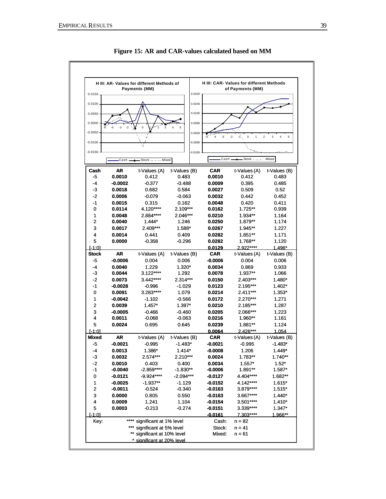

**Figure 15: AR and CAR-values calculated based on MM**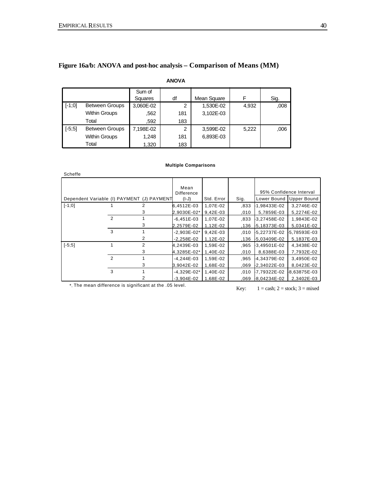### **Figure 16a/b: ANOVA and post-hoc analysis – Comparison of Means (MM)**

## **ANOVA**

|          |                       | Sum of    |     |             |       |      |
|----------|-----------------------|-----------|-----|-------------|-------|------|
|          |                       | Squares   | df  | Mean Square | F     | Sig. |
| $[-1;0]$ | <b>Between Groups</b> | 3,060E-02 | 2   | 1,530E-02   | 4,932 | ,008 |
|          | <b>Within Groups</b>  | .562      | 181 | 3,102E-03   |       |      |
|          | Total                 | .592      | 183 |             |       |      |
| $[-5;5]$ | <b>Between Groups</b> | 7,198E-02 | 2   | 3,599E-02   | 5,222 | ,006 |
|          | <b>Within Groups</b>  | 1,248     | 181 | 6,893E-03   |       |      |
|          | Total                 | 1,320     | 183 |             |       |      |

#### **Multiple Comparisons**

| Scheffe                                    |                |                |                    |            |      |              |                         |
|--------------------------------------------|----------------|----------------|--------------------|------------|------|--------------|-------------------------|
|                                            |                |                | Mean<br>Difference |            |      |              | 95% Confidence Interval |
| Dependent Variable (I) PAYMENT (J) PAYMENT |                |                | $(I-J)$            | Std. Error | Sig. | Lower Bound  | Upper Bound             |
| $[-1;0]$                                   |                | 2              | 6,4512E-03         | 1,07E-02   | .833 | 1,98433E-02  | 3,2746E-02              |
|                                            |                | 3              | 2,9030E-02*        | 9,42E-03   | .010 | 5,7859E-03   | 5,2274E-02              |
|                                            | $\overline{2}$ |                | $-6,451E-03$       | 1,07E-02   | .833 | -3,27458E-02 | 1,9843E-02              |
|                                            |                | 3              | 2,2579E-02         | 1,12E-02   | .136 | -5,18373E-03 | 5,0341E-02              |
|                                            | 3              |                | $-2,903E-02*$      | 9,42E-03   | 010. | -5,22737E-02 | 5,78593E-03             |
|                                            |                | $\overline{2}$ | $-2,258E-02$       | 1,12E-02   | .136 | -5,03409E-02 | 5,1837E-03              |
| $[-5;5]$                                   |                | 2              | 4,2439E-03         | 1,59E-02   | .965 | -3,49501E-02 | 4,3438E-02              |
|                                            |                | 3              | 4,3285E-02*        | 1,40E-02   | .010 | 8,6388E-03   | 7,7932E-02              |
|                                            | $\overline{2}$ |                | $-4,244E-03$       | 1,59E-02   | .965 | -4,34379E-02 | 3,4950E-02              |
|                                            |                | 3              | 3.9042E-02         | 1,68E-02   | .069 | -2,34022E-03 | 8,0423E-02              |
|                                            | 3              |                | $-4,329E-02*$      | 1,40E-02   | ,010 | -7,79322E-02 | 8,63875E-03             |
|                                            |                | 2              | $-3,904E-02$       | 1,68E-02   | .069 | 8,04234E-02  | 2,3402E-03              |

\*. The mean difference is significant at the .05 level. Key:  $1 = \cosh 2 = \operatorname{stock}$ ;  $3 = \text{mixed}$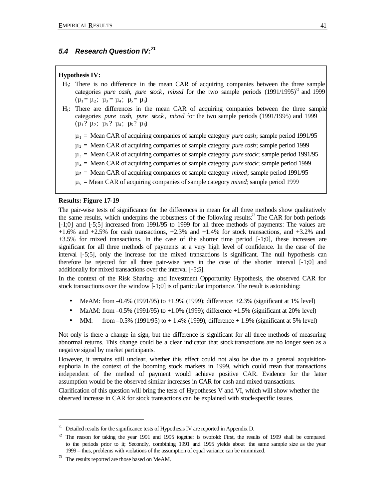## *5.4 Research Question IV:<sup>71</sup>*

#### **Hypothesis IV:**

- H0: There is no difference in the mean CAR of acquiring companies between the three sample categories *pure cash, pure stock, mixed* for the two sample periods  $(1991/1995)^{2}$  and 1999  $(\mu_1 = \mu_2; \ \mu_3 = \mu_4; \ \mu_5 = \mu_6)$
- H1: There are differences in the mean CAR of acquiring companies between the three sample categories *pure cash*, *pure stock*, *mixed* for the two sample periods (1991/1995) and 1999  $(\mu_1$ ?  $\mu_2$ ;  $\mu_3$ ?  $\mu_4$ ;  $\mu_5$ ?  $\mu_6$ )
	- $\mu_1$  = Mean CAR of acquiring companies of sample category *pure cash*; sample period 1991/95
	- µ<sup>2</sup> = Mean CAR of acquiring companies of sample category *pure cash*; sample period 1999
	- $\mu_3$  = Mean CAR of acquiring companies of sample category *pure stock*; sample period 1991/95
	- $\mu_4$  = Mean CAR of acquiring companies of sample category *pure stock*; sample period 1999
	- µ<sup>5</sup> = Mean CAR of acquiring companies of sample category *mixed*; sample period 1991/95
	- µ<sup>6</sup> = Mean CAR of acquiring companies of sample category *mixed*; sample period 1999

#### **Results: Figure 17-19**

The pair-wise tests of significance for the differences in mean for all three methods show qualitatively the same results, which underpins the robustness of the following results: $^{73}$  The CAR for both periods [-1;0] and [-5;5] increased from 1991/95 to 1999 for all three methods of payments: The values are  $+1.6\%$  and  $+2.5\%$  for cash transactions,  $+2.3\%$  and  $+1.4\%$  for stock transactions, and  $+3.2\%$  and +3.5% for mixed transactions. In the case of the shorter time period [-1;0], these increases are significant for all three methods of payments at a very high level of confidence. In the case of the interval [-5;5], only the increase for the mixed transactions is significant. The null hypothesis can therefore be rejected for all three pair-wise tests in the case of the shorter interval [-1;0] and additionally for mixed transactions over the interval [-5;5].

In the context of the Risk Sharing- and Investment Opportunity Hypothesis, the observed CAR for stock transactions over the window [-1;0] is of particular importance. The result is astonishing:

- MeAM: from  $-0.4\%$  (1991/95) to  $+1.9\%$  (1999); difference:  $+2.3\%$  (significant at 1% level)
- MaAM: from  $-0.5\%$  (1991/95) to  $+1.0\%$  (1999); difference  $+1.5\%$  (significant at 20% level)
- MM: from  $-0.5\%$  (1991/95) to  $+1.4\%$  (1999); difference  $+1.9\%$  (significant at 5% level)

Not only is there a change in sign, but the difference is significant for all three methods of measuring abnormal returns. This change could be a clear indicator that stock transactions are no longer seen as a negative signal by market participants.

However, it remains still unclear, whether this effect could not also be due to a general acquisitioneuphoria in the context of the booming stock markets in 1999, which could mean that transactions independent of the method of payment would achieve positive CAR. Evidence for the latter assumption would be the observed similar increases in CAR for cash and mixed transactions.

Clarification of this question will bring the tests of Hypotheses V and VI, which will show whether the observed increase in CAR for stock transactions can be explained with stock-specific issues.

 $\overline{a}$ 

 $71$  Detailed results for the significance tests of Hypothesis IV are reported in Appendix D.

 $72$  The reason for taking the year 1991 and 1995 together is twofold: First, the results of 1999 shall be compared to the periods prior to it; Secondly, combining 1991 and 1995 yields about the same sample size as the year 1999 – thus, problems with violations of the assumption of equal variance can be minimized.

 $73$  The results reported are those based on MeAM.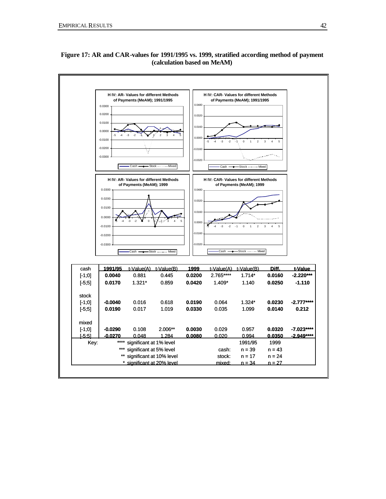

## **Figure 17: AR and CAR-values for 1991/1995 vs. 1999, stratified according method of payment (calculation based on MeAM)**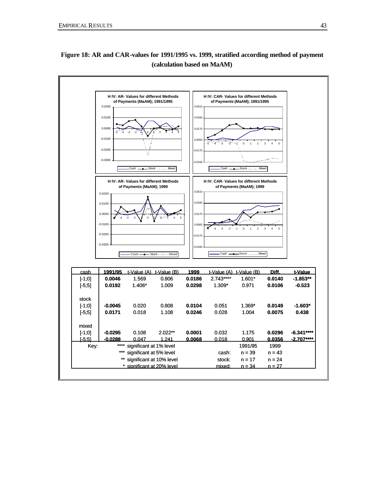

**Figure 18: AR and CAR-values for 1991/1995 vs. 1999, stratified according method of payment (calculation based on MaAM)**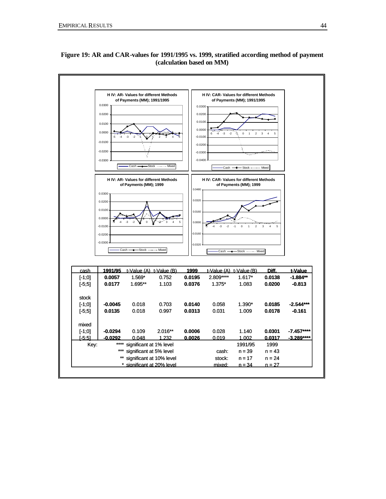

## **Figure 19: AR and CAR-values for 1991/1995 vs. 1999, stratified according method of payment (calculation based on MM)**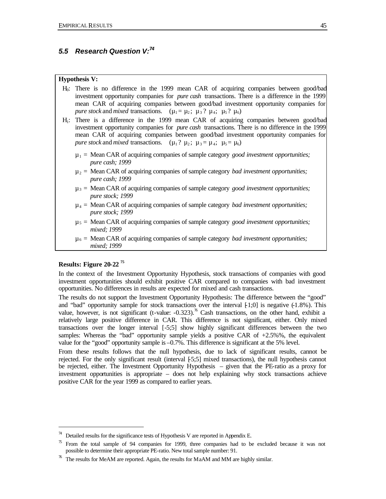## *5.5 Research Question V:<sup>74</sup>*

#### **Hypothesis V:**

| H <sub>0</sub> : There is no difference in the 1999 mean CAR of acquiring companies between good/bad  |
|-------------------------------------------------------------------------------------------------------|
| investment opportunity companies for <i>pure cash</i> transactions. There is a difference in the 1999 |
| mean CAR of acquiring companies between good/bad investment opportunity companies for                 |
| <i>pure stock</i> and <i>mixed</i> transactions. $(\mu_1 = \mu_2; \mu_3; \mu_4; \mu_5; \mu_6)$        |

- H1: There is a difference in the 1999 mean CAR of acquiring companies between good/bad investment opportunity companies for *pure cash* transactions. There is no difference in the 1999 mean CAR of acquiring companies between good/bad investment opportunity companies for *pure stock* and *mixed* transactions.  $(\mu_1? \mu_2; \mu_3 = \mu_4; \mu_5 = \mu_6)$ 
	- $\mu_1$  = Mean CAR of acquiring companies of sample category *good investment opportunities; pure cash; 1999*
	- $\mu_2$  = Mean CAR of acquiring companies of sample category *bad investment opportunities*; *pure cash; 1999*
	- µ<sup>3</sup> = Mean CAR of acquiring companies of sample category *good investment opportunities; pure stock; 1999*
	- µ<sup>4</sup> = Mean CAR of acquiring companies of sample category *bad investment opportunities; pure stock; 1999*
	- µ<sup>5</sup> = Mean CAR of acquiring companies of sample category *good investment opportunities; mixed; 1999*
	- $\mu_6$  = Mean CAR of acquiring companies of sample category *bad investment opportunities*; *mixed; 1999*

### **Results: Figure 20-22 <sup>75</sup>**

 $\overline{a}$ 

In the context of the Investment Opportunity Hypothesis, stock transactions of companies with good investment opportunities should exhibit positive CAR compared to companies with bad investment opportunities. No differences in results are expected for mixed and cash transactions.

The results do not support the Investment Opportunity Hypothesis: The difference between the "good" and "bad" opportunity sample for stock transactions over the interval  $[1;0]$  is negative  $(-1.8\%)$ . This value, however, is not significant (t-value:  $-0.323$ ).<sup>76</sup> Cash transactions, on the other hand, exhibit a relatively large positive difference in CAR. This difference is not significant, either. Only mixed transactions over the longer interval [-5;5] show highly significant differences between the two samples: Whereas the "bad" opportunity sample yields a positive CAR of  $+2.5\%$ %, the equivalent value for the "good" opportunity sample is –0.7%. This difference is significant at the 5% level.

From these results follows that the null hypothesis, due to lack of significant results, cannot be rejected. For the only significant result (interval [-5;5] mixed transactions), the null hypothesis cannot be rejected, either. The Investment Opportunity Hypothesis – given that the PE-ratio as a proxy for investment opportunities is appropriate – does not help explaining why stock transactions achieve positive CAR for the year 1999 as compared to earlier years.

 $74$  Detailed results for the significance tests of Hypothesis V are reported in Appendix E.

From the total sample of 94 companies for 1999, three companies had to be excluded because it was not possible to determine their appropriate PE-ratio. New total sample number: 91.

 $\%$  The results for MeAM are reported. Again, the results for MaAM and MM are highly similar.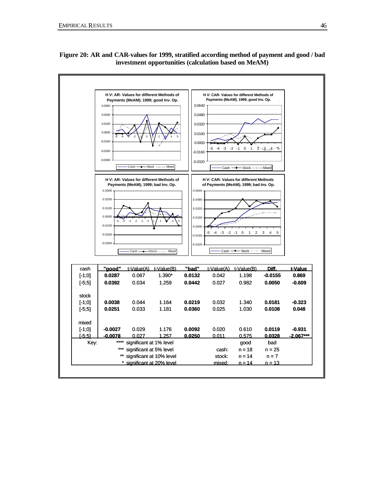

### **Figure 20: AR and CAR-values for 1999, stratified according method of payment and good / bad investment opportunities (calculation based on MeAM)**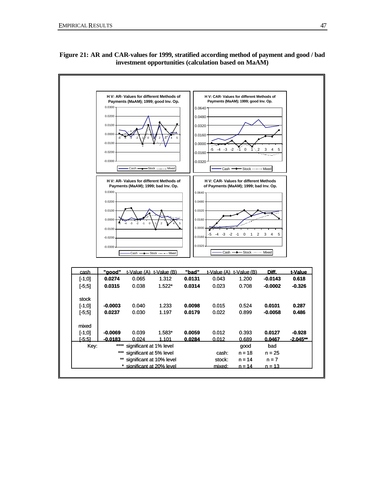

**Figure 21: AR and CAR-values for 1999, stratified according method of payment and good / bad investment opportunities (calculation based on MaAM)**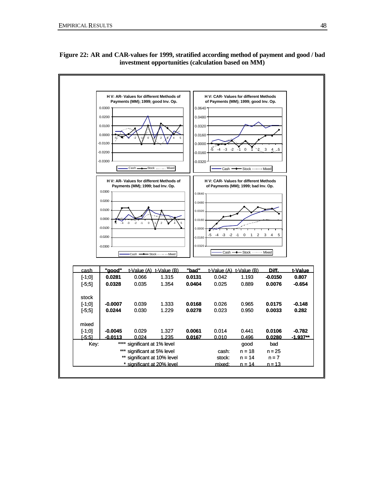

**Figure 22: AR and CAR-values for 1999, stratified according method of payment and good / bad investment opportunities (calculation based on MM)**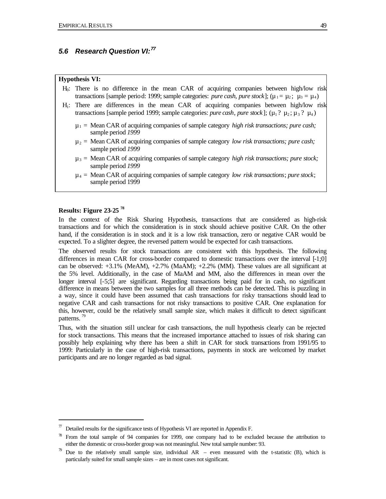## *5.6 Research Question VI:<sup>77</sup>*

#### **Hypothesis VI:**

- H0: There is no difference in the mean CAR of acquiring companies between high/low risk transactions [sample period: 1999; sample categories: *pure cash, pure stock*]; ( $\mu_1 = \mu_2$ ;  $\mu_3 = \mu_4$ )
- H1: There are differences in the mean CAR of acquiring companies between high/low risk transactions [sample period 1999; sample categories: *pure cash*, *pure stock*];  $(\mu_1 ? \mu_2 ; \mu_3 ? \mu_4)$ 
	- $\mu_1$  = Mean CAR of acquiring companies of sample category *high risk transactions; pure cash;* sample period *1999*
	- µ<sup>2</sup> = Mean CAR of acquiring companies of sample category *low risk transactions; pure cash;*  sample period *1999*
	- µ<sup>3</sup> = Mean CAR of acquiring companies of sample category *high risk transactions; pure stock;*  sample period *1999*
	- µ<sup>4</sup> = Mean CAR of acquiring companies of sample category *low risk transactions*; *pure stock*; sample period 1999

### **Results: Figure 23-25 <sup>78</sup>**

 $\overline{a}$ 

In the context of the Risk Sharing Hypothesis, transactions that are considered as high-risk transactions and for which the consideration is in stock should achieve positive CAR. On the other hand, if the consideration is in stock and it is a low risk transaction, zero or negative CAR would be expected. To a slighter degree, the reversed pattern would be expected for cash transactions.

The observed results for stock transactions are consistent with this hypothesis. The following differences in mean CAR for cross-border compared to domestic transactions over the interval [-1;0] can be observed:  $+3.1\%$  (MeAM),  $+2.7\%$  (MaAM);  $+2.2\%$  (MM). These values are all significant at the 5% level. Additionally, in the case of MaAM and MM, also the differences in mean over the longer interval [-5;5] are significant. Regarding transactions being paid for in cash, no significant difference in means between the two samples for all three methods can be detected. This is puzzling in a way, since it could have been assumed that cash transactions for risky transactions should lead to negative CAR and cash transactions for not risky transactions to positive CAR. One explanation for this, however, could be the relatively small sample size, which makes it difficult to detect significant patterns.<sup>79</sup>

Thus, with the situation still unclear for cash transactions, the null hypothesis clearly can be rejected for stock transactions. This means that the increased importance attached to issues of risk sharing can possibly help explaining why there has been a shift in CAR for stock transactions from 1991/95 to 1999: Particularly in the case of high-risk transactions, payments in stock are welcomed by market participants and are no longer regarded as bad signal.

 $\pi$  Detailed results for the significance tests of Hypothesis VI are reported in Appendix F.

<sup>78</sup> From the total sample of 94 companies for 1999, one company had to be excluded because the attribution to either the domestic or cross-border group was not meaningful. New total sample number: 93.

Due to the relatively small sample size, individual AR – even measured with the t-statistic (B), which is particularly suited for small sample sizes – are in most cases not significant.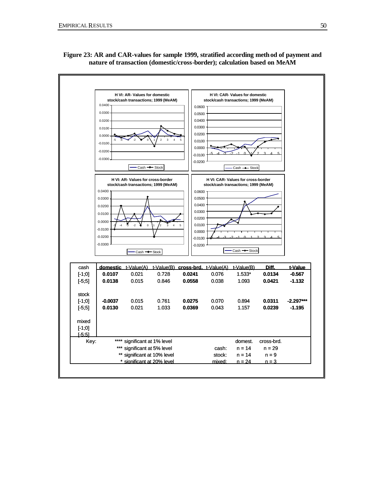

**Figure 23: AR and CAR-values for sample 1999, stratified according method of payment and nature of transaction (domestic/cross-border); calculation based on MeAM**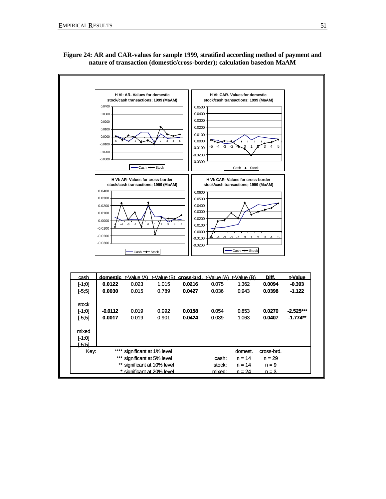

**Figure 24: AR and CAR-values for sample 1999, stratified according method of payment and nature of transaction (domestic/cross-border); calculation based on MaAM**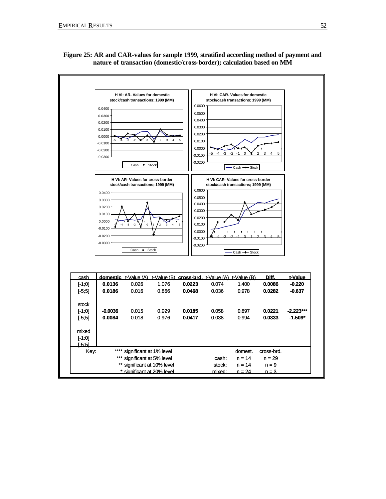

### **Figure 25: AR and CAR-values for sample 1999, stratified according method of payment and nature of transaction (domestic/cross-border); calculation based on MM**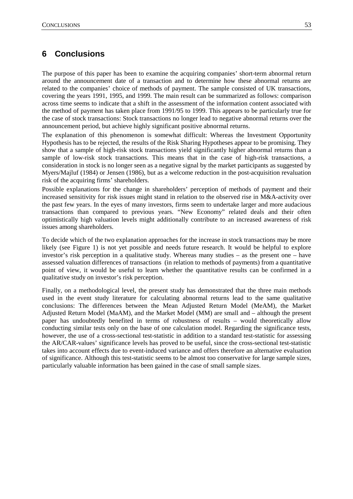## **6 Conclusions**

The purpose of this paper has been to examine the acquiring companies' short-term abnormal return around the announcement date of a transaction and to determine how these abnormal returns are related to the companies' choice of methods of payment. The sample consisted of UK transactions, covering the years 1991, 1995, and 1999. The main result can be summarized as follows: comparison across time seems to indicate that a shift in the assessment of the information content associated with the method of payment has taken place from 1991/95 to 1999. This appears to be particularly true for the case of stock transactions: Stock transactions no longer lead to negative abnormal returns over the announcement period, but achieve highly significant positive abnormal returns.

The explanation of this phenomenon is somewhat difficult: Whereas the Investment Opportunity Hypothesis has to be rejected, the results of the Risk Sharing Hypotheses appear to be promising. They show that a sample of high-risk stock transactions yield significantly higher abnormal returns than a sample of low-risk stock transactions. This means that in the case of high-risk transactions, a consideration in stock is no longer seen as a negative signal by the market participants as suggested by Myers/Majluf (1984) or Jensen (1986), but as a welcome reduction in the post-acquisition revaluation risk of the acquiring firms' shareholders.

Possible explanations for the change in shareholders' perception of methods of payment and their increased sensitivity for risk issues might stand in relation to the observed rise in M&A-activity over the past few years. In the eyes of many investors, firms seem to undertake larger and more audacious transactions than compared to previous years. "New Economy" related deals and their often optimistically high valuation levels might additionally contribute to an increased awareness of risk issues among shareholders.

To decide which of the two explanation approaches for the increase in stock transactions may be more likely (see Figure 1) is not yet possible and needs future research. It would be helpful to explore investor's risk perception in a qualitative study. Whereas many studies – as the present one – have assessed valuation differences of transactions (in relation to methods of payments) from a quantitative point of view, it would be useful to learn whether the quantitative results can be confirmed in a qualitative study on investor's risk perception.

Finally, on a methodological level, the present study has demonstrated that the three main methods used in the event study literature for calculating abnormal returns lead to the same qualitative conclusions: The differences between the Mean Adjusted Return Model (MeAM), the Market Adjusted Return Model (MaAM), and the Market Model (MM) are small and – although the present paper has undoubtedly benefited in terms of robustness of results – would theoretically allow conducting similar tests only on the base of one calculation model. Regarding the significance tests, however, the use of a cross-sectional test-statistic in addition to a standard test-statistic for assessing the AR/CAR-values' significance levels has proved to be useful, since the cross-sectional test-statistic takes into account effects due to event-induced variance and offers therefore an alternative evaluation of significance. Although this test-statistic seems to be almost too conservative for large sample sizes, particularly valuable information has been gained in the case of small sample sizes.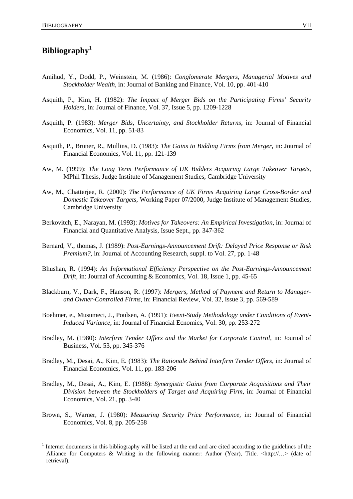## **Bibliography<sup>1</sup>**

 $\overline{a}$ 

- Amihud, Y., Dodd, P., Weinstein, M. (1986): *Conglomerate Mergers, Managerial Motives and Stockholder Wealth,* in: Journal of Banking and Finance, Vol. 10, pp. 401-410
- Asquith, P., Kim, H. (1982): *The Impact of Merger Bids on the Participating Firms' Security Holders,* in: Journal of Finance, Vol. 37, Issue 5, pp. 1209-1228
- Asquith, P. (1983): *Merger Bids, Uncertainty, and Stockholder Returns,* in: Journal of Financial Economics, Vol. 11, pp. 51-83
- Asquith, P., Bruner, R., Mullins, D. (1983): *The Gains to Bidding Firms from Merger,* in: Journal of Financial Economics, Vol. 11, pp. 121-139
- Aw, M. (1999): *The Long Term Performance of UK Bidders Acquiring Large Takeover Targets,*  MPhil Thesis, Judge Institute of Management Studies, Cambridge University
- Aw, M., Chatterjee, R. (2000): *The Performance of UK Firms Acquiring Large Cross-Border and Domestic Takeover Targets,* Working Paper 07/2000, Judge Institute of Management Studies, Cambridge University
- Berkovitch, E., Narayan, M. (1993): *Motives for Takeovers: An Empirical Investigation,* in: Journal of Financial and Quantitative Analysis, Issue Sept., pp. 347-362
- Bernard, V., thomas, J. (1989): *Post-Earnings-Announcement Drift: Delayed Price Response or Risk Premium?*, in: Journal of Accounting Research, suppl. to Vol. 27, pp. 1-48
- Bhushan, R. (1994): *An Informational Efficiency Perspective on the Post-Earnings-Announcement Drift,* in: Journal of Accounting & Economics, Vol. 18, Issue 1, pp. 45-65
- Blackburn, V., Dark, F., Hanson, R. (1997): *Mergers, Method of Payment and Return to Managerand Owner-Controlled Firms,* in: Financial Review, Vol. 32, Issue 3, pp. 569-589
- Boehmer, e., Musumeci, J., Poulsen, A. (1991): *Event-Study Methodology under Conditions of Event-Induced Variance,* in: Journal of Financial Ecnomics, Vol. 30, pp. 253-272
- Bradley, M. (1980): *Interfirm Tender Offers and the Market for Corporate Control,* in: Journal of Business, Vol. 53, pp. 345-376
- Bradley, M., Desai, A., Kim, E. (1983): *The Rationale Behind Interfirm Tender Offers,* in: Journal of Financial Economics, Vol. 11, pp. 183-206
- Bradley, M., Desai, A., Kim, E. (1988): *Synergistic Gains from Corporate Acquisitions and Their Division between the Stockholders of Target and Acquiring Firm,* in: Journal of Financial Economics, Vol. 21, pp. 3-40
- Brown, S., Warner, J. (1980): *Measuring Security Price Performance,* in: Journal of Financial Economics, Vol. 8, pp. 205-258

<sup>1</sup> Internet documents in this bibliography will be listed at the end and are cited according to the guidelines of the Alliance for Computers & Writing in the following manner: Author (Year), Title.  $\langle \text{http://...>date of}]$ retrieval).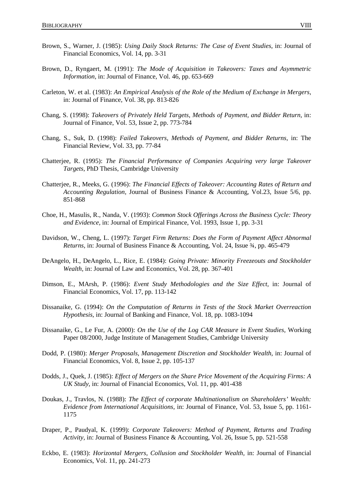- Brown, S., Warner, J. (1985): *Using Daily Stock Returns: The Case of Event Studies,* in: Journal of Financial Economics, Vol. 14, pp. 3-31
- Brown, D., Ryngaert, M. (1991): *The Mode of Acquisition in Takeovers: Taxes and Asymmetric Information,* in: Journal of Finance, Vol. 46, pp. 653-669
- Carleton, W. et al. (1983): *An Empirical Analysis of the Role of the Medium of Exchange in Mergers,*  in: Journal of Finance, Vol. 38, pp. 813-826
- Chang, S. (1998): *Takeovers of Privately Held Targets, Methods of Payment, and Bidder Return,* in: Journal of Finance, Vol. 53, Issue 2, pp. 773-784
- Chang, S., Suk, D. (1998): *Failed Takeovers, Methods of Payment, and Bidder Returns,* in: The Financial Review, Vol. 33, pp. 77-84
- Chatterjee, R. (1995): *The Financial Performance of Companies Acquiring very large Takeover Targets,* PhD Thesis, Cambridge University
- Chatterjee, R., Meeks, G. (1996): *The Financial Effects of Takeover: Accounting Rates of Return and Accounting Regulation,* Journal of Business Finance & Accounting, Vol.23, Issue 5/6, pp. 851-868
- Choe, H., Masulis, R., Nanda, V. (1993): *Common Stock Offerings Across the Business Cycle: Theory and Evidence,* in: Journal of Empirical Finance, Vol. 1993, Issue 1, pp. 3-31
- Davidson, W., Cheng, L. (1997): *Target Firm Returns: Does the Form of Payment Affect Abnormal Returns,* in: Journal of Business Finance & Accounting, Vol. 24, Issue ¾, pp. 465-479
- DeAngelo, H., DeAngelo, L., Rice, E. (1984): *Going Private: Minority Freezeouts and Stockholder Wealth,* in: Journal of Law and Economics, Vol. 28, pp. 367-401
- Dimson, E., MArsh, P. (1986): *Event Study Methodologies and the Size Effect,* in: Journal of Financial Economics, Vol. 17, pp. 113-142
- Dissanaike, G. (1994): *On the Computation of Returns in Tests of the Stock Market Overreaction Hypothesis,* in: Journal of Banking and Finance, Vol. 18, pp. 1083-1094
- Dissanaike, G., Le Fur, A. (2000): *On the Use of the Log CAR Measure in Event Studies,* Working Paper 08/2000, Judge Institute of Management Studies, Cambridge University
- Dodd, P. (1980): *Merger Proposals, Management Discretion and Stockholder Wealth, in: Journal of* Financial Economics, Vol. 8, Issue 2, pp. 105-137
- Dodds, J., Quek, J. (1985): *Effect of Mergers on the Share Price Movement of the Acquiring Firms: A UK Study,* in: Journal of Financial Economics, Vol. 11, pp. 401-438
- Doukas, J., Travlos, N. (1988): *The Effect of corporate Multinationalism on Shareholders' Wealth: Evidence from International Acquisitions,* in: Journal of Finance, Vol. 53, Issue 5, pp. 1161- 1175
- Draper, P., Paudyal, K. (1999): *Corporate Takeovers: Method of Payment, Returns and Trading Activity,* in: Journal of Business Finance & Accounting, Vol. 26, Issue 5, pp. 521-558
- Eckbo, E. (1983): *Horizontal Mergers, Collusion and Stockholder Wealth,* in: Journal of Financial Economics, Vol. 11, pp. 241-273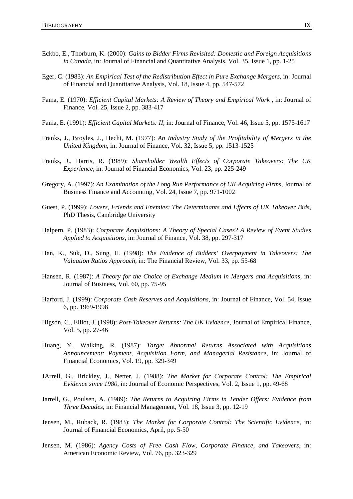- Eckbo, E., Thorburn, K. (2000): *Gains to Bidder Firms Revisited: Domestic and Foreign Acquisitions in Canada,* in: Journal of Financial and Quantitative Analysis, Vol. 35, Issue 1, pp. 1-25
- Eger, C. (1983): *An Empirical Test of the Redistribution Effect in Pure Exchange Mergers,* in: Journal of Financial and Quantitative Analysis, Vol. 18, Issue 4, pp. 547-572
- Fama, E. (1970): *Efficient Capital Markets: A Review of Theory and Empirical Work*, *in: Journal of* Finance, Vol. 25, Issue 2, pp. 383-417
- Fama, E. (1991): *Efficient Capital Markets: II,* in: Journal of Finance, Vol. 46, Issue 5, pp. 1575-1617
- Franks, J., Broyles, J., Hecht, M. (1977): *An Industry Study of the Profitability of Mergers in the United Kingdom,* in: Journal of Finance, Vol. 32, Issue 5, pp. 1513-1525
- Franks, J., Harris, R. (1989): *Shareholder Wealth Effects of Corporate Takeovers: The UK Experience,* in: Journal of Financial Economics, Vol. 23, pp. 225-249
- Gregory, A. (1997): *An Examination of the Long Run Performance of UK Acquiring Firms,* Journal of Business Finance and Accounting, Vol. 24, Issue 7, pp. 971-1002
- Guest, P. (1999): *Lovers, Friends and Enemies: The Determinants and Effects of UK Takeover Bids,*  PhD Thesis, Cambridge University
- Halpern, P. (1983): *Corporate Acquisitions: A Theory of Special Cases? A Review of Event Studies Applied to Acquisitions,* in: Journal of Finance, Vol. 38, pp. 297-317
- Han, K., Suk, D., Sung, H. (1998): *The Evidence of Bidders' Overpayment in Takeovers: The Valuation Ratios Approach,* in: The Financial Review, Vol. 33, pp. 55-68
- Hansen, R. (1987): *A Theory for the Choice of Exchange Medium in Mergers and Acquisitions,* in: Journal of Business, Vol. 60, pp. 75-95
- Harford, J. (1999): *Corporate Cash Reserves and Acquisitions,* in: Journal of Finance, Vol. 54, Issue 6, pp. 1969-1998
- Higson, C., Elliot, J. (1998): *Post-Takeover Returns: The UK Evidence,* Journal of Empirical Finance, Vol. 5, pp. 27-46
- Huang, Y., Walking, R. (1987): *Target Abnormal Returns Associated with Acquisitions Announcement: Payment, Acquisition Form, and Managerial Resistance,* in: Journal of Financial Economics, Vol. 19, pp. 329-349
- JArrell, G., Brickley, J., Netter, J. (1988): *The Market for Corporate Control: The Empirical Evidence since 1980,* in: Journal of Economic Perspectives, Vol. 2, Issue 1, pp. 49-68
- Jarrell, G., Poulsen, A. (1989): *The Returns to Acquiring Firms in Tender Offers: Evidence from Three Decades,* in: Financial Management, Vol. 18, Issue 3, pp. 12-19
- Jensen, M., Ruback, R. (1983): *The Market for Corporate Control: The Scientific Evidence,* in: Journal of Financial Economics, April, pp. 5-50
- Jensen, M. (1986): *Agency Costs of Free Cash Flow, Corporate Finance, and Takeovers,* in: American Economic Review, Vol. 76, pp. 323-329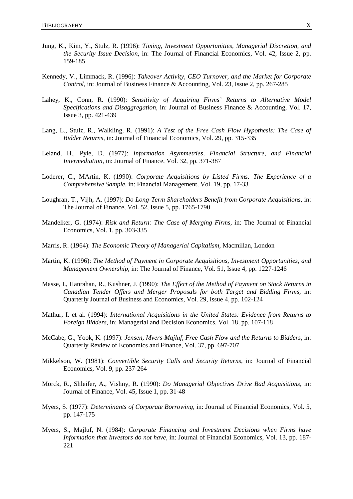- Jung, K., Kim, Y., Stulz, R. (1996): *Timing, Investment Opportunities, Managerial Discretion, and the Security Issue Decision,* in: The Journal of Financial Economics, Vol. 42, Issue 2, pp. 159-185
- Kennedy, V., Limmack, R. (1996): *Takeover Activity, CEO Turnover, and the Market for Corporate Control,* in: Journal of Business Finance & Accounting, Vol. 23, Issue 2, pp. 267-285
- Lahey, K., Conn, R. (1990): *Sensitivity of Acquiring Firms' Returns to Alternative Model Specifications and Disaggregation,* in: Journal of Business Finance & Accounting, Vol. 17, Issue 3, pp. 421-439
- Lang, L., Stulz, R., Walkling, R. (1991): *A Test of the Free Cash Flow Hypothesis: The Case of Bidder Returns,* in: Journal of Financial Economics, Vol. 29, pp. 315-335
- Leland, H., Pyle, D. (1977): *Information Asymmetries, Financial Structure, and Financial Intermediation,* in: Journal of Finance, Vol. 32, pp. 371-387
- Loderer, C., MArtin, K. (1990): *Corporate Acquisitions by Listed Firms: The Experience of a Comprehensive Sample,* in: Financial Management, Vol. 19, pp. 17-33
- Loughran, T., Vijh, A. (1997): *Do Long-Term Shareholders Benefit from Corporate Acquisitions,* in: The Journal of Finance, Vol. 52, Issue 5, pp. 1765-1790
- Mandelker, G. (1974): *Risk and Return: The Case of Merging Firms,* in: The Journal of Financial Economics, Vol. 1, pp. 303-335
- Marris, R. (1964): *The Economic Theory of Managerial Capitalism,* Macmillan, London
- Martin, K. (1996): *The Method of Payment in Corporate Acquisitions, Investment Opportunities, and Management Ownership,* in: The Journal of Finance, Vol. 51, Issue 4, pp. 1227-1246
- Masse, I., Hanrahan, R., Kushner, J. (1990): *The Effect of the Method of Payment on Stock Returns in Canadian Tender Offers and Merger Proposals for both Target and Bidding Firms,* in: Quarterly Journal of Business and Economics, Vol. 29, Issue 4, pp. 102-124
- Mathur, I. et al. (1994): *International Acquisitions in the United States: Evidence from Returns to Foreign Bidders,* in: Managerial and Decision Economics, Vol. 18, pp. 107-118
- McCabe, G., Yook, K. (1997): *Jensen, Myers-Majluf, Free Cash Flow and the Returns to Bidders,* in: Quarterly Review of Economics and Finance, Vol. 37, pp. 697-707
- Mikkelson, W. (1981): *Convertible Security Calls and Security Returns*, in: Journal of Financial Economics, Vol. 9, pp. 237-264
- Morck, R., Shleifer, A., Vishny, R. (1990): *Do Managerial Objectives Drive Bad Acquisitions,* in: Journal of Finance, Vol. 45, Issue 1, pp. 31-48
- Myers, S. (1977): *Determinants of Corporate Borrowing,* in: Journal of Financial Economics, Vol. 5, pp. 147-175
- Myers, S., Majluf, N. (1984): *Corporate Financing and Investment Decisions when Firms have Information that Investors do not have,* in: Journal of Financial Economics, Vol. 13, pp. 187- 221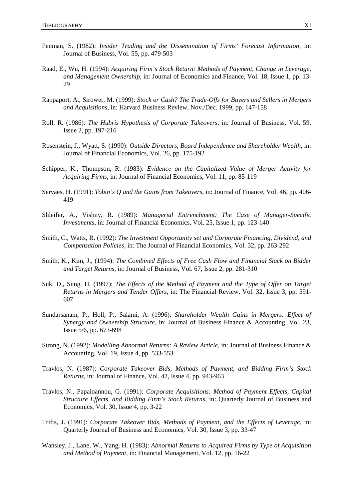- Penman, S. (1982): *Insider Trading and the Dissemination of Firms' Forecast Information*, in: Journal of Business, Vol. 55, pp. 479-503
- Raad, E., Wu, H. (1994): *Acquiring Firm's Stock Return: Methods of Payment, Change in Leverage, and Management Ownership*, in: Journal of Economics and Finance, Vol. 18, Issue 1, pp. 13- 29
- Rappaport, A., Sirower, M. (1999): *Stock or Cash? The Trade-Offs for Buyers and Sellers in Mergers and Acquisitions*, in: Harvard Business Review, Nov./Dec. 1999, pp. 147-158
- Roll, R. (1986): *The Hubris Hypothesis of Corporate Takeovers*, in: Journal of Business, Vol. 59, Issue 2, pp. 197-216
- Rosenstein, J., Wyatt, S. (1990): *Outside Directors, Board Independence and Shareholder Wealth*, in: Journal of Financial Economics, Vol. 26, pp. 175-192
- Schipper, K., Thompson, R. (1983): *Evidence on the Capitalized Value of Merger Activity for Acquiring Firms*, in: Journal of Financial Economics, Vol. 11, pp. 85-119
- Servaes, H. (1991): *Tobin's Q and the Gains from Takeovers*, in: Journal of Finance, Vol. 46, pp. 406- 419
- Shleifer, A., Vishny, R. (1989): *Managerial Entrenchment: The Case of Manager-Specific Investments*, in: Journal of Financial Economics, Vol. 25, Issue 1, pp. 123-140
- Smith, C., Watts, R. (1992): *The Investment Opportunity set and Corporate Financing, Dividend, and Compensation Policies,* in: The Journal of Financial Economics, Vol. 32, pp. 263-292
- Smith, K., Kim, J., (1994): *The Combined Effects of Free Cash Flow and Financial Slack on Bidder and Target Returns,* in: Journal of Business, Vol. 67, Issue 2, pp. 281-310
- Suk, D., Sung, H. (1997): *The Effects of the Method of Payment and the Type of Offer on Target Returns in Mergers and Tender Offers,* in: The Financial Review, Vol. 32, Issue 3, pp. 591- 607
- Sundarsanam, P., Holl, P., Salami, A. (1996): *Shareholder Wealth Gains in Mergers: Effect of Synergy and Ownership Structure,* in: Journal of Business Finance & Accounting, Vol. 23, Issue 5/6, pp. 673-698
- Strong, N. (1992): *Modelling Abnormal Returns: A Review Article*, in: Journal of Business Finance & Accounting, Vol. 19, Issue 4, pp. 533-553
- Travlos, N. (1987): *Corporate Takeover Bids, Methods of Payment, and Bidding Firm's Stock Returns*, in: Journal of Finance, Vol. 42, Issue 4, pp. 943-963
- Travlos, N., Papaioannou, G. (1991): *Corporate Acquisitions: Method of Payment Effects, Capital Structure Effects, and Bidding Firm's Stock Returns*, in: Quarterly Journal of Business and Economics, Vol. 30, Issue 4, pp. 3-22
- Trifts, J. (1991): *Corporate Takeover Bids, Methods of Payment, and the Effects of Leverage,* in: Quarterly Journal of Business and Economics, Vol. 30, Issue 3, pp. 33-47
- Wansley, J., Lane, W., Yang, H. (1983): *Abnormal Returns to Acquired Firms by Type of Acquisition and Method of Payment*, in: Financial Management, Vol. 12, pp. 16-22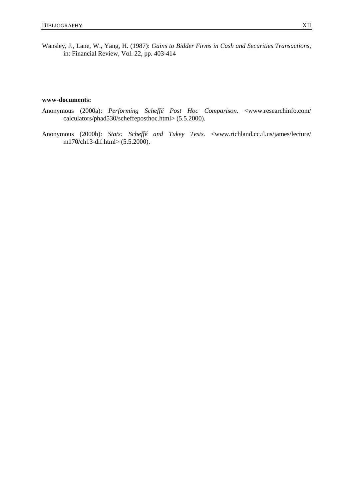Wansley, J., Lane, W., Yang, H. (1987): *Gains to Bidder Firms in Cash and Securities Transactions*, in: Financial Review, Vol. 22, pp. 403-414

#### **www-documents:**

- Anonymous (2000a): *Performing Scheffé Post Hoc Comparison.* <www.researchinfo.com/ calculators/phad530/scheffeposthoc.html> (5.5.2000).
- Anonymous (2000b): *Stats: Scheffé and Tukey Tests.* <www.richland.cc.il.us/james/lecture/ m170/ch13-dif.html> (5.5.2000).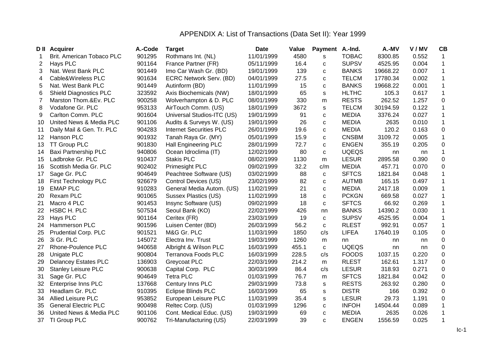# APPENDIX A: List of Transactions (Data Set II): Year 1999

|                 | <b>D</b> II Acquirer          | A.-Code | <b>Target</b>                  | <b>Date</b> | Value | <b>Payment</b> | A.-Ind.      | A.-MV    | V/MV  | CB           |
|-----------------|-------------------------------|---------|--------------------------------|-------------|-------|----------------|--------------|----------|-------|--------------|
|                 | Brit. American Tobaco PLC     | 901295  | Rothmans Int. (NL)             | 11/01/1999  | 4580  | S              | <b>TOBAC</b> | 8300.85  | 0.552 | $\mathbf{1}$ |
| 2               | Hays PLC                      | 901164  | France Partner (FR)            | 05/11/1999  | 16.4  | С              | <b>SUPSV</b> | 4525.95  | 0.004 | 1            |
| 3               | Nat. West Bank PLC            | 901449  | Imo Car Wash Gr. (BD)          | 19/01/1999  | 139   | C              | <b>BANKS</b> | 19668.22 | 0.007 | $\mathbf{1}$ |
| 4               | Cable&Wireless PLC            | 901634  | ECRC Network Serv. (BD)        | 04/01/1999  | 27.5  | C              | <b>TELCM</b> | 17780.34 | 0.002 | $\mathbf{1}$ |
| 5               | Nat. West Bank PLC            | 901449  | Autinform (BD)                 | 11/01/1999  | 15    | C              | <b>BANKS</b> | 19668.22 | 0.001 | $\mathbf{1}$ |
| 6               | <b>Shield Diagnostics PLC</b> | 323592  | Axis Biochemicals (NW)         | 18/01/1999  | 65    | s              | <b>HLTHC</b> | 105.3    | 0.617 | $\mathbf{1}$ |
|                 | Marston Thom.&Ev. PLC         | 900258  | Wolverhampton & D. PLC         | 08/01/1999  | 330   | m              | <b>RESTS</b> | 262.52   | 1.257 | $\pmb{0}$    |
| 8               | Vodafone Gr. PLC              | 953133  | AirTouch Comm. (US)            | 18/01/1999  | 3672  | s              | <b>TELCM</b> | 30194.59 | 0.122 | $\mathbf{1}$ |
| 9               | Carlton Comm. PLC             | 901604  | Universal Studios-ITC (US)     | 19/01/1999  | 91    | C              | <b>MEDIA</b> | 3376.24  | 0.027 | $\mathbf{1}$ |
| 10              | United News & Media PLC       | 901106  | Audits & Surveys W. (US)       | 19/01/1999  | 26    | $\mathbf c$    | <b>MEDIA</b> | 2635     | 0.010 | $\mathbf{1}$ |
| 11              | Daily Mail & Gen. Tr. PLC     | 904283  | <b>Internet Securities PLC</b> | 26/01/1999  | 19.6  | $\mathbf C$    | <b>MEDIA</b> | 120.2    | 0.163 | $\pmb{0}$    |
| 12 <sub>2</sub> | Hanson PLC                    | 901932  | Tanah Raya Gr. (MY)            | 05/01/1999  | 15.9  | $\mathbf c$    | <b>CNSBM</b> | 3109.72  | 0.005 | $\mathbf{1}$ |
| 13              | <b>TT Group PLC</b>           | 901830  | <b>Hall Engineering PLC</b>    | 28/01/1999  | 72.7  | $\mathbf c$    | <b>ENGEN</b> | 355.19   | 0.205 | $\pmb{0}$    |
| 14              | <b>Baxi Partnership PLC</b>   | 940806  | Ocean Idroclima (IT)           | 12/02/1999  | 80    | C              | <b>UQEQS</b> | nn       | nn    | $\mathbf{1}$ |
| 15              | Ladbroke Gr. PLC              | 910437  | <b>Stakis PLC</b>              | 08/02/1999  | 1130  | m              | <b>LESUR</b> | 2895.58  | 0.390 | $\pmb{0}$    |
| 16              | Scottish Media Gr. PLC        | 902402  | Primesight PLC                 | 09/02/1999  | 32.2  | c/m            | <b>MEDIA</b> | 457.71   | 0.070 | $\pmb{0}$    |
| 17              | Sage Gr. PLC                  | 904649  | Peachtree Software (US)        | 03/02/1999  | 88    | с              | <b>SFTCS</b> | 1821.84  | 0.048 | 1            |
| 18              | First Technology PLC          | 926679  | Control Devices (US)           | 23/02/1999  | 82    | C              | <b>AUTMB</b> | 165.15   | 0.497 | $\mathbf 1$  |
| 19              | <b>EMAP PLC</b>               | 910283  | General Media Autom. (US)      | 11/02/1999  | 21    | C              | <b>MEDIA</b> | 2417.18  | 0.009 | $\mathbf{1}$ |
| 20              | Rexam PLC                     | 901065  | Sussex Plastics (US)           | 11/02/1999  | 18    | $\mathbf c$    | <b>PCKGN</b> | 669.58   | 0.027 | $\mathbf 1$  |
| 21              | Macro 4 PLC                   | 901453  | Insync Software (US)           | 09/02/1999  | 18    | $\mathbf c$    | <b>SFTCS</b> | 66.92    | 0.269 | $\mathbf{1}$ |
| 22              | HSBC H. PLC                   | 507534  | Seoul Bank (KO)                | 22/02/1999  | 426   | nn             | <b>BANKS</b> | 14390.2  | 0.030 | 1            |
| 23              | Hays PLC                      | 901164  | Ceritex (FR)                   | 23/03/1999  | 19    | $\mathbf c$    | <b>SUPSV</b> | 4525.95  | 0.004 | $\mathbf{1}$ |
| 24              | Hammerson PLC                 | 901596  | Luisen Center (BD)             | 26/03/1999  | 56.2  | C              | <b>RLEST</b> | 992.91   | 0.057 | 1            |
| 25              | <b>Prudential Corp. PLC</b>   | 901521  | M&G Gr. PLC                    | 11/03/1999  | 1850  | c/s            | <b>LIFEA</b> | 17640.19 | 0.105 | $\pmb{0}$    |
| 26              | 3i Gr. PLC                    | 145072  | Electra Inv. Trust             | 19/03/1999  | 1260  | m              | nn           | nn       | nn    | $\pmb{0}$    |
| 27              | <b>Rhone-Poulence PLC</b>     | 940658  | Albright & Wilson PLC          | 16/03/1999  | 455.1 | C              | <b>UQEQS</b> | nn       | nn    | $\pmb{0}$    |
| 28              | Unigate PLC                   | 900804  | Terranova Foods PLC            | 16/03/1999  | 228.5 | c/s            | <b>FOODS</b> | 1037.15  | 0.220 | $\pmb{0}$    |
| 29              | <b>Delancey Estates PLC</b>   | 136903  | Greycoat PLC                   | 22/03/1999  | 214.2 | m              | <b>RLEST</b> | 162.61   | 1.317 | $\pmb{0}$    |
| 30              | <b>Stanley Leisure PLC</b>    | 900638  | Capital Corp. PLC              | 30/03/1999  | 86.4  | c/s            | <b>LESUR</b> | 318.93   | 0.271 | $\pmb{0}$    |
| 31              | Sage Gr. PLC                  | 904649  | <b>Tetra PLC</b>               | 01/03/1999  | 76.7  | m              | <b>SFTCS</b> | 1821.84  | 0.042 | $\pmb{0}$    |
| 32              | Enterprise Inns PLC           | 137668  | Century Inns PLC               | 29/03/1999  | 73.8  | s              | <b>RESTS</b> | 263.92   | 0.280 | $\mathbf 0$  |
| 33              | Headlam Gr. PLC               | 910395  | <b>Eclipse Blinds PLC</b>      | 16/03/1999  | 65    | s              | <b>DISTR</b> | 166      | 0.392 | $\pmb{0}$    |
| 34              | Allied Leisure PLC            | 953852  | European Leisure PLC           | 11/03/1999  | 35.4  | s              | <b>LESUR</b> | 29.73    | 1.191 | $\pmb{0}$    |
| 35              | <b>General Electric PLC</b>   | 900498  | Reltec Corp. (US)              | 01/03/1999  | 1296  | с              | <b>INFOH</b> | 14504.44 | 0.089 | $\mathbf{1}$ |
| 36              | United News & Media PLC       | 901106  | Cont. Medical Educ. (US)       | 19/03/1999  | 69    | $\mathbf c$    | <b>MEDIA</b> | 2635     | 0.026 | $\mathbf{1}$ |
| 37              | TI Group PLC                  | 900762  | Tri-Manufacturing (US)         | 22/03/1999  | 39    | C              | <b>ENGEN</b> | 1556.59  | 0.025 | $\mathbf{1}$ |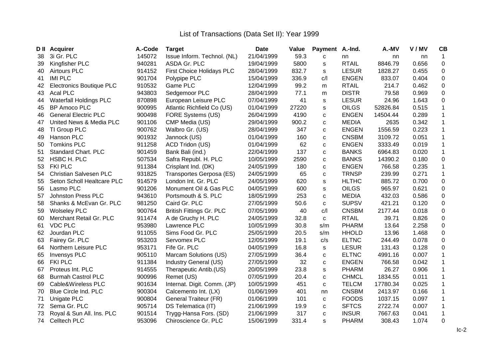|    | <b>D</b> II Acquirer            | A.-Code | <b>Target</b>                   | <b>Date</b> | <b>Value</b> | Payment A.-Ind. |              | A.-MV    | V/MV  | CB           |
|----|---------------------------------|---------|---------------------------------|-------------|--------------|-----------------|--------------|----------|-------|--------------|
| 38 | 3i Gr. PLC                      | 145072  | Issue Inform. Technol. (NL)     | 21/04/1999  | 59.3         | C               | nn           | nn       | nn    | 1            |
| 39 | Kingfisher PLC                  | 940281  | ASDA Gr. PLC                    | 19/04/1999  | 5800         | s               | <b>RTAIL</b> | 8846.79  | 0.656 | $\pmb{0}$    |
| 40 | <b>Airtours PLC</b>             | 914152  | First Choice Holidays PLC       | 28/04/1999  | 832.7        | s               | <b>LESUR</b> | 1828.27  | 0.455 | $\pmb{0}$    |
| 41 | <b>IMI PLC</b>                  | 901704  | Polypipe PLC                    | 15/04/1999  | 336.9        | C/1             | <b>ENGEN</b> | 833.07   | 0.404 | $\pmb{0}$    |
| 42 | <b>Electronics Boutique PLC</b> | 910532  | Game PLC                        | 12/04/1999  | 99.2         | m               | <b>RTAIL</b> | 214.7    | 0.462 | $\pmb{0}$    |
| 43 | <b>Acal PLC</b>                 | 943803  | Sedgemoor PLC                   | 28/04/1999  | 77.1         | m               | <b>DISTR</b> | 79.58    | 0.969 | $\pmb{0}$    |
| 44 | <b>Waterfall Holdings PLC</b>   | 870898  | European Leisure PLC            | 07/04/1999  | 41           | s               | <b>LESUR</b> | 24.96    | 1.643 | $\pmb{0}$    |
| 45 | <b>BP Amoco PLC</b>             | 900995  | Atlantic Richfield Co (US)      | 01/04/1999  | 27220        | s               | <b>OILGS</b> | 52826.84 | 0.515 | $\mathbf{1}$ |
| 46 | <b>General Electric PLC</b>     | 900498  | FORE Systems (US)               | 26/04/1999  | 4190         | C               | <b>ENGEN</b> | 14504.44 | 0.289 | $\mathbf{1}$ |
| 47 | United News & Media PLC         | 901106  | CMP Media (US)                  | 29/04/1999  | 900.2        | C               | <b>MEDIA</b> | 2635     | 0.342 | $\mathbf{1}$ |
| 48 | TI Group PLC                    | 900762  | Walbro Gr. (US)                 | 28/04/1999  | 347          | C               | <b>ENGEN</b> | 1556.59  | 0.223 | $\mathbf{1}$ |
| 49 | Hanson PLC                      | 901932  | Jannock (US)                    | 01/04/1999  | 160          | C               | <b>CNSBM</b> | 3109.72  | 0.051 | $\mathbf{1}$ |
| 50 | <b>Tomkins PLC</b>              | 911258  | ACD Tridon (US)                 | 01/04/1999  | 62           | C               | <b>ENGEN</b> | 3333.49  | 0.019 | $\mathbf{1}$ |
| 51 | <b>Standard Chart. PLC</b>      | 901459  | Bank Bali (ind.)                | 22/04/1999  | 137          | C               | <b>BANKS</b> | 6964.83  | 0.020 | $\mathbf{1}$ |
| 52 | HSBC H. PLC                     | 507534  | Safra Republ. H. PLC            | 10/05/1999  | 2590         | C               | <b>BANKS</b> | 14390.2  | 0.180 | $\pmb{0}$    |
| 53 | <b>FKI PLC</b>                  | 911384  | Crisplant Ind. (DK)             | 24/05/1999  | 180          | C               | <b>ENGEN</b> | 766.58   | 0.235 | $\mathbf{1}$ |
| 54 | <b>Christian Salvesen PLC</b>   | 931825  | Transportes Gerposa (ES)        | 24/05/1999  | 65           | C               | <b>TRNSP</b> | 239.99   | 0.271 | $\mathbf{1}$ |
| 55 | Seton Scholl Healtcare PLC      | 914579  | London Int. Gr. PLC             | 24/05/1999  | 620          | s               | <b>HLTHC</b> | 885.72   | 0.700 | $\pmb{0}$    |
| 56 | Lasmo PLC                       | 901206  | Monument Oil & Gas PLC          | 04/05/1999  | 600          | s               | <b>OILGS</b> | 965.97   | 0.621 | $\pmb{0}$    |
| 57 | <b>Johnston Press PLC</b>       | 943610  | Portsmouth & S. PLC             | 18/05/1999  | 253          | C               | <b>MEDIA</b> | 432.03   | 0.586 | $\pmb{0}$    |
| 58 | Shanks & McEvan Gr. PLC         | 981250  | Caird Gr. PLC                   | 27/05/1999  | 50.6         | $\mathbf C$     | <b>SUPSV</b> | 421.21   | 0.120 | $\pmb{0}$    |
| 59 | <b>Wolseley PLC</b>             | 900764  | <b>British Fittings Gr. PLC</b> | 07/05/1999  | 40           | C/              | <b>CNSBM</b> | 2177.44  | 0.018 | $\pmb{0}$    |
| 60 | Merchant Retail Gr. PLC         | 911474  | A de Gruchy H. PLC              | 24/05/1999  | 32.8         | $\mathbf C$     | <b>RTAIL</b> | 39.71    | 0.826 | $\pmb{0}$    |
| 61 | <b>VDC PLC</b>                  | 953980  | Lawrence PLC                    | 10/05/1999  | 30.8         | s/m             | <b>PHARM</b> | 13.64    | 2.258 | $\pmb{0}$    |
| 62 | Jourdan PLC                     | 911055  | Sims Food Gr. PLC               | 25/05/1999  | 20.5         | s/m             | <b>HHOLD</b> | 13.96    | 1.468 | $\pmb{0}$    |
| 63 | Fairey Gr. PLC                  | 953203  | Servomex PLC                    | 12/05/1999  | 19.1         | c/s             | <b>ELTNC</b> | 244.49   | 0.078 | $\pmb{0}$    |
| 64 | Northern Leisure PLC            | 953171  | Fife Gr. PLC                    | 04/05/1999  | 16.8         | $\mathbb S$     | <b>LESUR</b> | 131.43   | 0.128 | $\pmb{0}$    |
| 65 | <b>Invensys PLC</b>             | 905110  | Marcam Solutions (US)           | 27/05/1999  | 36.4         | C               | <b>ELTNC</b> | 4991.16  | 0.007 | $\mathbf{1}$ |
| 66 | <b>FKI PLC</b>                  | 911384  | Industry General (US)           | 27/05/1999  | 32           | C               | <b>ENGEN</b> | 766.58   | 0.042 | $\mathbf{1}$ |
| 67 | Proteus Int. PLC                | 914555  | Therapeutic Antib.(US)          | 20/05/1999  | 23.8         | s               | <b>PHARM</b> | 26.27    | 0.906 | $\mathbf{1}$ |
| 68 | <b>Burmah Castrol PLC</b>       | 900996  | Remet (US)                      | 07/05/1999  | 20.4         | C               | <b>CHMCL</b> | 1834.55  | 0.011 | $\mathbf{1}$ |
| 69 | Cable&Wireless PLC              | 901634  | Internat. Digit. Comm. (JP)     | 10/05/1999  | 451          | C               | <b>TELCM</b> | 17780.34 | 0.025 | $\mathbf{1}$ |
| 70 | Blue Circle Ind. PLC            | 900304  | Calcemento Int. (LX)            | 01/06/1999  | 401          | nn              | <b>CNSBM</b> | 2413.97  | 0.166 | $\mathbf{1}$ |
| 71 | Unigate PLC                     | 900804  | General Traiteur (FR)           | 01/06/1999  | 101          | C               | <b>FOODS</b> | 1037.15  | 0.097 | $\mathbf{1}$ |
| 72 | Sema Gr. PLC                    | 905714  | DS Telematica (IT)              | 21/06/1999  | 19.9         | C               | <b>SFTCS</b> | 2722.74  | 0.007 | $\mathbf{1}$ |
| 73 | Royal & Sun All. Ins. PLC       | 901514  | Trygg-Hansa Fors. (SD)          | 21/06/1999  | 317          | C               | <b>INSUR</b> | 7667.63  | 0.041 | $\mathbf 1$  |
| 74 | Celltech PLC                    | 953096  | Chiroscience Gr. PLC            | 15/06/1999  | 331.4        | s               | <b>PHARM</b> | 308.43   | 1.074 | $\mathbf 0$  |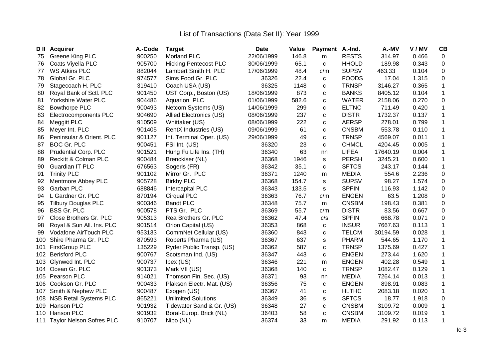|     | <b>D</b> II Acquirer            | A.-Code | <b>Target</b>                | <b>Date</b> | Value | <b>Payment</b> | A.-Ind.      | A.-MV    | V/MV  | CB               |
|-----|---------------------------------|---------|------------------------------|-------------|-------|----------------|--------------|----------|-------|------------------|
| 75  | Greene King PLC                 | 900250  | <b>Morland PLC</b>           | 22/06/1999  | 146.8 | m              | <b>RESTS</b> | 314.97   | 0.466 | $\mathbf 0$      |
| 76  | Coats Viyella PLC               | 905700  | <b>Hicking Pentecost PLC</b> | 30/06/1999  | 65.1  | C              | <b>HHOLD</b> | 189.98   | 0.343 | $\mathbf 0$      |
| 77  | <b>WS Atkins PLC</b>            | 882044  | Lambert Smith H. PLC         | 17/06/1999  | 48.4  | c/m            | <b>SUPSV</b> | 463.33   | 0.104 | $\pmb{0}$        |
| 78  | Global Gr. PLC                  | 974577  | Sims Food Gr. PLC            | 36326       | 22.4  | C              | <b>FOODS</b> | 17.04    | 1.315 | $\pmb{0}$        |
| 79  | Stagecoach H. PLC               | 319410  | Coach USA (US)               | 36325       | 1148  | C              | <b>TRNSP</b> | 3146.27  | 0.365 | $\mathbf{1}$     |
| 80  | Royal Bank of Sctl. PLC         | 901450  | UST Corp., Boston (US)       | 18/06/1999  | 873   | $\mathbf C$    | <b>BANKS</b> | 8405.12  | 0.104 | $\mathbf{1}$     |
| 81  | Yorkshire Water PLC             | 904486  | Aquarion PLC                 | 01/06/1999  | 582.6 | $\mathbf C$    | <b>WATER</b> | 2158.06  | 0.270 | $\pmb{0}$        |
| 82  | <b>Bowthorpe PLC</b>            | 900493  | Netcom Systems (US)          | 14/06/1999  | 299   | $\mathbf{C}$   | <b>ELTNC</b> | 711.49   | 0.420 | $\mathbf{1}$     |
| 83  | Electrocomponents PLC           | 904690  | Allied Electronics (US)      | 08/06/1999  | 237   | $\mathbf C$    | <b>DISTR</b> | 1732.37  | 0.137 | $\mathbf{1}$     |
| 84  | Meggitt PLC                     | 910509  | Whittaker (US)               | 08/06/1999  | 222   | $\mathbf C$    | <b>AERSP</b> | 278.01   | 0.799 | $\mathbf{1}$     |
| 85  | Meyer Int. PLC                  | 901405  | RentX Industries (US)        | 09/06/1999  | 61    | C              | <b>CNSBM</b> | 553.78   | 0.110 | $\mathbf{1}$     |
| 86  | Peninsular & Orient. PLC        | 901127  | Int. Terminal Oper. (US)     | 29/06/1999  | 49    | $\mathbf C$    | <b>TRNSP</b> | 4569.07  | 0.011 | $\mathbf{1}$     |
| 87  | <b>BOC Gr. PLC</b>              | 900451  | FSI Int. (US)                | 36320       | 23    | $\mathbf C$    | <b>CHMCL</b> | 4204.45  | 0.005 | $\mathbf 1$      |
| 88  | <b>Prudential Corp. PLC</b>     | 901521  | Hung Fu Life Ins. (TH)       | 36340       | 63    | nn             | <b>LIFEA</b> | 17640.19 | 0.004 | $\mathbf 1$      |
| 89  | Reckitt & Colman PLC            | 900484  | Brenckiser (NL)              | 36368       | 1946  | s              | <b>PERSH</b> | 3245.21  | 0.600 | $\mathbf 1$      |
| 90  | <b>Guardian IT PLC</b>          | 676563  | Sogeris (FR)                 | 36342       | 35.1  | $\mathbf C$    | <b>SFTCS</b> | 243.17   | 0.144 | $\mathbf 1$      |
| 91  | <b>Trinity PLC</b>              | 901102  | Mirror Gr. PLC               | 36371       | 1240  | m              | <b>MEDIA</b> | 554.6    | 2.236 | $\mathbf 0$      |
| 92  | Mentmore Abbey PLC              | 905728  | <b>Birkby PLC</b>            | 36368       | 154.7 | s              | <b>SUPSV</b> | 98.27    | 1.574 | $\pmb{0}$        |
| 93  | Garban PLC                      | 688846  | Intercapital PLC             | 36343       | 133.5 | s              | <b>SPFIN</b> | 116.93   | 1.142 | $\pmb{0}$        |
| 94  | L Gardner Gr. PLC               | 870194  | <b>Cirqual PLC</b>           | 36363       | 76.7  | c/m            | <b>ENGEN</b> | 63.5     | 1.208 | $\mathbf 0$      |
| 95  | <b>Tilbury Douglas PLC</b>      | 900346  | <b>Bandt PLC</b>             | 36348       | 75.7  | m              | <b>CNSBM</b> | 198.43   | 0.381 | $\pmb{0}$        |
| 96  | <b>BSS Gr. PLC</b>              | 900578  | PTS Gr. PLC                  | 36369       | 55.7  | c/m            | <b>DISTR</b> | 83.56    | 0.667 | $\boldsymbol{0}$ |
| 97  | Close Brothers Gr. PLC          | 905313  | Rea Brothers Gr. PLC         | 36362       | 47.4  | c/s            | <b>SPFIN</b> | 668.78   | 0.071 | $\mathbf 0$      |
| 98  | Royal & Sun All. Ins. PLC       | 901514  | Orion Capital (US)           | 36353       | 868   | C              | <b>INSUR</b> | 7667.63  | 0.113 | 1                |
| 99  | Vodafone AirTouch PLC           | 953133  | CommNet Cellular (US)        | 36360       | 843   | $\mathbf{C}$   | <b>TELCM</b> | 30194.59 | 0.028 | 1                |
| 100 | Shire Pharma Gr. PLC            | 870593  | Roberts Pharma (US)          | 36367       | 637   | s              | <b>PHARM</b> | 544.65   | 1.170 | $\mathbf 1$      |
| 101 | <b>FirstGroup PLC</b>           | 135229  | Ryder Public Transp. (US)    | 36362       | 587   | $\mathbf C$    | <b>TRNSP</b> | 1375.69  | 0.427 | $\mathbf 1$      |
| 102 | <b>Berisford PLC</b>            | 900767  | Scotsman Ind. (US)           | 36347       | 443   | $\mathbf{C}$   | <b>ENGEN</b> | 273.44   | 1.620 | $\mathbf 1$      |
|     | 103 Glynwed Int. PLC            | 900737  | Ipex (US)                    | 36346       | 221   | m              | <b>ENGEN</b> | 402.28   | 0.549 | $\mathbf{1}$     |
|     | 104 Ocean Gr. PLC               | 901373  | Mark VII (US)                | 36368       | 140   | $\mathbf C$    | <b>TRNSP</b> | 1082.47  | 0.129 | 1                |
| 105 | Pearson PLC                     | 914021  | Thomson Fin. Sec. (US)       | 36371       | 93    | nn             | <b>MEDIA</b> | 7264.14  | 0.013 | $\mathbf{1}$     |
|     | 106 Cookson Gr. PLC             | 900433  | Plakson Electr. Mat. (US)    | 36356       | 75    | $\mathbf{C}$   | <b>ENGEN</b> | 898.91   | 0.083 | $\mathbf 1$      |
| 107 | Smith & Nephew PLC              | 900487  | Exogen (US)                  | 36367       | 41    | $\mathbf C$    | <b>HLTHC</b> | 2083.18  | 0.020 | $\mathbf{1}$     |
| 108 | <b>NSB Retail Systems PLC</b>   | 865221  | <b>Unlimited Solutions</b>   | 36349       | 36    | s              | <b>SFTCS</b> | 18.77    | 1.918 | $\boldsymbol{0}$ |
| 109 | Hanson PLC                      | 901932  | Tidewater Sand & Gr. (US)    | 36348       | 27    | C              | <b>CNSBM</b> | 3109.72  | 0.009 | $\mathbf 1$      |
| 110 | Hanson PLC                      | 901932  | Boral-Europ. Brick (NL)      | 36403       | 58    | $\mathbf C$    | <b>CNSBM</b> | 3109.72  | 0.019 | $\mathbf 1$      |
| 111 | <b>Taylor Nelson Sofres PLC</b> | 910707  | Nipo (NL)                    | 36374       | 33    | m              | <b>MEDIA</b> | 291.92   | 0.113 | 1                |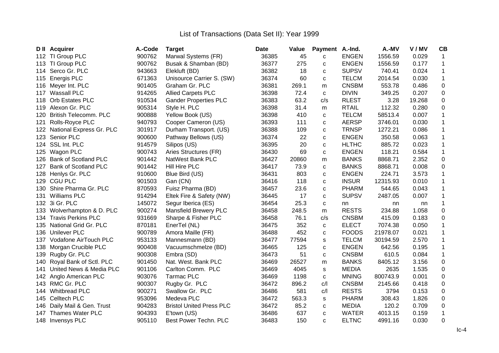|     | <b>D</b> II Acquirer        | A.-Code | <b>Target</b>                   | Date  | Value | Payment A.-Ind. |              | A.-MV    | V/MV   | CB               |
|-----|-----------------------------|---------|---------------------------------|-------|-------|-----------------|--------------|----------|--------|------------------|
|     | 112 TI Group PLC            | 900762  | Marwal Systems (FR)             | 36385 | 45    | C               | <b>ENGEN</b> | 1556.59  | 0.029  | 1                |
| 113 | TI Group PLC                | 900762  | Busak & Shamban (BD)            | 36377 | 275   | C               | <b>ENGEN</b> | 1556.59  | 0.177  | 1                |
| 114 | Serco Gr. PLC               | 943663  | Elekluft (BD)                   | 36382 | 18    | C               | <b>SUPSV</b> | 740.41   | 0.024  | 1                |
| 115 | Energis PLC                 | 671363  | Unisource Carrier S. (SW)       | 36374 | 60    | C               | <b>TELCM</b> | 2014.54  | 0.030  | $\mathbf{1}$     |
| 116 | Meyer Int. PLC              | 901405  | Graham Gr. PLC                  | 36381 | 269.1 | m               | <b>CNSBM</b> | 553.78   | 0.486  | $\mathbf 0$      |
| 117 | <b>Wassall PLC</b>          | 914265  | <b>Allied Carpets PLC</b>       | 36398 | 72.4  | $\mathbf c$     | <b>DIVIN</b> | 349.25   | 0.207  | $\pmb{0}$        |
| 118 | <b>Orb Estates PLC</b>      | 910534  | <b>Gander Properties PLC</b>    | 36383 | 63.2  | c/s             | <b>RLEST</b> | 3.28     | 19.268 | $\pmb{0}$        |
| 119 | Alexon Gr. PLC              | 905314  | Style H. PLC                    | 36398 | 31.4  | m               | <b>RTAIL</b> | 112.32   | 0.280  | $\mathbf 0$      |
| 120 | British Telecomm. PLC       | 900888  | Yellow Book (US)                | 36398 | 410   | C               | <b>TELCM</b> | 58513.4  | 0.007  | 1                |
| 121 | Rolls-Royce PLC             | 940793  | Cooper Cameron (US)             | 36393 | 111   | $\mathbf C$     | <b>AERSP</b> | 3746.01  | 0.030  | $\mathbf 1$      |
| 122 | National Express Gr. PLC    | 301917  | Durham Transport. (US)          | 36388 | 109   | $\mathbf c$     | <b>TRNSP</b> | 1272.21  | 0.086  | $\mathbf{1}$     |
| 123 | Senior PLC                  | 900600  | Pathway Bellows (US)            | 36374 | 22    | C               | <b>ENGEN</b> | 350.58   | 0.063  | $\mathbf 1$      |
| 124 | SSL Int. PLC                | 914579  | Silipos (US)                    | 36395 | 20    | $\mathbf C$     | <b>HLTHC</b> | 885.72   | 0.023  | 1                |
| 125 | Wagon PLC                   | 900743  | Aries Structures (FR)           | 36430 | 69    | C               | <b>ENGEN</b> | 118.21   | 0.584  | 1                |
| 126 | <b>Bank of Scotland PLC</b> | 901442  | NatWest Bank PLC                | 36427 | 20860 | m               | <b>BANKS</b> | 8868.71  | 2.352  | $\pmb{0}$        |
| 127 | <b>Bank of Scotland PLC</b> | 901442  | Hill Hire PLC                   | 36417 | 73.9  | C               | <b>BANKS</b> | 8868.71  | 0.008  | $\mathbf 0$      |
| 128 | Henlys Gr. PLC              | 910600  | Blue Bird (US)                  | 36431 | 803   | C               | <b>ENGEN</b> | 224.71   | 3.573  | $\mathbf 1$      |
| 129 | <b>CGU PLC</b>              | 901503  | Gan (CN)                        | 36416 | 118   | C               | <b>INSUR</b> | 12315.93 | 0.010  | $\mathbf 1$      |
| 130 | Shire Pharma Gr. PLC        | 870593  | Fuisz Pharma (BD)               | 36457 | 23.6  | $\mathbf c$     | <b>PHARM</b> | 544.65   | 0.043  | $\mathbf{1}$     |
| 131 | Williams PLC                | 914294  | Eltek Fire & Safety (NW)        | 36445 | 17    | C               | <b>SUPSV</b> | 2487.05  | 0.007  |                  |
|     | 132 3i Gr. PLC              | 145072  | Segur Iberica (ES)              | 36454 | 25.3  | C               | nn           | nn       | nn     | 1                |
| 133 | Wolverhampton & D. PLC      | 900274  | <b>Mansfield Brewery PLC</b>    | 36458 | 248.5 | m               | <b>RESTS</b> | 234.88   | 1.058  | $\boldsymbol{0}$ |
|     | 134 Travis Perkins PLC      | 931669  | Sharpe & Fisher PLC             | 36458 | 76.1  | c/s             | <b>CNSBM</b> | 415.09   | 0.183  | $\boldsymbol{0}$ |
|     | 135 National Grid Gr. PLC   | 870181  | EnerTel (NL)                    | 36475 | 352   | $\mathbf C$     | <b>ELECT</b> | 7074.38  | 0.050  | $\mathbf 1$      |
|     | 136 Unilever PLC            | 900789  | Amora Maille (FR)               | 36488 | 452   | с               | <b>FOODS</b> | 21978.07 | 0.021  | 1                |
|     | 137 Vodafone AirTouch PLC   | 953133  | Mannesmann (BD)                 | 36477 | 77594 | s               | <b>TELCM</b> | 30194.59 | 2.570  | $\mathbf{1}$     |
| 138 | Morgan Crucible PLC         | 900408  | Vacuumschmelze (BD)             | 36465 | 125   | C               | <b>ENGEN</b> | 642.56   | 0.195  | 1                |
| 139 | Rugby Gr. PLC               | 900308  | Embra (SD)                      | 36473 | 51    | $\mathbf c$     | <b>CNSBM</b> | 610.5    | 0.084  | $\mathbf{1}$     |
| 140 | Royal Bank of Sctl. PLC     | 901450  | Nat. West. Bank PLC             | 36469 | 26527 | m               | <b>BANKS</b> | 8405.12  | 3.156  | $\mathbf 0$      |
| 141 | United News & Media PLC     | 901106  | Carlton Comm. PLC               | 36469 | 4045  | s               | <b>MEDIA</b> | 2635     | 1.535  | $\pmb{0}$        |
| 142 | Anglo American PLC          | 903076  | <b>Tarmac PLC</b>               | 36469 | 1198  | C               | <b>MNING</b> | 800743.9 | 0.001  | $\mathbf 0$      |
| 143 | RMC Gr. PLC                 | 900307  | Rugby Gr. PLC                   | 36472 | 896.2 | C/1             | <b>CNSBM</b> | 2145.66  | 0.418  | $\mathbf 0$      |
| 144 | <b>Whitbread PLC</b>        | 900271  | Swallow Gr. PLC                 | 36486 | 581   | C/              | <b>RESTS</b> | 3794     | 0.153  | $\pmb{0}$        |
| 145 | <b>Celltech PLC</b>         | 953096  | Medeva PLC                      | 36472 | 563.3 | s               | <b>PHARM</b> | 308.43   | 1.826  | $\mathbf 0$      |
| 146 | Daily Mail & Gen. Trust     | 904283  | <b>Bristol United Press PLC</b> | 36472 | 85.2  | с               | <b>MEDIA</b> | 120.2    | 0.709  | $\pmb{0}$        |
| 147 | Thames Water PLC            | 904393  | E'town (US)                     | 36486 | 637   | C               | <b>WATER</b> | 4013.15  | 0.159  | 1                |
|     | 148 Invensys PLC            | 905110  | Best Power Techn. PLC           | 36483 | 150   | C               | <b>ELTNC</b> | 4991.16  | 0.030  | $\mathbf 0$      |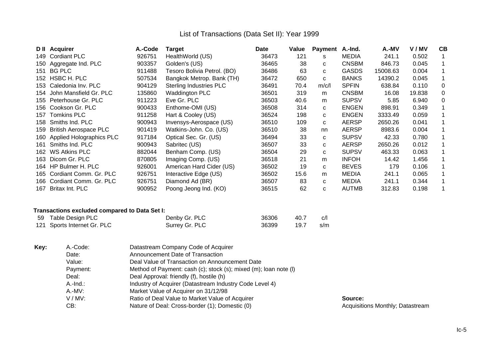|      | D II Acquirer                | A.-Code | <b>Target</b>                  | <b>Date</b> | Value | <b>Payment</b> | A.-Ind.      | A.-MV    | V/MV   | СB          |
|------|------------------------------|---------|--------------------------------|-------------|-------|----------------|--------------|----------|--------|-------------|
| 149  | <b>Cordiant PLC</b>          | 926751  | HealthWorld (US)               | 36473       | 121   | s              | MEDIA        | 241.1    | 0.502  |             |
| 150  | Aggregate Ind. PLC           | 903357  | Golden's (US)                  | 36465       | 38    | C              | <b>CNSBM</b> | 846.73   | 0.045  | $\mathbf 1$ |
| 151  | BG PLC                       | 911488  | Tesoro Bolivia Petrol. (BO)    | 36486       | 63    | C              | <b>GASDS</b> | 15008.63 | 0.004  | $\mathbf 1$ |
|      | 152 HSBC H. PLC              | 507534  | Bangkok Metrop. Bank (TH)      | 36472       | 650   | C              | <b>BANKS</b> | 14390.2  | 0.045  | $\mathbf 1$ |
| 153  | Caledonia Inv. PLC           | 904129  | <b>Sterling Industries PLC</b> | 36491       | 70.4  | m/c/l          | <b>SPFIN</b> | 638.84   | 0.110  | 0           |
| 154  | John Mansfield Gr. PLC       | 135860  | <b>Waddington PLC</b>          | 36501       | 319   | m              | <b>CNSBM</b> | 16.08    | 19.838 | 0           |
| 155  | Peterhouse Gr. PLC           | 911223  | Eve Gr. PLC                    | 36503       | 40.6  | m              | <b>SUPSV</b> | 5.85     | 6.940  | 0           |
| 156  | Cookson Gr. PLC              | 900433  | Enthome-OMI (US)               | 36508       | 314   | C              | <b>ENGEN</b> | 898.91   | 0.349  |             |
| 157  | <b>Tomkins PLC</b>           | 911258  | Hart & Cooley (US)             | 36524       | 198   | C              | <b>ENGEN</b> | 3333.49  | 0.059  | 1.          |
| 158  | Smiths Ind. PLC              | 900943  | Invensys-Aerospace (US)        | 36510       | 109   | C              | <b>AERSP</b> | 2650.26  | 0.041  |             |
| 159  | <b>British Aerospace PLC</b> | 901419  | Watkins-John. Co. (US)         | 36510       | 38    | nn             | <b>AERSP</b> | 8983.6   | 0.004  |             |
| 160. | Applied Holographics PLC     | 917184  | Optical Sec. Gr. (US)          | 36494       | 33    | C              | <b>SUPSV</b> | 42.33    | 0.780  | 1.          |
| 161  | Smiths Ind. PLC              | 900943  | Sabritec (US)                  | 36507       | 33    | C              | <b>AERSP</b> | 2650.26  | 0.012  | 1.          |
| 162  | <b>WS Atkins PLC</b>         | 882044  | Benham Comp. (US)              | 36504       | 29    | C              | <b>SUPSV</b> | 463.33   | 0.063  |             |
| 163. | Dicom Gr. PLC                | 870805  | Imaging Comp. (US)             | 36518       | 21    | m              | <b>INFOH</b> | 14.42    | 1.456  |             |
| 164  | HP Bulmer H. PLC             | 926001  | American Hard Cider (US)       | 36502       | 19    | C              | <b>BEVES</b> | 179      | 0.106  | 1.          |
| 165  | Cordiant Comm. Gr. PLC       | 926751  | Interactive Edge (US)          | 36502       | 15.6  | m              | <b>MEDIA</b> | 241.1    | 0.065  | 1.          |
| 166  | Cordiant Comm. Gr. PLC       | 926751  | Diamond Ad (BR)                | 36507       | 83    | C              | <b>MEDIA</b> | 241.1    | 0.344  | 1.          |
| 167  | Britax Int. PLC              | 900952  | Poong Jeong Ind. (KO)          | 36515       | 62    | c              | <b>AUTMB</b> | 312.83   | 0.198  |             |

## **Transactions excluded compared to Data Set I:**

| 59 Table Design PLC         | Denby Gr. PLC  | 36306 | - 40.7 | c/l |
|-----------------------------|----------------|-------|--------|-----|
| 121 Sports Internet Gr. PLC | Surrey Gr. PLC | 36399 | 19.7   | s/m |

| Key: | A.-Code:    | Datastream Company Code of Acquirer                              |           |
|------|-------------|------------------------------------------------------------------|-----------|
|      | Date:       | Announcement Date of Transaction                                 |           |
|      | Value:      | Deal Value of Transaction on Announcement Date                   |           |
|      | Payment:    | Method of Payment: cash (c); stock (s); mixed (m); loan note (l) |           |
|      | Deal:       | Deal Approval: friendly (f), hostile (h)                         |           |
|      | $A.-Ind.$ : | Industry of Acquirer (Datastream Industry Code Level 4)          |           |
|      | A.-MV:      | Market Value of Acquirer on 31/12/98                             |           |
|      | V/MV:       | Ratio of Deal Value to Market Value of Acquirer                  | Source:   |
|      | CB:         | Nature of Deal: Cross-border (1); Domestic (0)                   | Acquisiti |
|      |             |                                                                  |           |

Acquisitions Monthly; Datastream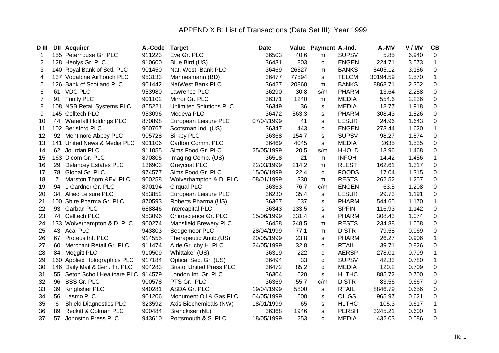# APPENDIX B: List of Transactions (Data Set III): Year 1999

| D III          |                | <b>DII Acquirer</b>             | A.-Code | <b>Target</b>                   | <b>Date</b> |       | Value Payment A.-Ind. |              | A.-MV    | V/MV  | CB           |
|----------------|----------------|---------------------------------|---------|---------------------------------|-------------|-------|-----------------------|--------------|----------|-------|--------------|
|                |                | 155 Peterhouse Gr. PLC          | 911223  | Eve Gr. PLC                     | 36503       | 40.6  | m                     | <b>SUPSV</b> | 5.85     | 6.940 | 0            |
| 2              | 128            | Henlys Gr. PLC                  | 910600  | Blue Bird (US)                  | 36431       | 803   | C                     | <b>ENGEN</b> | 224.71   | 3.573 | 1            |
| 3              | 140            | Royal Bank of Sctl. PLC         | 901450  | Nat. West. Bank PLC             | 36469       | 26527 | m                     | <b>BANKS</b> | 8405.12  | 3.156 | $\pmb{0}$    |
| 4              |                | 137 Vodafone AirTouch PLC       | 953133  | Mannesmann (BD)                 | 36477       | 77594 | s                     | <b>TELCM</b> | 30194.59 | 2.570 | $\mathbf 1$  |
| 5              | 126            | <b>Bank of Scotland PLC</b>     | 901442  | NatWest Bank PLC                | 36427       | 20860 | m                     | <b>BANKS</b> | 8868.71  | 2.352 | $\pmb{0}$    |
| 6              | 61             | <b>VDC PLC</b>                  | 953980  | Lawrence PLC                    | 36290       | 30.8  | s/m                   | <b>PHARM</b> | 13.64    | 2.258 | $\pmb{0}$    |
| $\overline{7}$ | 91             | <b>Trinity PLC</b>              | 901102  | Mirror Gr. PLC                  | 36371       | 1240  | m                     | <b>MEDIA</b> | 554.6    | 2.236 | $\pmb{0}$    |
| 8              |                | 108 NSB Retail Systems PLC      | 865221  | <b>Unlimited Solutions PLC</b>  | 36349       | 36    | S                     | <b>MEDIA</b> | 18.77    | 1.918 | $\pmb{0}$    |
| 9              |                | 145 Celltech PLC                | 953096  | Medeva PLC                      | 36472       | 563.3 | S                     | PHARM        | 308.43   | 1.826 | $\pmb{0}$    |
| 10             | 44             | <b>Waterfall Holdings PLC</b>   | 870898  | European Leisure PLC            | 07/04/1999  | 41    | S                     | <b>LESUR</b> | 24.96    | 1.643 | $\pmb{0}$    |
| 11             | 102            | <b>Berisford PLC</b>            | 900767  | Scotsman Ind. (US)              | 36347       | 443   | C                     | <b>ENGEN</b> | 273.44   | 1.620 | $\mathbf 1$  |
| 12             | 92             | Mentmore Abbey PLC              | 905728  | <b>Birkby PLC</b>               | 36368       | 154.7 | s                     | <b>SUPSV</b> | 98.27    | 1.574 | $\pmb{0}$    |
| 13             | 141            | United News & Media PLC         | 901106  | Carlton Comm. PLC               | 36469       | 4045  | S                     | <b>MEDIA</b> | 2635     | 1.535 | $\pmb{0}$    |
| 14             | 62             | Jourdan PLC                     | 911055  | Sims Food Gr. PLC               | 25/05/1999  | 20.5  | s/m                   | <b>HHOLD</b> | 13.96    | 1.468 | $\pmb{0}$    |
| 15             |                | 163 Dicom Gr. PLC               | 870805  | Imaging Comp. (US)              | 36518       | 21    | m                     | <b>INFOH</b> | 14.42    | 1.456 | $\mathbf{1}$ |
| 16             | 29             | <b>Delancey Estates PLC</b>     | 136903  | Greycoat PLC                    | 22/03/1999  | 214.2 | m                     | <b>RLEST</b> | 162.61   | 1.317 | $\pmb{0}$    |
| 17             | 78             | Global Gr. PLC                  | 974577  | Sims Food Gr. PLC               | 15/06/1999  | 22.4  | C                     | <b>FOODS</b> | 17.04    | 1.315 | $\pmb{0}$    |
| 18             | $\overline{7}$ | Marston Thom.&Ev. PLC           | 900258  | Wolverhampton & D. PLC          | 08/01/1999  | 330   | m                     | <b>RESTS</b> | 262.52   | 1.257 | $\pmb{0}$    |
| 19             | 94             | L Gardner Gr. PLC               | 870194  | <b>Cirqual PLC</b>              | 36363       | 76.7  | c/m                   | <b>ENGEN</b> | 63.5     | 1.208 | $\pmb{0}$    |
| 20             |                | 34 Allied Leisure PLC           | 953852  | European Leisure PLC            | 36230       | 35.4  | s                     | <b>LESUR</b> | 29.73    | 1.191 | $\pmb{0}$    |
| 21             |                | 100 Shire Pharma Gr. PLC        | 870593  | Roberts Pharma (US)             | 36367       | 637   | S                     | <b>PHARM</b> | 544.65   | 1.170 | $\mathbf 1$  |
| 22             | 93             | Garban PLC                      | 688846  | Intercapital PLC                | 36343       | 133.5 | S                     | <b>SPFIN</b> | 116.93   | 1.142 | $\pmb{0}$    |
| 23             | 74             | <b>Celltech PLC</b>             | 953096  | Chiroscience Gr. PLC            | 15/06/1999  | 331.4 | s                     | <b>PHARM</b> | 308.43   | 1.074 | $\pmb{0}$    |
| 24             |                | 133 Wolverhampton & D. PLC      | 900274  | <b>Mansfield Brewery PLC</b>    | 36458       | 248.5 | m                     | <b>RESTS</b> | 234.88   | 1.058 | $\pmb{0}$    |
| 25             |                | 43 Acal PLC                     | 943803  | Sedgemoor PLC                   | 28/04/1999  | 77.1  | m                     | <b>DISTR</b> | 79.58    | 0.969 | 0            |
| 26             | 67             | Proteus Int. PLC                | 914555  | Therapeutic Antib.(US)          | 20/05/1999  | 23.8  | s                     | <b>PHARM</b> | 26.27    | 0.906 | $\mathbf 1$  |
| 27             | 60.            | Merchant Retail Gr. PLC         | 911474  | A de Gruchy H. PLC              | 24/05/1999  | 32.8  | С                     | <b>RTAIL</b> | 39.71    | 0.826 | $\pmb{0}$    |
| 28             | 84             | Meggitt PLC                     | 910509  | Whittaker (US)                  | 36319       | 222   | C                     | <b>AERSP</b> | 278.01   | 0.799 | $\mathbf 1$  |
| 29             | 160            | <b>Applied Holographics PLC</b> | 917184  | Optical Sec. Gr. (US)           | 36494       | 33    | C                     | <b>SUPSV</b> | 42.33    | 0.780 | $\mathbf 1$  |
| 30             |                | 146 Daily Mail & Gen. Tr. PLC   | 904283  | <b>Bristol United Press PLC</b> | 36472       | 85.2  | C                     | <b>MEDIA</b> | 120.2    | 0.709 | $\mathbf 0$  |
| 31             | 55             | Seton Scholl Healtcare PLC      | 914579  | London Int. Gr. PLC             | 36304       | 620   | s                     | <b>HLTHC</b> | 885.72   | 0.700 | $\pmb{0}$    |
| 32             | 96             | <b>BSS Gr. PLC</b>              | 900578  | PTS Gr. PLC                     | 36369       | 55.7  | c/m                   | <b>DISTR</b> | 83.56    | 0.667 | $\mathbf 0$  |
| 33             | 39             | Kingfisher PLC                  | 940281  | ASDA Gr. PLC                    | 19/04/1999  | 5800  | s                     | <b>RTAIL</b> | 8846.79  | 0.656 | $\pmb{0}$    |
| 34             | 56             | Lasmo PLC                       | 901206  | Monument Oil & Gas PLC          | 04/05/1999  | 600   | s                     | <b>OILGS</b> | 965.97   | 0.621 | $\pmb{0}$    |
| 35             | 6              | <b>Shield Diagnostics PLC</b>   | 323592  | Axis Biochemicals (NW)          | 18/01/1999  | 65    | $\mathbf S$           | <b>HLTHC</b> | 105.3    | 0.617 | $\mathbf 1$  |
| 36             | 89             | Reckitt & Colman PLC            | 900484  | Brenckiser (NL)                 | 36368       | 1946  | s                     | <b>PERSH</b> | 3245.21  | 0.600 | $\mathbf{1}$ |
| 37             | 57             | <b>Johnston Press PLC</b>       | 943610  | Portsmouth & S. PLC             | 18/05/1999  | 253   | C                     | <b>MEDIA</b> | 432.03   | 0.586 | $\mathbf 0$  |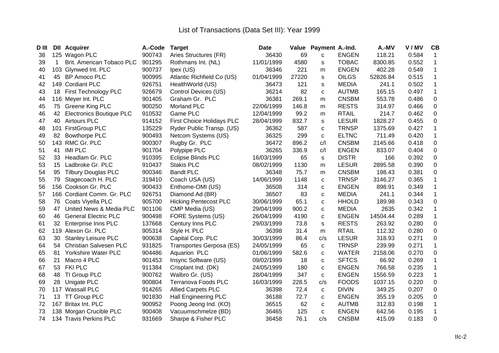| D III | DII         | <b>Acquirer</b>                 | A.-Code | <b>Target</b>                    | <b>Date</b> | Value | Payment A.-Ind. |              | A.-MV    | V/MV  | CB           |
|-------|-------------|---------------------------------|---------|----------------------------------|-------------|-------|-----------------|--------------|----------|-------|--------------|
| 38    |             | 125 Wagon PLC                   | 900743  | Aries Structures (FR)            | 36430       | 69    | C               | <b>ENGEN</b> | 118.21   | 0.584 | 1            |
| 39    | $\mathbf 1$ | Brit. American Tobaco PLC       | 901295  | Rothmans Int. (NL)               | 11/01/1999  | 4580  | s               | <b>TOBAC</b> | 8300.85  | 0.552 | 1            |
| 40    |             | 103 Glynwed Int. PLC            | 900737  | Ipex (US)                        | 36346       | 221   | m               | <b>ENGEN</b> | 402.28   | 0.549 | $\mathbf 1$  |
| 41    | 45          | <b>BP Amoco PLC</b>             | 900995  | Atlantic Richfield Co (US)       | 01/04/1999  | 27220 | S               | <b>OILGS</b> | 52826.84 | 0.515 | $\mathbf{1}$ |
| 42    | 149         | <b>Cordiant PLC</b>             | 926751  | HealthWorld (US)                 | 36473       | 121   | S               | <b>MEDIA</b> | 241.1    | 0.502 | $\mathbf{1}$ |
| 43    | 18          | First Technology PLC            | 926679  | Control Devices (US)             | 36214       | 82    | C               | <b>AUTMB</b> | 165.15   | 0.497 | $\mathbf 1$  |
| 44    |             | 116 Meyer Int. PLC              | 901405  | Graham Gr. PLC                   | 36381       | 269.1 | m               | <b>CNSBM</b> | 553.78   | 0.486 | $\pmb{0}$    |
| 45    | 75          | Greene King PLC                 | 900250  | <b>Morland PLC</b>               | 22/06/1999  | 146.8 | m               | <b>RESTS</b> | 314.97   | 0.466 | $\pmb{0}$    |
| 46    | 42          | <b>Electronics Boutique PLC</b> | 910532  | Game PLC                         | 12/04/1999  | 99.2  | m               | <b>RTAIL</b> | 214.7    | 0.462 | $\pmb{0}$    |
| 47    | 40          | <b>Airtours PLC</b>             | 914152  | <b>First Choice Holidays PLC</b> | 28/04/1999  | 832.7 | s               | <b>LESUR</b> | 1828.27  | 0.455 | $\pmb{0}$    |
| 48    | 101         | <b>FirstGroup PLC</b>           | 135229  | Ryder Public Transp. (US)        | 36362       | 587   | C               | <b>TRNSP</b> | 1375.69  | 0.427 | 1            |
| 49    | 82          | <b>Bowthorpe PLC</b>            | 900493  | Netcom Systems (US)              | 36325       | 299   | C               | <b>ELTNC</b> | 711.49   | 0.420 | $\mathbf 1$  |
| 50    | 143         | RMC Gr. PLC                     | 900307  | Rugby Gr. PLC                    | 36472       | 896.2 | C/              | <b>CNSBM</b> | 2145.66  | 0.418 | $\pmb{0}$    |
| 51    | 41          | <b>IMI PLC</b>                  | 901704  | Polypipe PLC                     | 36265       | 336.9 | C/              | <b>ENGEN</b> | 833.07   | 0.404 | $\pmb{0}$    |
| 52    | 33          | Headlam Gr. PLC                 | 910395  | <b>Eclipse Blinds PLC</b>        | 16/03/1999  | 65    | s               | <b>DISTR</b> | 166      | 0.392 | $\pmb{0}$    |
| 53    | 15          | Ladbroke Gr. PLC                | 910437  | <b>Stakis PLC</b>                | 08/02/1999  | 1130  | ${\sf m}$       | <b>LESUR</b> | 2895.58  | 0.390 | $\pmb{0}$    |
| 54    | 95          | <b>Tilbury Douglas PLC</b>      | 900346  | <b>Bandt PLC</b>                 | 36348       | 75.7  | m               | <b>CNSBM</b> | 198.43   | 0.381 | $\pmb{0}$    |
| 55    | 79          | Stagecoach H. PLC               | 319410  | Coach USA (US)                   | 14/06/1999  | 1148  | c               | <b>TRNSP</b> | 3146.27  | 0.365 | $\mathbf 1$  |
| 56    |             | 156 Cookson Gr. PLC             | 900433  | Enthome-OMI (US)                 | 36508       | 314   | C               | <b>ENGEN</b> | 898.91   | 0.349 | $\mathbf{1}$ |
| 57    |             | 166 Cordiant Comm. Gr. PLC      | 926751  | Diamond Ad (BR)                  | 36507       | 83    | C               | <b>MEDIA</b> | 241.1    | 0.344 | $\mathbf 1$  |
| 58    | 76          | Coats Viyella PLC               | 905700  | <b>Hicking Pentecost PLC</b>     | 30/06/1999  | 65.1  | C               | <b>HHOLD</b> | 189.98   | 0.343 | $\pmb{0}$    |
| 59    | 47          | United News & Media PLC         | 901106  | CMP Media (US)                   | 29/04/1999  | 900.2 | C               | <b>MEDIA</b> | 2635     | 0.342 | $\mathbf{1}$ |
| 60    | 46          | <b>General Electric PLC</b>     | 900498  | FORE Systems (US)                | 26/04/1999  | 4190  | c               | <b>ENGEN</b> | 14504.44 | 0.289 | $\mathbf 1$  |
| 61    | 32          | Enterprise Inns PLC             | 137668  | Century Inns PLC                 | 29/03/1999  | 73.8  | s               | <b>RESTS</b> | 263.92   | 0.280 | $\mathsf 0$  |
| 62    | 119         | Alexon Gr. PLC                  | 905314  | Style H. PLC                     | 36398       | 31.4  | m               | <b>RTAIL</b> | 112.32   | 0.280 | $\pmb{0}$    |
| 63    | 30          | <b>Stanley Leisure PLC</b>      | 900638  | Capital Corp. PLC                | 30/03/1999  | 86.4  | c/s             | <b>LESUR</b> | 318.93   | 0.271 | $\mathsf 0$  |
| 64    | 54          | <b>Christian Salvesen PLC</b>   | 931825  | Transportes Gerposa (ES)         | 24/05/1999  | 65    | $\mathbf C$     | <b>TRNSP</b> | 239.99   | 0.271 | $\mathbf 1$  |
| 65    | 81          | <b>Yorkshire Water PLC</b>      | 904486  | Aquarion PLC                     | 01/06/1999  | 582.6 | C               | <b>WATER</b> | 2158.06  | 0.270 | $\pmb{0}$    |
| 66    | 21          | Macro 4 PLC                     | 901453  | Insync Software (US)             | 09/02/1999  | 18    | C               | <b>SFTCS</b> | 66.92    | 0.269 | 1            |
| 67    | 53          | <b>FKI PLC</b>                  | 911384  | Crisplant Ind. (DK)              | 24/05/1999  | 180   | C               | <b>ENGEN</b> | 766.58   | 0.235 | $\mathbf{1}$ |
| 68    | 48          | TI Group PLC                    | 900762  | Walbro Gr. (US)                  | 28/04/1999  | 347   | C               | <b>ENGEN</b> | 1556.59  | 0.223 | $\mathbf{1}$ |
| 69    | 28          | Unigate PLC                     | 900804  | Terranova Foods PLC              | 16/03/1999  | 228.5 | c/s             | <b>FOODS</b> | 1037.15  | 0.220 | $\mathsf 0$  |
| 70    |             | 117 Wassall PLC                 | 914265  | <b>Allied Carpets PLC</b>        | 36398       | 72.4  | C               | <b>DIVIN</b> | 349.25   | 0.207 | $\mathsf 0$  |
| 71    | 13          | <b>TT Group PLC</b>             | 901830  | Hall Engineering PLC             | 36188       | 72.7  | C               | <b>ENGEN</b> | 355.19   | 0.205 | $\pmb{0}$    |
| 72    | 167         | Britax Int. PLC                 | 900952  | Poong Jeong Ind. (KO)            | 36515       | 62    | C               | <b>AUTMB</b> | 312.83   | 0.198 | $\mathbf 1$  |
| 73    | 138         | Morgan Crucible PLC             | 900408  | Vacuumschmelze (BD)              | 36465       | 125   | C               | <b>ENGEN</b> | 642.56   | 0.195 | $\mathbf{1}$ |
| 74    |             | 134 Travis Perkins PLC          | 931669  | Sharpe & Fisher PLC              | 36458       | 76.1  | C/S             | <b>CNSBM</b> | 415.09   | 0.183 | $\mathbf 0$  |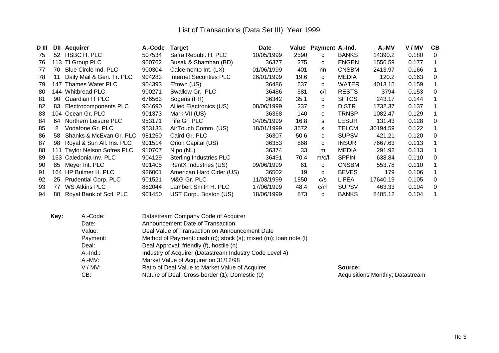| D III | DII | <b>Acquirer</b>                 | A.-Code | <b>Target</b>                  | <b>Date</b> |      | Value Payment A.-Ind. |              | A.-MV    | V/MV  | CB           |
|-------|-----|---------------------------------|---------|--------------------------------|-------------|------|-----------------------|--------------|----------|-------|--------------|
| 75    | 52  | HSBC H. PLC                     | 507534  | Safra Republ. H. PLC           | 10/05/1999  | 2590 | C.                    | <b>BANKS</b> | 14390.2  | 0.180 | $\Omega$     |
| 76    |     | 113 TI Group PLC                | 900762  | Busak & Shamban (BD)           | 36377       | 275  | $\mathbf{C}$          | <b>ENGEN</b> | 1556.59  | 0.177 |              |
| 77    | 70  | Blue Circle Ind. PLC            | 900304  | Calcemento Int. (LX)           | 01/06/1999  | 401  | nn                    | <b>CNSBM</b> | 2413.97  | 0.166 | 1            |
| 78    | 11  | Daily Mail & Gen. Tr. PLC       | 904283  | <b>Internet Securities PLC</b> | 26/01/1999  | 19.6 | C.                    | <b>MEDIA</b> | 120.2    | 0.163 | 0            |
| 79    | 147 | Thames Water PLC                | 904393  | E'town (US)                    | 36486       | 637  | C.                    | <b>WATER</b> | 4013.15  | 0.159 |              |
| 80    |     | 144 Whitbread PLC               | 900271  | Swallow Gr. PLC                | 36486       | 581  | C/I                   | <b>RESTS</b> | 3794     | 0.153 | $\mathbf{0}$ |
| 81    | 90  | <b>Guardian IT PLC</b>          | 676563  | Sogeris (FR)                   | 36342       | 35.1 | C.                    | <b>SFTCS</b> | 243.17   | 0.144 | 1            |
| 82    | 83  | Electrocomponents PLC           | 904690  | Allied Electronics (US)        | 08/06/1999  | 237  | C.                    | <b>DISTR</b> | 1732.37  | 0.137 | 1            |
| 83    |     | 104 Ocean Gr. PLC               | 901373  | Mark VII (US)                  | 36368       | 140  | C.                    | <b>TRNSP</b> | 1082.47  | 0.129 |              |
| 84    | 64  | Northern Leisure PLC            | 953171  | Fife Gr. PLC                   | 04/05/1999  | 16.8 | s                     | <b>LESUR</b> | 131.43   | 0.128 | $\mathbf{0}$ |
| 85    | 8   | Vodafone Gr. PLC                | 953133  | AirTouch Comm. (US)            | 18/01/1999  | 3672 | s                     | <b>TELCM</b> | 30194.59 | 0.122 |              |
| 86    | 58  | Shanks & McEvan Gr. PLC         | 981250  | Caird Gr. PLC                  | 36307       | 50.6 | C.                    | <b>SUPSV</b> | 421.21   | 0.120 | $\Omega$     |
| 87    | 98  | Royal & Sun All. Ins. PLC       | 901514  | Orion Capital (US)             | 36353       | 868  | C.                    | <b>INSUR</b> | 7667.63  | 0.113 | 1            |
| 88    | 111 | <b>Taylor Nelson Sofres PLC</b> | 910707  | Nipo (NL)                      | 36374       | 33   | m                     | <b>MEDIA</b> | 291.92   | 0.113 |              |
| 89    |     | 153 Caledonia Inv. PLC          | 904129  | <b>Sterling Industries PLC</b> | 36491       | 70.4 | m/c/l                 | <b>SPFIN</b> | 638.84   | 0.110 | $\Omega$     |
| 90    | 85  | Meyer Int. PLC                  | 901405  | RentX Industries (US)          | 09/06/1999  | 61   | C.                    | <b>CNSBM</b> | 553.78   | 0.110 |              |
| 91    |     | 164 HP Bulmer H. PLC            | 926001  | American Hard Cider (US)       | 36502       | 19   | C.                    | <b>BEVES</b> | 179      | 0.106 | 1            |
| 92    | 25  | <b>Prudential Corp. PLC</b>     | 901521  | M&G Gr. PLC                    | 11/03/1999  | 1850 | c/s                   | <b>LIFEA</b> | 17640.19 | 0.105 | 0            |
| 93    | 77  | <b>WS Atkins PLC</b>            | 882044  | Lambert Smith H. PLC           | 17/06/1999  | 48.4 | c/m                   | <b>SUPSV</b> | 463.33   | 0.104 | $\mathbf{0}$ |
| 94    | 80  | Royal Bank of Sctl. PLC         | 901450  | UST Corp., Boston (US)         | 18/06/1999  | 873  | C.                    | <b>BANKS</b> | 8405.12  | 0.104 |              |

| Key: | A.-Code:    | Datastream Company Code of Acquirer                              |                                  |
|------|-------------|------------------------------------------------------------------|----------------------------------|
|      | Date:       | Announcement Date of Transaction                                 |                                  |
|      | Value:      | Deal Value of Transaction on Announcement Date                   |                                  |
|      | Payment:    | Method of Payment: cash (c); stock (s); mixed (m); loan note (l) |                                  |
|      | Deal:       | Deal Approval: friendly (f), hostile (h)                         |                                  |
|      | $A.-Ind.$ : | Industry of Acquirer (Datastream Industry Code Level 4)          |                                  |
|      | A.-MV:      | Market Value of Acquirer on 31/12/98                             |                                  |
|      | $V/MV$ :    | Ratio of Deal Value to Market Value of Acquirer                  | Source:                          |
|      | CB:         | Nature of Deal: Cross-border (1); Domestic (0)                   | Acquisitions Monthly; Datastream |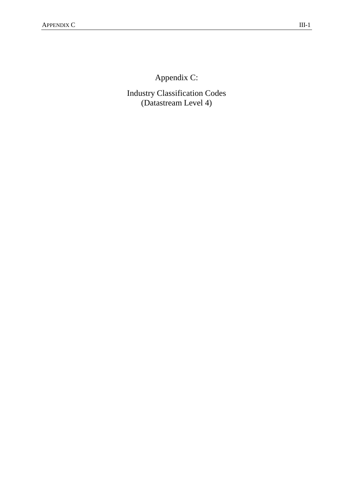Appendix C:

Industry Classification Codes (Datastream Level 4)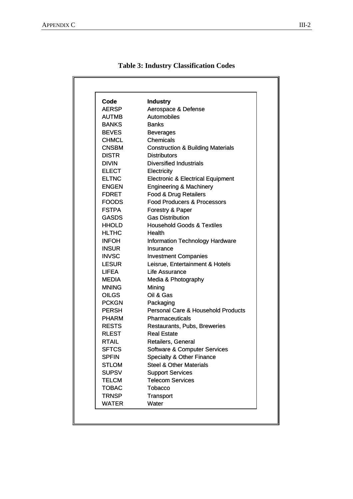| Code         | <b>Industry</b>                               |
|--------------|-----------------------------------------------|
| <b>AERSP</b> | Aerospace & Defense                           |
| AUTMB        | Automobiles                                   |
| <b>BANKS</b> | <b>Banks</b>                                  |
| <b>BEVES</b> | <b>Beverages</b>                              |
| <b>CHMCL</b> | Chemicals                                     |
| <b>CNSBM</b> | <b>Construction &amp; Building Materials</b>  |
| <b>DISTR</b> | <b>Distributors</b>                           |
| <b>DIVIN</b> | <b>Diversified Industrials</b>                |
| <b>ELECT</b> | Electricity                                   |
| <b>ELTNC</b> | <b>Electronic &amp; Electrical Equipment</b>  |
| <b>ENGEN</b> | <b>Engineering &amp; Machinery</b>            |
| <b>FDRET</b> | Food & Drug Retailers                         |
| <b>FOODS</b> | <b>Food Producers &amp; Processors</b>        |
| <b>FSTPA</b> | Forestry & Paper                              |
| <b>GASDS</b> | <b>Gas Distribution</b>                       |
| <b>HHOLD</b> | <b>Household Goods &amp; Textiles</b>         |
| <b>HLTHC</b> | Health                                        |
| <b>INFOH</b> | <b>Information Technology Hardware</b>        |
| <b>INSUR</b> | Insurance                                     |
| <b>INVSC</b> | <b>Investment Companies</b>                   |
| <b>LESUR</b> | Leisrue, Entertainment & Hotels               |
| LIFEA        | Life Assurance                                |
| MEDIA        | Media & Photography                           |
| <b>MNING</b> | Mining                                        |
| <b>OILGS</b> | Oil & Gas                                     |
| <b>PCKGN</b> | Packaging                                     |
| <b>PERSH</b> | <b>Personal Care &amp; Household Products</b> |
| <b>PHARM</b> | Pharmaceuticals                               |
| <b>RESTS</b> | Restaurants, Pubs, Breweries                  |
| <b>RLEST</b> | <b>Real Estate</b>                            |
| <b>RTAIL</b> | Retailers, General                            |
| <b>SFTCS</b> | <b>Software &amp; Computer Services</b>       |
| <b>SPFIN</b> | Specialty & Other Finance                     |
| <b>STLOM</b> | <b>Steel &amp; Other Materials</b>            |
| <b>SUPSV</b> | <b>Support Services</b>                       |
| <b>TELCM</b> | <b>Telecom Services</b>                       |
| <b>TOBAC</b> | Tobacco                                       |
| <b>TRNSP</b> | Transport                                     |
| <b>WATER</b> | Water                                         |

## **Table 3: Industry Classification Codes**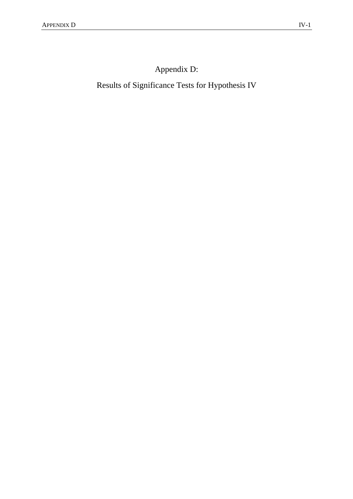Appendix D:

Results of Significance Tests for Hypothesis IV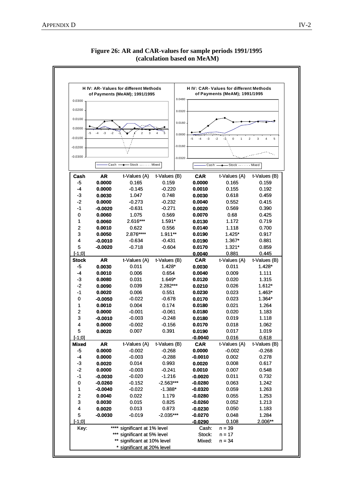

**Figure 26: AR and CAR-values for sample periods 1991/1995 (calculation based on MeAM)**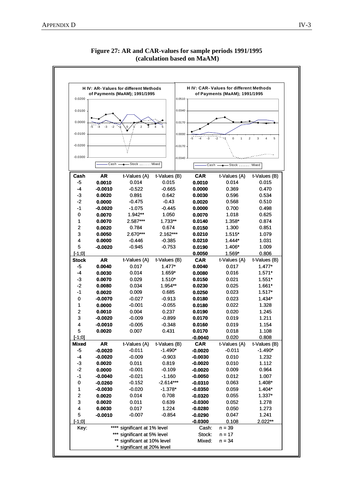

**Figure 27: AR and CAR-values for sample periods 1991/1995 (calculation based on MaAM)**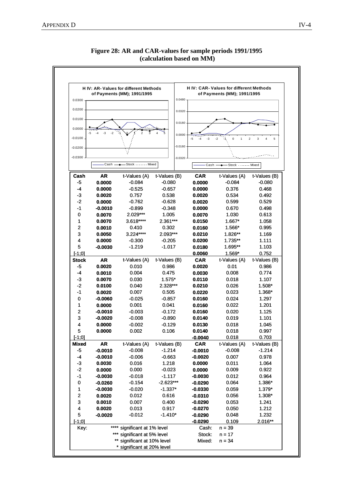

**Figure 28: AR and CAR-values for sample periods 1991/1995 (calculation based on MM)**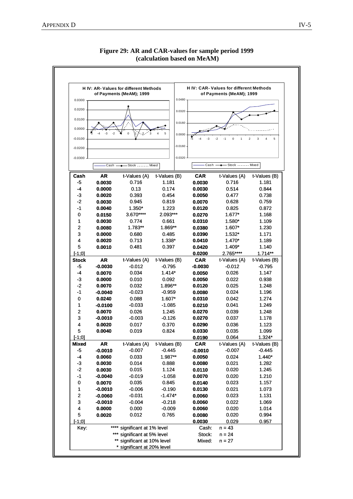| H IV: AR-Values for different Methods<br>of Payments (MeAM); 1999 |                         |                          |                          | <b>H IV: CAR-Values for different Methods</b><br>of Payments (MeAM); 1999 |                   |                          |                          |
|-------------------------------------------------------------------|-------------------------|--------------------------|--------------------------|---------------------------------------------------------------------------|-------------------|--------------------------|--------------------------|
| 0.0300                                                            |                         |                          |                          | 0.0480                                                                    |                   |                          |                          |
| 0.0200                                                            |                         |                          |                          |                                                                           |                   |                          |                          |
|                                                                   |                         |                          |                          | 0.0320                                                                    |                   |                          |                          |
| 0.0100                                                            |                         |                          |                          | 0.0160                                                                    |                   |                          |                          |
| 0.0000                                                            |                         |                          |                          |                                                                           |                   |                          |                          |
| $-0.0100$                                                         |                         |                          |                          | 0.0000                                                                    | -3                |                          |                          |
|                                                                   |                         |                          |                          |                                                                           |                   | $\Omega$                 | $\overline{2}$<br>3<br>5 |
| $-0.0200$                                                         |                         |                          |                          | $-0.0160$                                                                 |                   |                          |                          |
| $-0.0300$                                                         |                         |                          |                          | $-0.0320$                                                                 |                   |                          |                          |
|                                                                   | Cash<br>Stock Mixed     |                          |                          |                                                                           | Cash              | Stock Mixed              |                          |
| Cash                                                              | AR                      | t-Values (A)             | t-Values (B)             |                                                                           | <b>CAR</b>        | t-Values (A)             | t-Values (B)             |
| -5                                                                | 0.0030                  | 0.716                    | 1.181                    |                                                                           | 0.0030            | 0.716                    | 1.181                    |
| -4                                                                | 0.0000                  | 0.13                     | 0.174                    |                                                                           | 0.0030            | 0.514                    | 0.844                    |
| $-3$                                                              | 0.0020                  | 0.393                    | 0.454                    |                                                                           | 0.0050            | 0.477                    | 0.738                    |
| $-2$                                                              | 0.0030                  | 0.945                    | 0.819                    |                                                                           | 0.0070            | 0.628                    | 0.759                    |
| $-1$                                                              | 0.0040                  | $1.350*$                 | 1.223                    |                                                                           | 0.0120            | 0.825                    | 0.872                    |
| 0                                                                 | 0.0150                  | 3.670****                | 2.093***                 |                                                                           | 0.0270            | 1.677*                   | 1.168                    |
| 1                                                                 | 0.0030                  | 0.774                    | 0.661                    |                                                                           | 0.0310            | 1.580*                   | 1.109                    |
| $\overline{2}$                                                    | 0.0080                  | 1.783**                  | 1.869**                  |                                                                           | 0.0380            | 1.607*                   | 1.230                    |
| 3                                                                 | 0.0000                  | 0.680                    | 0.485                    |                                                                           | 0.0390            | $1.532*$                 | 1.171                    |
| 4                                                                 | 0.0020                  | 0.713                    | 1.338*                   |                                                                           | 0.0410            | 1.470*                   | 1.189                    |
| 5                                                                 | 0.0010                  | 0.481                    | 0.397                    |                                                                           | 0.0420            | $1.409*$                 | 1.140                    |
| $[-1:0]$                                                          |                         |                          |                          |                                                                           | 0.0200            | 2.765****                | $1.714**$                |
| <b>Stock</b><br>$-5$                                              | AR                      | t-Values (A)             | t-Values (B)<br>$-0.795$ |                                                                           | <b>CAR</b>        | t-Values (A)<br>$-0.012$ | t-Values (B)             |
| -4                                                                | -0.0030<br>0.0070       | $-0.012$<br>0.034        | $1.414*$                 |                                                                           | -0.0030<br>0.0050 | 0.026                    | $-0.795$<br>1.147        |
| $-3$                                                              | 0.0000                  | 0.010                    | 0.092                    |                                                                           | 0.0050            | 0.022                    | 0.938                    |
| $-2$                                                              | 0.0070                  | 0.032                    | 1.896**                  |                                                                           | 0.0120            | 0.025                    | 1.248                    |
| $-1$                                                              | -0.0040                 | $-0.023$                 | -0.959                   |                                                                           | 0.0080            | 0.024                    | 1.196                    |
| 0                                                                 | 0.0240                  | 0.088                    | 1.607*                   |                                                                           | 0.0310            | 0.042                    | 1.274                    |
| 1                                                                 | -0.0100                 | $-0.033$                 | $-1.085$                 |                                                                           | 0.0210            | 0.041                    | 1.249                    |
| 2                                                                 | 0.0070                  | 0.026                    | 1.245                    |                                                                           | 0.0270            | 0.039                    | 1.248                    |
| 3                                                                 | -0.0010                 | $-0.003$                 | $-0.126$                 |                                                                           | 0.0270            | 0.037                    | 1.178                    |
| 4                                                                 | 0.0020                  | 0.017                    | 0.370                    |                                                                           | 0.0290            | 0.036                    | 1.123                    |
| 5                                                                 | 0.0040                  | 0.019                    | 0.824                    |                                                                           | 0.0330            | 0.035                    | 1.099                    |
| $[-1;0]$                                                          |                         |                          |                          |                                                                           | 0.0190            | 0.064                    | $1.324*$                 |
| <b>Mixed</b>                                                      | <b>AR</b>               | t-Values (A)             | t-Values (B)             |                                                                           | <b>CAR</b>        | t-Values (A)             | t-Values (B)             |
| $-5$                                                              | $-0.0010$               | $-0.007$                 | $-0.445$                 |                                                                           | $-0.0010$         | $-0.007$                 | $-0.445$                 |
| $-4$<br>$-3$                                                      | 0.0060                  | 0.033                    | 1.987**<br>0.888         |                                                                           | 0.0050            | 0.024                    | $1.440*$                 |
| $-2$                                                              | 0.0030<br>0.0030        | 0.014<br>0.015           | 1.124                    |                                                                           | 0.0080<br>0.0110  | 0.021<br>0.020           | 1.282<br>1.245           |
| $-1$                                                              | $-0.0040$               | $-0.019$                 | $-1.058$                 |                                                                           | 0.0070            | 0.020                    | 1.210                    |
| $\pmb{0}$                                                         | 0.0070                  | 0.035                    | 0.845                    |                                                                           | 0.0140            | 0.023                    | 1.157                    |
| 1                                                                 | $-0.0010$               | $-0.006$                 | $-0.190$                 |                                                                           | 0.0130            | 0.021                    | 1.073                    |
| $\overline{\mathbf{c}}$                                           | $-0.0060$               | $-0.031$                 | $-1.474*$                |                                                                           | 0.0060            | 0.023                    | 1.131                    |
| 3                                                                 | $-0.0010$               | $-0.004$                 | $-0.218$                 |                                                                           | 0.0060            | 0.022                    | 1.069                    |
| 4                                                                 | 0.0000                  | 0.000                    | $-0.009$                 |                                                                           | 0.0060            | 0.020                    | 1.014                    |
| 5                                                                 | 0.0020                  | 0.012                    | 0.765                    |                                                                           | 0.0080            | 0.020                    | 0.994                    |
| $[-1:0]$                                                          |                         |                          |                          |                                                                           | 0.0030            | 0.029                    | 0.957                    |
| Key:                                                              | significant at 1% level |                          |                          |                                                                           | Cash:             | $n = 43$                 |                          |
|                                                                   | significant at 5% level |                          |                          |                                                                           | Stock:            | $n = 24$                 |                          |
|                                                                   |                         | significant at 10% level |                          |                                                                           | Mixed:            | $n = 27$                 |                          |

# **Figure 29: AR and CAR-values for sample period 1999 (calculation based on MeAM)**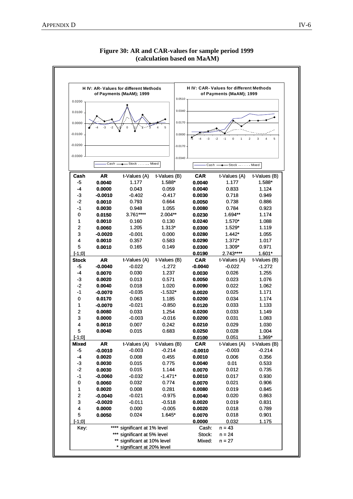

**Figure 30: AR and CAR-values for sample period 1999 (calculation based on MaAM)**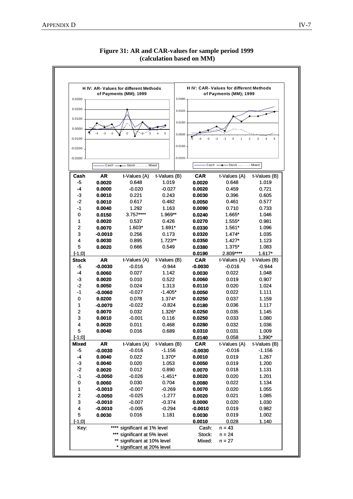

**Figure 31: AR and CAR-values for sample period 1999 (calculation based on MM)**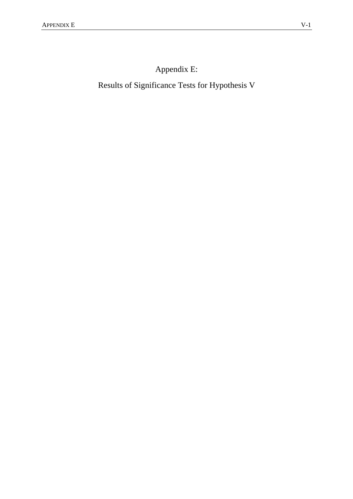Appendix E:

Results of Significance Tests for Hypothesis V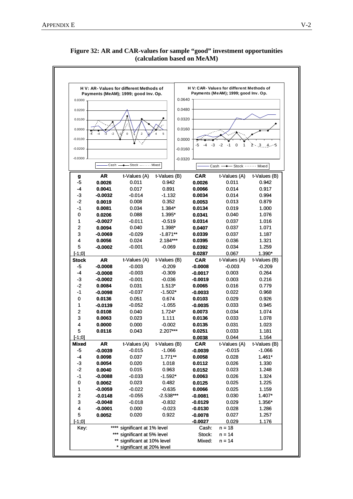

**Figure 32: AR and CAR-values for sample "good" investment opportunities (calculation based on MeAM)**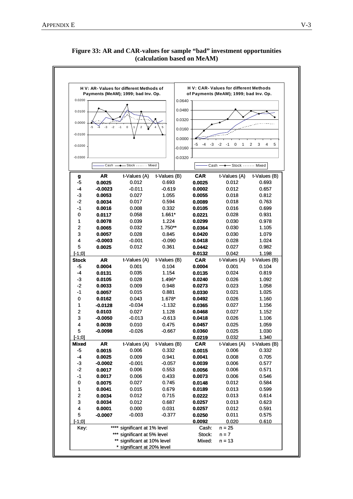

**Figure 33: AR and CAR-values for sample "bad" investment opportunities (calculation based on MeAM)**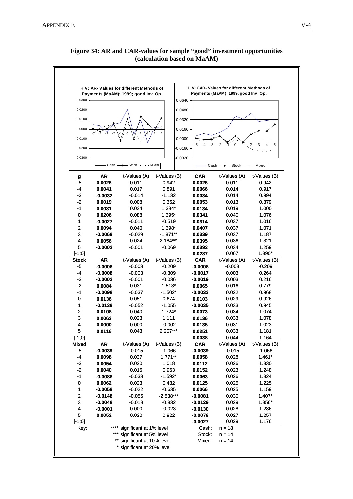

\* significant at 20% level

## **Figure 34: AR and CAR-values for sample "good" investment opportunities (calculation based on MaAM)**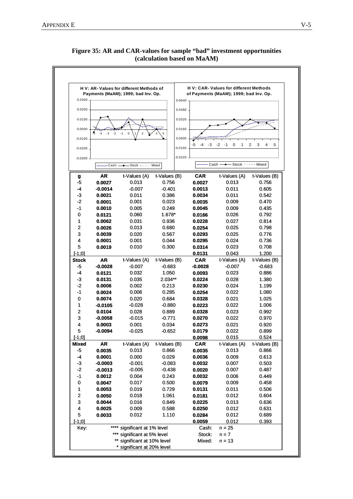

### **Figure 35: AR and CAR-values for sample "bad" investment opportunities (calculation based on MaAM)**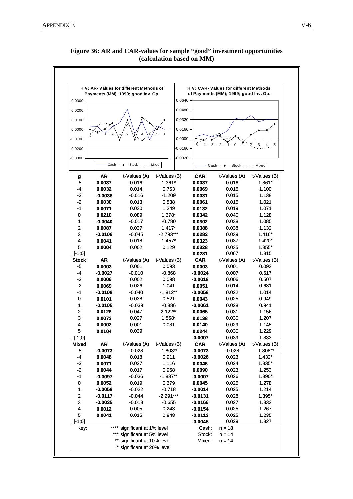

\*\* significant at 10% level  $Mixed: n = 14$ 

\* significant at 20% level

**Figure 36: AR and CAR-values for sample "good" investment opportunities (calculation based on MM)**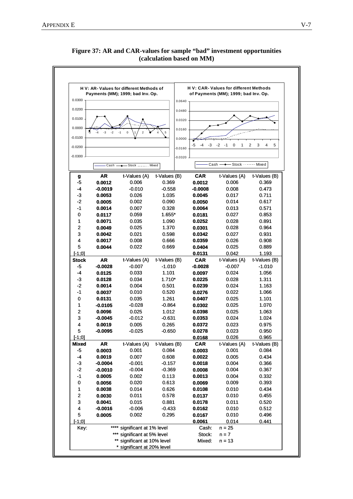

**Figure 37: AR and CAR-values for sample "bad" investment opportunities (calculation based on MM)**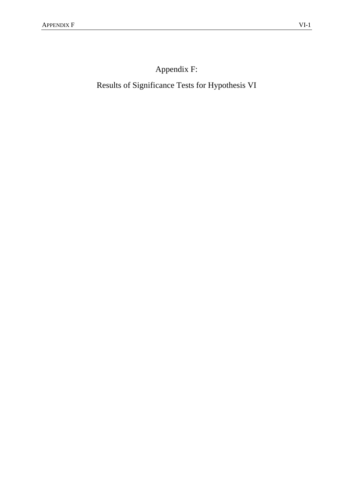Appendix F:

Results of Significance Tests for Hypothesis VI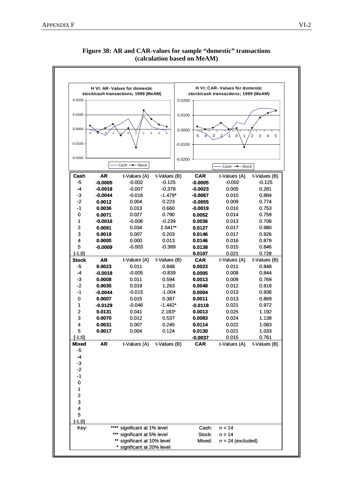

## **Figure 38: AR and CAR-values for sample "domestic" transactions (calculation based on MeAM)**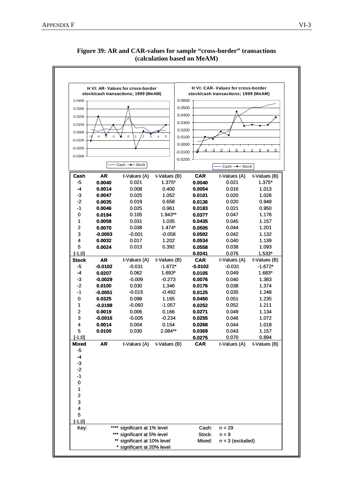

**Figure 39: AR and CAR-values for sample "cross-border" transactions (calculation based on MeAM)**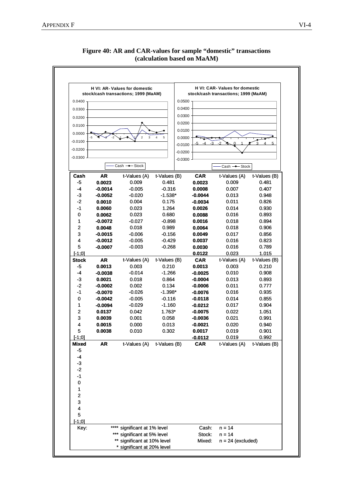

**Figure 40: AR and CAR-values for sample "domestic" transactions (calculation based on MaAM)**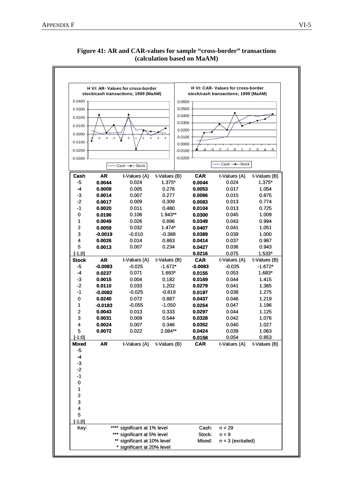

**Figure 41: AR and CAR-values for sample "cross-border" transactions (calculation based on MaAM)**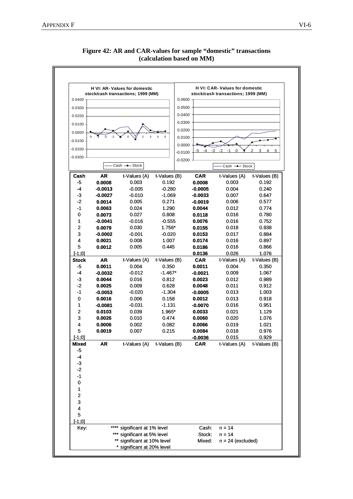

## **Figure 42: AR and CAR-values for sample "domestic" transactions (calculation based on MM)**